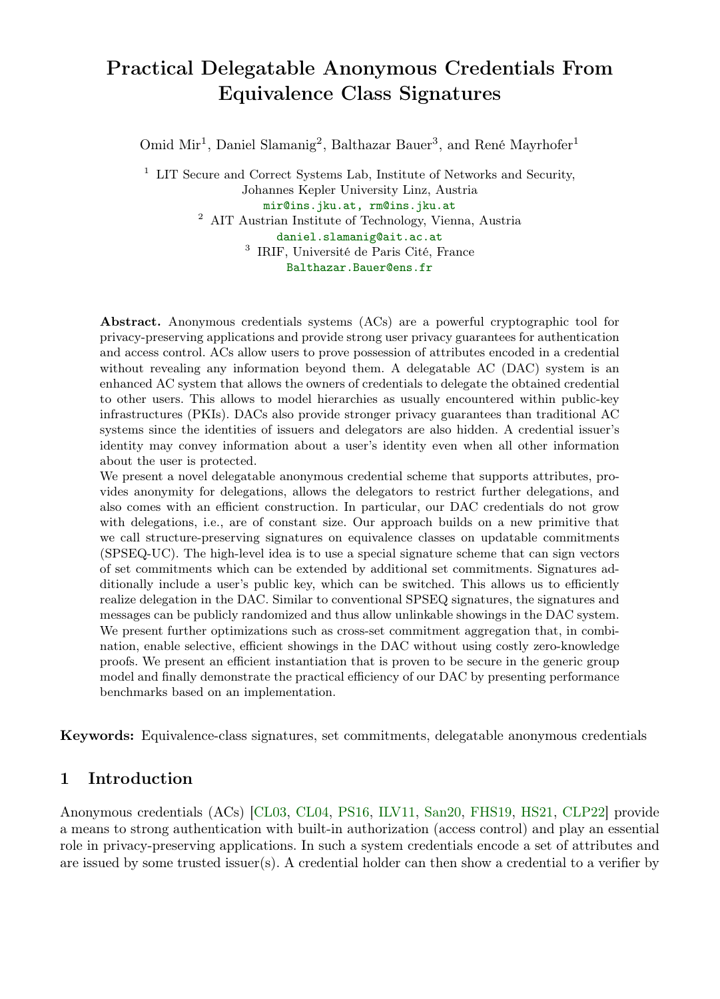# Practical Delegatable Anonymous Credentials From Equivalence Class Signatures

Omid Mir<sup>1</sup>, Daniel Slamanig<sup>2</sup>, Balthazar Bauer<sup>3</sup>, and René Mayrhofer<sup>1</sup>

 $^{\rm 1}$  LIT Secure and Correct Systems Lab, Institute of Networks and Security, Johannes Kepler University Linz, Austria mir@ins.jku.at, rm@ins.jku.at  $^{\rm 2}$  AIT Austrian Institute of Technology, Vienna, Austria daniel.slamanig@ait.ac.at 3 IRIF, Université de Paris Cité, France Balthazar.Bauer@ens.fr

Abstract. Anonymous credentials systems (ACs) are a powerful cryptographic tool for privacy-preserving applications and provide strong user privacy guarantees for authentication and access control. ACs allow users to prove possession of attributes encoded in a credential without revealing any information beyond them. A delegatable AC (DAC) system is an enhanced AC system that allows the owners of credentials to delegate the obtained credential to other users. This allows to model hierarchies as usually encountered within public-key infrastructures (PKIs). DACs also provide stronger privacy guarantees than traditional AC systems since the identities of issuers and delegators are also hidden. A credential issuer's identity may convey information about a user's identity even when all other information about the user is protected.

We present a novel delegatable anonymous credential scheme that supports attributes, provides anonymity for delegations, allows the delegators to restrict further delegations, and also comes with an efficient construction. In particular, our DAC credentials do not grow with delegations, i.e., are of constant size. Our approach builds on a new primitive that we call structure-preserving signatures on equivalence classes on updatable commitments (SPSEQ-UC). The high-level idea is to use a special signature scheme that can sign vectors of set commitments which can be extended by additional set commitments. Signatures additionally include a user's public key, which can be switched. This allows us to efficiently realize delegation in the DAC. Similar to conventional SPSEQ signatures, the signatures and messages can be publicly randomized and thus allow unlinkable showings in the DAC system. We present further optimizations such as cross-set commitment aggregation that, in combination, enable selective, efficient showings in the DAC without using costly zero-knowledge proofs. We present an efficient instantiation that is proven to be secure in the generic group model and finally demonstrate the practical efficiency of our DAC by presenting performance benchmarks based on an implementation.

Keywords: Equivalence-class signatures, set commitments, delegatable anonymous credentials

# 1 Introduction

Anonymous credentials (ACs) [\[CL03,](#page-24-0) [CL04,](#page-24-1) [PS16,](#page-26-0) [ILV11,](#page-25-0) [San20,](#page-26-1) [FHS19,](#page-25-1) [HS21,](#page-25-2) [CLP22\]](#page-25-3) provide a means to strong authentication with built-in authorization (access control) and play an essential role in privacy-preserving applications. In such a system credentials encode a set of attributes and are issued by some trusted issuer(s). A credential holder can then show a credential to a verifier by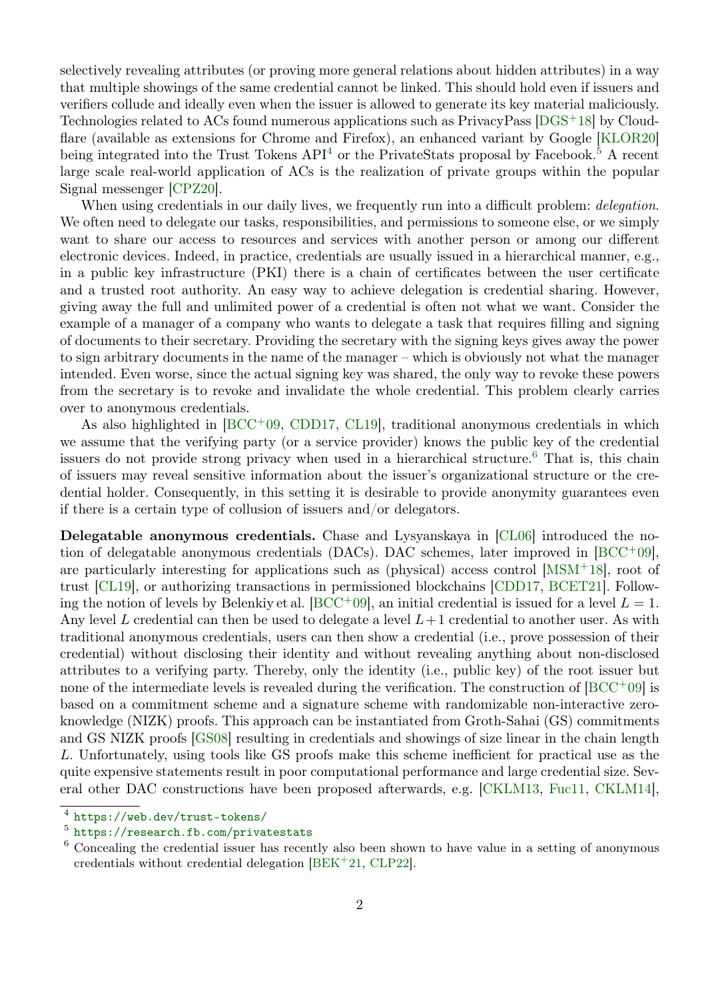selectively revealing attributes (or proving more general relations about hidden attributes) in a way that multiple showings of the same credential cannot be linked. This should hold even if issuers and verifiers collude and ideally even when the issuer is allowed to generate its key material maliciously. Technologies related to ACs found numerous applications such as PrivacyPass [\[DGS](#page-25-4)+18] by Cloud-flare (available as extensions for Chrome and Firefox), an enhanced variant by Google [\[KLOR20\]](#page-26-2) being integrated into the Trust Tokens  $API<sup>4</sup>$  $API<sup>4</sup>$  $API<sup>4</sup>$  or the PrivateStats proposal by Facebook.<sup>[5](#page-1-1)</sup> A recent large scale real-world application of ACs is the realization of private groups within the popular Signal messenger [\[CPZ20\]](#page-25-5).

When using credentials in our daily lives, we frequently run into a difficult problem: *delegation*. We often need to delegate our tasks, responsibilities, and permissions to someone else, or we simply want to share our access to resources and services with another person or among our different electronic devices. Indeed, in practice, credentials are usually issued in a hierarchical manner, e.g., in a public key infrastructure (PKI) there is a chain of certificates between the user certificate and a trusted root authority. An easy way to achieve delegation is credential sharing. However, giving away the full and unlimited power of a credential is often not what we want. Consider the example of a manager of a company who wants to delegate a task that requires filling and signing of documents to their secretary. Providing the secretary with the signing keys gives away the power to sign arbitrary documents in the name of the manager – which is obviously not what the manager intended. Even worse, since the actual signing key was shared, the only way to revoke these powers from the secretary is to revoke and invalidate the whole credential. This problem clearly carries over to anonymous credentials.

As also highlighted in  $[BCC^+09, CDD17, CL19]$  $[BCC^+09, CDD17, CL19]$  $[BCC^+09, CDD17, CL19]$  $[BCC^+09, CDD17, CL19]$  $[BCC^+09, CDD17, CL19]$ , traditional anonymous credentials in which we assume that the verifying party (or a service provider) knows the public key of the credential issuers do not provide strong privacy when used in a hierarchical structure.<sup>[6](#page-1-2)</sup> That is, this chain of issuers may reveal sensitive information about the issuer's organizational structure or the credential holder. Consequently, in this setting it is desirable to provide anonymity guarantees even if there is a certain type of collusion of issuers and/or delegators.

Delegatable anonymous credentials. Chase and Lysyanskaya in [\[CL06\]](#page-25-7) introduced the notion of delegatable anonymous credentials (DACs). DAC schemes, later improved in  $[BCC^+0.9]$  $[BCC^+0.9]$ , are particularly interesting for applications such as (physical) access control [\[MSM](#page-26-3)<sup>+</sup>18], root of trust [\[CL19\]](#page-25-6), or authorizing transactions in permissioned blockchains [\[CDD17,](#page-24-3) [BCET21\]](#page-24-4). Follow-ing the notion of levels by Belenkiy et al. [\[BCC](#page-24-2)+09], an initial credential is issued for a level  $L = 1$ . Any level L credential can then be used to delegate a level  $L+1$  credential to another user. As with traditional anonymous credentials, users can then show a credential (i.e., prove possession of their credential) without disclosing their identity and without revealing anything about non-disclosed attributes to a verifying party. Thereby, only the identity (i.e., public key) of the root issuer but none of the intermediate levels is revealed during the verification. The construction of  $[BCC^+09]$  $[BCC^+09]$  is based on a commitment scheme and a signature scheme with randomizable non-interactive zeroknowledge (NIZK) proofs. This approach can be instantiated from Groth-Sahai (GS) commitments and GS NIZK proofs [\[GS08\]](#page-25-8) resulting in credentials and showings of size linear in the chain length L. Unfortunately, using tools like GS proofs make this scheme inefficient for practical use as the quite expensive statements result in poor computational performance and large credential size. Several other DAC constructions have been proposed afterwards, e.g. [\[CKLM13,](#page-24-5) [Fuc11,](#page-25-9) [CKLM14\]](#page-24-6),

<span id="page-1-0"></span><sup>4</sup> <https://web.dev/trust-tokens/>

<span id="page-1-1"></span><sup>5</sup> <https://research.fb.com/privatestats>

<span id="page-1-2"></span><sup>6</sup> Concealing the credential issuer has recently also been shown to have value in a setting of anonymous credentials without credential delegation [\[BEK](#page-24-7)<sup>+</sup>21, [CLP22\]](#page-25-3).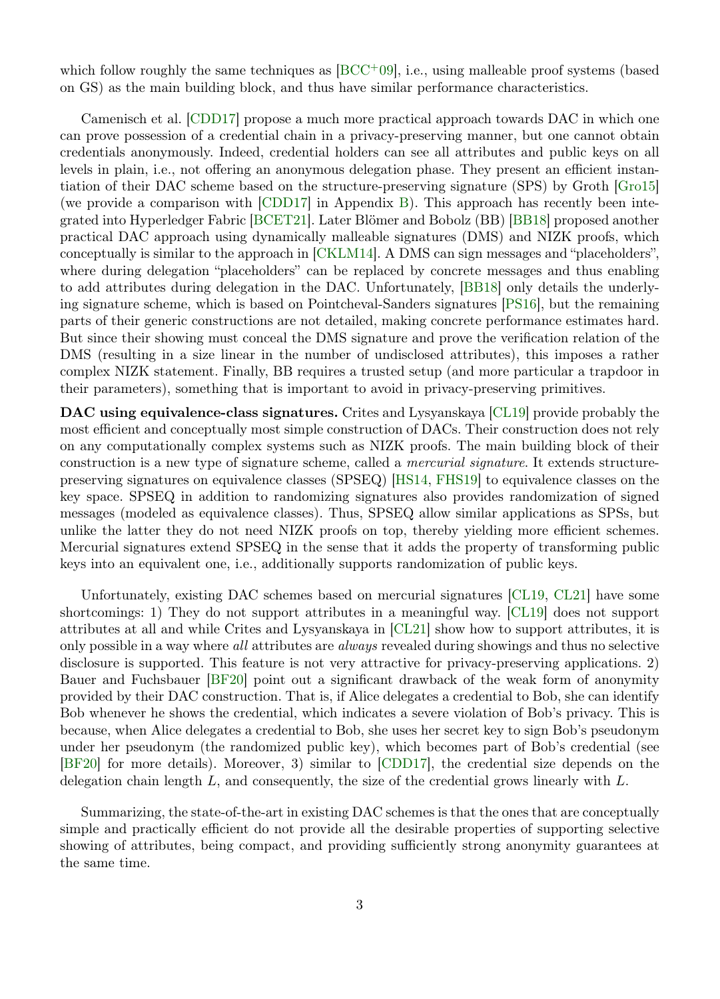which follow roughly the same techniques as  $[BCC^+09]$  $[BCC^+09]$ , i.e., using malleable proof systems (based on GS) as the main building block, and thus have similar performance characteristics.

Camenisch et al. [\[CDD17\]](#page-24-3) propose a much more practical approach towards DAC in which one can prove possession of a credential chain in a privacy-preserving manner, but one cannot obtain credentials anonymously. Indeed, credential holders can see all attributes and public keys on all levels in plain, i.e., not offering an anonymous delegation phase. They present an efficient instantiation of their DAC scheme based on the structure-preserving signature (SPS) by Groth [\[Gro15\]](#page-25-10) (we provide a comparison with [\[CDD17\]](#page-24-3) in Appendix [B\)](#page-27-0). This approach has recently been integrated into Hyperledger Fabric [\[BCET21\]](#page-24-4). Later Blömer and Bobolz (BB) [\[BB18\]](#page-24-8) proposed another practical DAC approach using dynamically malleable signatures (DMS) and NIZK proofs, which conceptually is similar to the approach in [\[CKLM14\]](#page-24-6). A DMS can sign messages and "placeholders", where during delegation "placeholders" can be replaced by concrete messages and thus enabling to add attributes during delegation in the DAC. Unfortunately, [\[BB18\]](#page-24-8) only details the underlying signature scheme, which is based on Pointcheval-Sanders signatures [\[PS16\]](#page-26-0), but the remaining parts of their generic constructions are not detailed, making concrete performance estimates hard. But since their showing must conceal the DMS signature and prove the verification relation of the DMS (resulting in a size linear in the number of undisclosed attributes), this imposes a rather complex NIZK statement. Finally, BB requires a trusted setup (and more particular a trapdoor in their parameters), something that is important to avoid in privacy-preserving primitives.

DAC using equivalence-class signatures. Crites and Lysyanskaya [\[CL19\]](#page-25-6) provide probably the most efficient and conceptually most simple construction of DACs. Their construction does not rely on any computationally complex systems such as NIZK proofs. The main building block of their construction is a new type of signature scheme, called a *mercurial signature*. It extends structurepreserving signatures on equivalence classes (SPSEQ) [\[HS14,](#page-25-11) [FHS19\]](#page-25-1) to equivalence classes on the key space. SPSEQ in addition to randomizing signatures also provides randomization of signed messages (modeled as equivalence classes). Thus, SPSEQ allow similar applications as SPSs, but unlike the latter they do not need NIZK proofs on top, thereby yielding more efficient schemes. Mercurial signatures extend SPSEQ in the sense that it adds the property of transforming public keys into an equivalent one, i.e., additionally supports randomization of public keys.

Unfortunately, existing DAC schemes based on mercurial signatures [\[CL19,](#page-25-6) [CL21\]](#page-25-12) have some shortcomings: 1) They do not support attributes in a meaningful way. [\[CL19\]](#page-25-6) does not support attributes at all and while Crites and Lysyanskaya in [\[CL21\]](#page-25-12) show how to support attributes, it is only possible in a way where all attributes are always revealed during showings and thus no selective disclosure is supported. This feature is not very attractive for privacy-preserving applications. 2) Bauer and Fuchsbauer [\[BF20\]](#page-24-9) point out a significant drawback of the weak form of anonymity provided by their DAC construction. That is, if Alice delegates a credential to Bob, she can identify Bob whenever he shows the credential, which indicates a severe violation of Bob's privacy. This is because, when Alice delegates a credential to Bob, she uses her secret key to sign Bob's pseudonym under her pseudonym (the randomized public key), which becomes part of Bob's credential (see [\[BF20\]](#page-24-9) for more details). Moreover, 3) similar to [\[CDD17\]](#page-24-3), the credential size depends on the delegation chain length  $L$ , and consequently, the size of the credential grows linearly with  $L$ .

Summarizing, the state-of-the-art in existing DAC schemes is that the ones that are conceptually simple and practically efficient do not provide all the desirable properties of supporting selective showing of attributes, being compact, and providing sufficiently strong anonymity guarantees at the same time.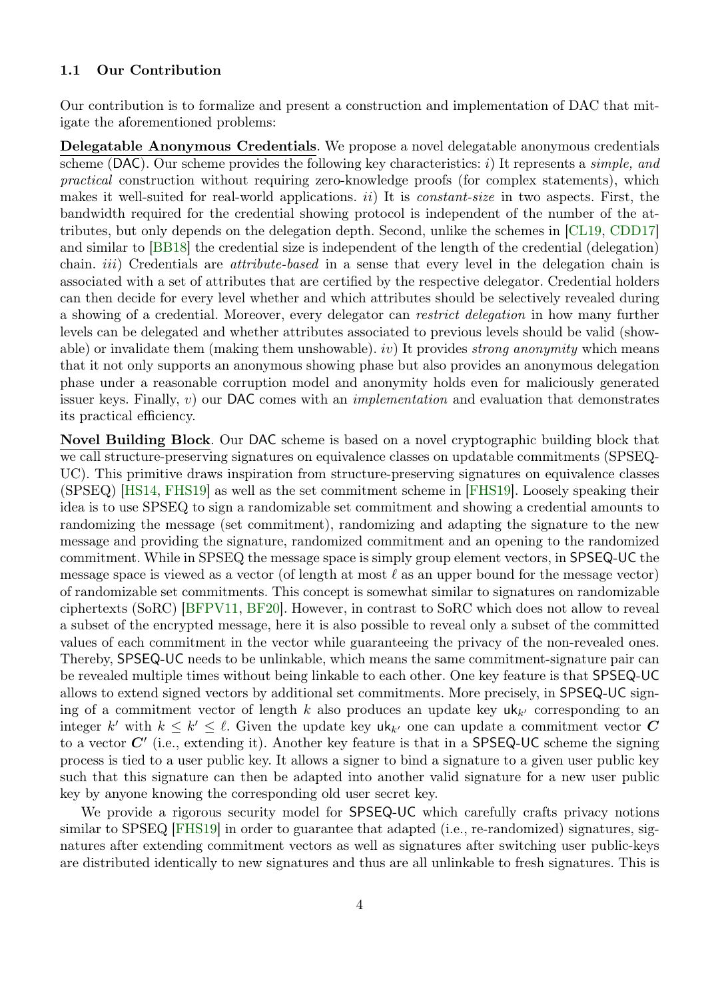# 1.1 Our Contribution

Our contribution is to formalize and present a construction and implementation of DAC that mitigate the aforementioned problems:

Delegatable Anonymous Credentials. We propose a novel delegatable anonymous credentials scheme (DAC). Our scheme provides the following key characteristics: i) It represents a *simple*, and practical construction without requiring zero-knowledge proofs (for complex statements), which makes it well-suited for real-world applications.  $ii)$  It is *constant-size* in two aspects. First, the bandwidth required for the credential showing protocol is independent of the number of the attributes, but only depends on the delegation depth. Second, unlike the schemes in [\[CL19,](#page-25-6) [CDD17\]](#page-24-3) and similar to [\[BB18\]](#page-24-8) the credential size is independent of the length of the credential (delegation) chain. *iii*) Credentials are *attribute-based* in a sense that every level in the delegation chain is associated with a set of attributes that are certified by the respective delegator. Credential holders can then decide for every level whether and which attributes should be selectively revealed during a showing of a credential. Moreover, every delegator can restrict delegation in how many further levels can be delegated and whether attributes associated to previous levels should be valid (showable) or invalidate them (making them unshowable). iv) It provides *strong anonymity* which means that it not only supports an anonymous showing phase but also provides an anonymous delegation phase under a reasonable corruption model and anonymity holds even for maliciously generated issuer keys. Finally,  $v$ ) our DAC comes with an *implementation* and evaluation that demonstrates its practical efficiency.

Novel Building Block. Our DAC scheme is based on a novel cryptographic building block that we call structure-preserving signatures on equivalence classes on updatable commitments (SPSEQ-UC). This primitive draws inspiration from structure-preserving signatures on equivalence classes (SPSEQ) [\[HS14,](#page-25-11) [FHS19\]](#page-25-1) as well as the set commitment scheme in [\[FHS19\]](#page-25-1). Loosely speaking their idea is to use SPSEQ to sign a randomizable set commitment and showing a credential amounts to randomizing the message (set commitment), randomizing and adapting the signature to the new message and providing the signature, randomized commitment and an opening to the randomized commitment. While in SPSEQ the message space is simply group element vectors, in SPSEQ-UC the message space is viewed as a vector (of length at most  $\ell$  as an upper bound for the message vector) of randomizable set commitments. This concept is somewhat similar to signatures on randomizable ciphertexts (SoRC) [\[BFPV11,](#page-24-10) [BF20\]](#page-24-9). However, in contrast to SoRC which does not allow to reveal a subset of the encrypted message, here it is also possible to reveal only a subset of the committed values of each commitment in the vector while guaranteeing the privacy of the non-revealed ones. Thereby, SPSEQ-UC needs to be unlinkable, which means the same commitment-signature pair can be revealed multiple times without being linkable to each other. One key feature is that SPSEQ-UC allows to extend signed vectors by additional set commitments. More precisely, in SPSEQ-UC signing of a commitment vector of length k also produces an update key  $uk_{k'}$  corresponding to an integer k' with  $k \leq k' \leq \ell$ . Given the update key  $uk_{k'}$  one can update a commitment vector C to a vector  $C'$  (i.e., extending it). Another key feature is that in a SPSEQ-UC scheme the signing process is tied to a user public key. It allows a signer to bind a signature to a given user public key such that this signature can then be adapted into another valid signature for a new user public key by anyone knowing the corresponding old user secret key.

We provide a rigorous security model for **SPSEQ-UC** which carefully crafts privacy notions similar to SPSEQ [\[FHS19\]](#page-25-1) in order to guarantee that adapted (i.e., re-randomized) signatures, signatures after extending commitment vectors as well as signatures after switching user public-keys are distributed identically to new signatures and thus are all unlinkable to fresh signatures. This is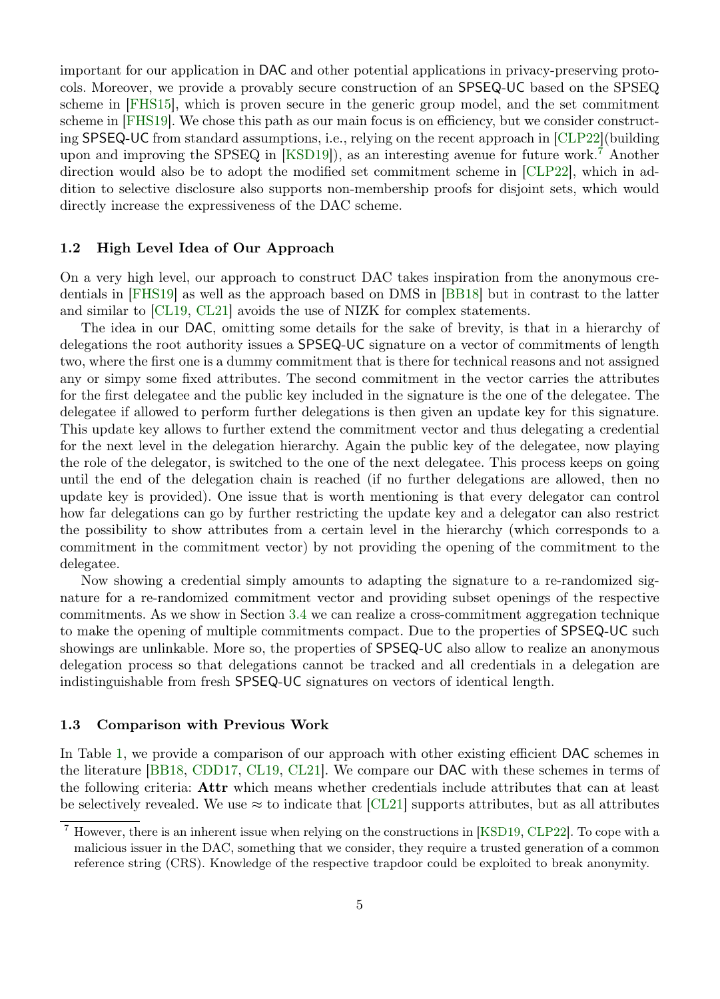important for our application in DAC and other potential applications in privacy-preserving protocols. Moreover, we provide a provably secure construction of an SPSEQ-UC based on the SPSEQ scheme in [\[FHS15\]](#page-25-13), which is proven secure in the generic group model, and the set commitment scheme in [\[FHS19\]](#page-25-1). We chose this path as our main focus is on efficiency, but we consider constructing SPSEQ-UC from standard assumptions, i.e., relying on the recent approach in [\[CLP22\]](#page-25-3)(building upon and improving the SPSEQ in [\[KSD19\]](#page-26-4)), as an interesting avenue for future work.[7](#page-4-0) Another direction would also be to adopt the modified set commitment scheme in [\[CLP22\]](#page-25-3), which in addition to selective disclosure also supports non-membership proofs for disjoint sets, which would directly increase the expressiveness of the DAC scheme.

# 1.2 High Level Idea of Our Approach

On a very high level, our approach to construct DAC takes inspiration from the anonymous credentials in [\[FHS19\]](#page-25-1) as well as the approach based on DMS in [\[BB18\]](#page-24-8) but in contrast to the latter and similar to [\[CL19,](#page-25-6) [CL21\]](#page-25-12) avoids the use of NIZK for complex statements.

The idea in our DAC, omitting some details for the sake of brevity, is that in a hierarchy of delegations the root authority issues a SPSEQ-UC signature on a vector of commitments of length two, where the first one is a dummy commitment that is there for technical reasons and not assigned any or simpy some fixed attributes. The second commitment in the vector carries the attributes for the first delegatee and the public key included in the signature is the one of the delegatee. The delegatee if allowed to perform further delegations is then given an update key for this signature. This update key allows to further extend the commitment vector and thus delegating a credential for the next level in the delegation hierarchy. Again the public key of the delegatee, now playing the role of the delegator, is switched to the one of the next delegatee. This process keeps on going until the end of the delegation chain is reached (if no further delegations are allowed, then no update key is provided). One issue that is worth mentioning is that every delegator can control how far delegations can go by further restricting the update key and a delegator can also restrict the possibility to show attributes from a certain level in the hierarchy (which corresponds to a commitment in the commitment vector) by not providing the opening of the commitment to the delegatee.

Now showing a credential simply amounts to adapting the signature to a re-randomized signature for a re-randomized commitment vector and providing subset openings of the respective commitments. As we show in Section [3.4](#page-14-0) we can realize a cross-commitment aggregation technique to make the opening of multiple commitments compact. Due to the properties of SPSEQ-UC such showings are unlinkable. More so, the properties of SPSEQ-UC also allow to realize an anonymous delegation process so that delegations cannot be tracked and all credentials in a delegation are indistinguishable from fresh SPSEQ-UC signatures on vectors of identical length.

#### 1.3 Comparison with Previous Work

In Table [1,](#page-5-0) we provide a comparison of our approach with other existing efficient DAC schemes in the literature [\[BB18,](#page-24-8) [CDD17,](#page-24-3) [CL19,](#page-25-6) [CL21\]](#page-25-12). We compare our DAC with these schemes in terms of the following criteria: Attr which means whether credentials include attributes that can at least be selectively revealed. We use  $\approx$  to indicate that [\[CL21\]](#page-25-12) supports attributes, but as all attributes

<span id="page-4-0"></span><sup>7</sup> However, there is an inherent issue when relying on the constructions in [\[KSD19,](#page-26-4) [CLP22\]](#page-25-3). To cope with a malicious issuer in the DAC, something that we consider, they require a trusted generation of a common reference string (CRS). Knowledge of the respective trapdoor could be exploited to break anonymity.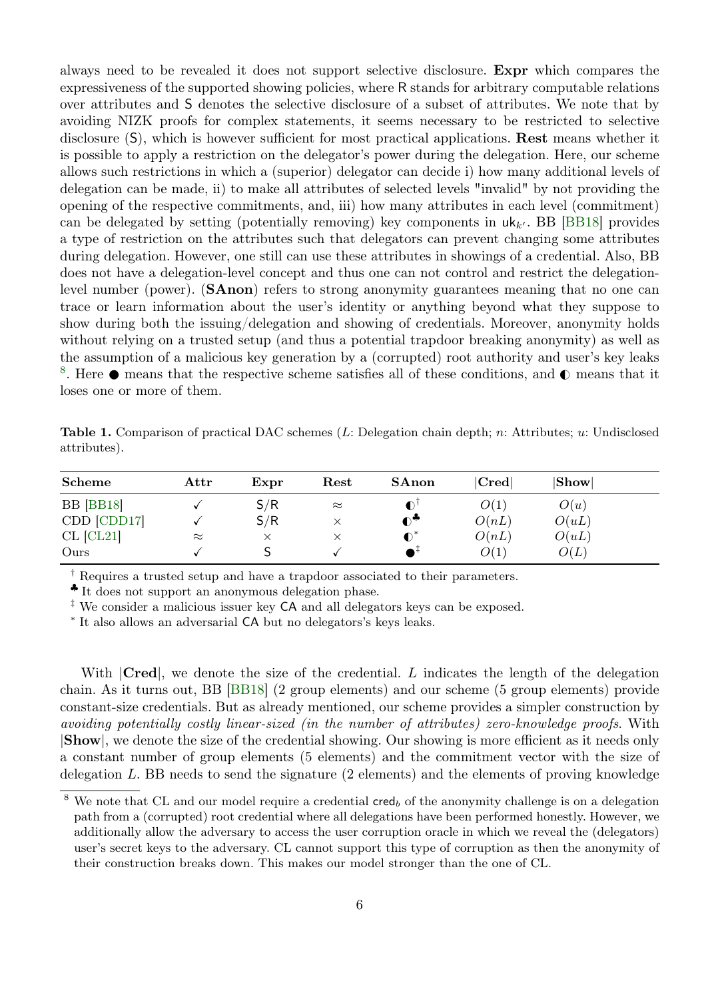always need to be revealed it does not support selective disclosure. Expr which compares the expressiveness of the supported showing policies, where R stands for arbitrary computable relations over attributes and S denotes the selective disclosure of a subset of attributes. We note that by avoiding NIZK proofs for complex statements, it seems necessary to be restricted to selective disclosure (S), which is however sufficient for most practical applications. Rest means whether it is possible to apply a restriction on the delegator's power during the delegation. Here, our scheme allows such restrictions in which a (superior) delegator can decide i) how many additional levels of delegation can be made, ii) to make all attributes of selected levels "invalid" by not providing the opening of the respective commitments, and, iii) how many attributes in each level (commitment) can be delegated by setting (potentially removing) key components in  $uk_k$ . BB [\[BB18\]](#page-24-8) provides a type of restriction on the attributes such that delegators can prevent changing some attributes during delegation. However, one still can use these attributes in showings of a credential. Also, BB does not have a delegation-level concept and thus one can not control and restrict the delegationlevel number (power). (SAnon) refers to strong anonymity guarantees meaning that no one can trace or learn information about the user's identity or anything beyond what they suppose to show during both the issuing/delegation and showing of credentials. Moreover, anonymity holds without relying on a trusted setup (and thus a potential trapdoor breaking anonymity) as well as the assumption of a malicious key generation by a (corrupted) root authority and user's key leaks <sup>[8](#page-5-1)</sup>. Here  $\bullet$  means that the respective scheme satisfies all of these conditions, and  $\bullet$  means that it loses one or more of them.

<span id="page-5-0"></span>Table 1. Comparison of practical DAC schemes (L: Delegation chain depth; n: Attributes; u: Undisclosed attributes).

| Scheme           | $_{\rm Attr}$ | Expr | Rest      | SAnon          | Cred  | Showl |  |
|------------------|---------------|------|-----------|----------------|-------|-------|--|
| <b>BB</b> [BB18] |               | S/R  | $\approx$ |                | O(1)  | O(u)  |  |
| CDD [CDD17]      |               | S/R  |           | $\mathbf{e}^*$ | O(nL) | O(uL) |  |
| $CL$ $[CL21]$    | $\approx$     |      |           | $\bullet^*$    | O(nL) | O(uL) |  |
| Ours             |               |      |           |                | O(1)  | O(L)  |  |

† Requires a trusted setup and have a trapdoor associated to their parameters.

♣ It does not support an anonymous delegation phase.

‡ We consider a malicious issuer key CA and all delegators keys can be exposed.

∗ It also allows an adversarial CA but no delegators's keys leaks.

With  $|C_{\text{red}}|$ , we denote the size of the credential. L indicates the length of the delegation chain. As it turns out, BB [\[BB18\]](#page-24-8) (2 group elements) and our scheme (5 group elements) provide constant-size credentials. But as already mentioned, our scheme provides a simpler construction by avoiding potentially costly linear-sized (in the number of attributes) zero-knowledge proofs. With |Show|, we denote the size of the credential showing. Our showing is more efficient as it needs only a constant number of group elements (5 elements) and the commitment vector with the size of delegation L. BB needs to send the signature (2 elements) and the elements of proving knowledge

<span id="page-5-1"></span>We note that CL and our model require a credential  $\mathsf{cred}_b$  of the anonymity challenge is on a delegation path from a (corrupted) root credential where all delegations have been performed honestly. However, we additionally allow the adversary to access the user corruption oracle in which we reveal the (delegators) user's secret keys to the adversary. CL cannot support this type of corruption as then the anonymity of their construction breaks down. This makes our model stronger than the one of CL.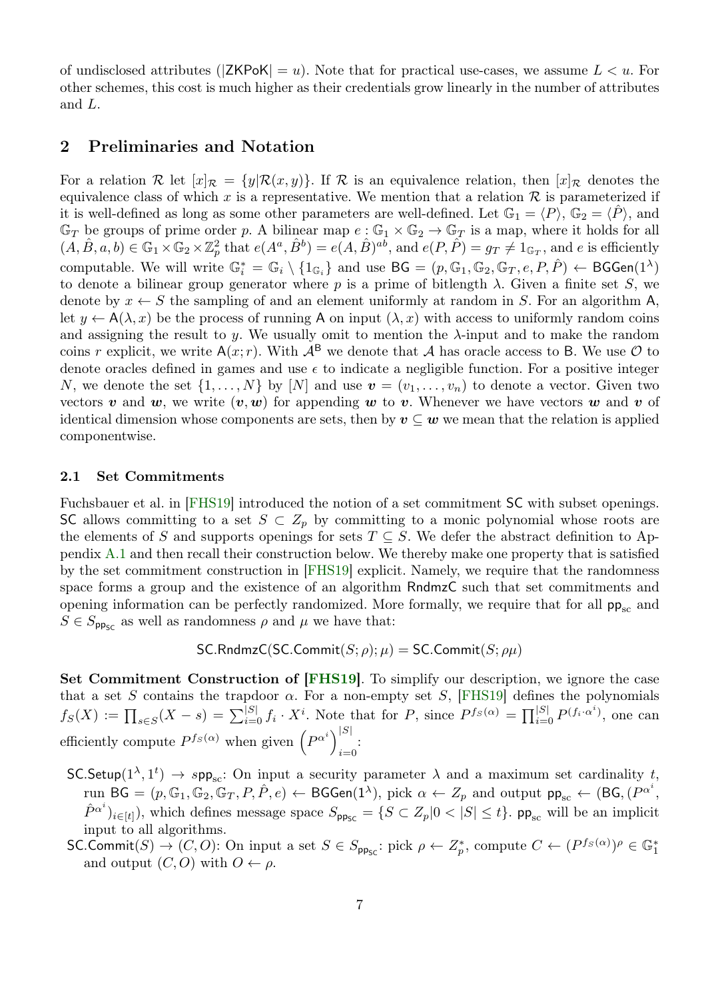of undisclosed attributes ( $|ZKPoK| = u$ ). Note that for practical use-cases, we assume  $L < u$ . For other schemes, this cost is much higher as their credentials grow linearly in the number of attributes and L.

# 2 Preliminaries and Notation

For a relation R let  $[x]_{\mathcal{R}} = \{y | \mathcal{R}(x, y)\}\.$  If R is an equivalence relation, then  $[x]_{\mathcal{R}}$  denotes the equivalence class of which x is a representative. We mention that a relation  $\mathcal R$  is parameterized if it is well-defined as long as some other parameters are well-defined. Let  $\mathbb{G}_1 = \langle P \rangle$ ,  $\mathbb{G}_2 = \langle P \rangle$ , and  $\mathbb{G}_T$  be groups of prime order p. A bilinear map  $e : \mathbb{G}_1 \times \mathbb{G}_2 \to \mathbb{G}_T$  is a map, where it holds for all  $(A, \hat{B}, a, b) \in \mathbb{G}_1 \times \mathbb{G}_2 \times \mathbb{Z}_p^2$  that  $e(A^a, \hat{B}^b) = e(A, \hat{B})^{ab}$ , and  $e(P, \hat{P}) = g_T \neq 1_{\mathbb{G}_T}$ , and e is efficiently computable. We will write  $\mathbb{G}_i^* = \mathbb{G}_i \setminus \{1_{\mathbb{G}_i}\}\$ and use  $\mathsf{BG} = (p, \mathbb{G}_1, \mathbb{G}_2, \mathbb{G}_T, e, P, \hat{P}) \leftarrow \mathsf{BGGen}(1^{\lambda})$ to denote a bilinear group generator where p is a prime of bitlength  $\lambda$ . Given a finite set S, we denote by  $x \leftarrow S$  the sampling of and an element uniformly at random in S. For an algorithm A, let  $y \leftarrow A(\lambda, x)$  be the process of running A on input  $(\lambda, x)$  with access to uniformly random coins and assigning the result to y. We usually omit to mention the  $\lambda$ -input and to make the random coins r explicit, we write  $A(x; r)$ . With  $A^B$  we denote that A has oracle access to B. We use  $\mathcal O$  to denote oracles defined in games and use  $\epsilon$  to indicate a negligible function. For a positive integer N, we denote the set  $\{1,\ldots,N\}$  by  $[N]$  and use  $\boldsymbol{v}=(v_1,\ldots,v_n)$  to denote a vector. Given two vectors v and w, we write  $(v, w)$  for appending w to v. Whenever we have vectors w and v of identical dimension whose components are sets, then by  $v \subseteq w$  we mean that the relation is applied componentwise.

# <span id="page-6-0"></span>2.1 Set Commitments

Fuchsbauer et al. in [\[FHS19\]](#page-25-1) introduced the notion of a set commitment SC with subset openings. SC allows committing to a set  $S \subset Z_p$  by committing to a monic polynomial whose roots are the elements of S and supports openings for sets  $T \subseteq S$ . We defer the abstract definition to Appendix [A.1](#page-26-5) and then recall their construction below. We thereby make one property that is satisfied by the set commitment construction in [\[FHS19\]](#page-25-1) explicit. Namely, we require that the randomness space forms a group and the existence of an algorithm RndmzC such that set commitments and opening information can be perfectly randomized. More formally, we require that for all  $pp_{sc}$  and  $S \in S_{\text{pp}_{\text{SC}}}$  as well as randomness  $\rho$  and  $\mu$  we have that:

SC.RndmzC(SC:Commit(
$$
S; \rho
$$
);  $\mu$ ) = SC.Commit( $S; \rho\mu$ )

Set Commitment Construction of [\[FHS19\]](#page-25-1). To simplify our description, we ignore the case that a set S contains the trapdoor  $\alpha$ . For a non-empty set S, [\[FHS19\]](#page-25-1) defines the polynomials  $f_S(X) := \prod_{s \in S} (X - s) = \sum_{i=0}^{|S|} f_i \cdot X^i$ . Note that for P, since  $P^{f_S(\alpha)} = \prod_{i=0}^{|S|} P^{(f_i \cdot \alpha^i)}$ , one can efficiently compute  $P^{f_S(\alpha)}$  when given  $(P^{\alpha^i})^{|S|}$  $i=0$ 

- SC.Setup $(1^{\lambda}, 1^t) \rightarrow spp_{sc}$ : On input a security parameter  $\lambda$  and a maximum set cardinality t, run BG = (p, G<sub>1</sub>, G<sub>2</sub>, G<sub>T</sub>, P, P̂, e)  $\leftarrow$  BGGen(1<sup> $\lambda$ </sup>), pick  $\alpha \leftarrow Z_p$  and output  $\mathsf{pp}_{\mathrm{sc}} \leftarrow (\mathsf{BG}, (P^{\alpha^i},$  $(\hat{P}^{\alpha^i})_{i \in [t]}$ , which defines message space  $S_{\text{pp}_{\text{SC}}} = \{ S \subset Z_p | 0 < |S| \leq t \}$ . pp<sub>sc</sub> will be an implicit input to all algorithms.
- $\mathsf{SC}. \mathsf{Commit}(S) \to (C, O)$ : On input a set  $S \in S_{\mathsf{pp}_{\mathsf{SC}}}$ : pick  $\rho \leftarrow Z_p^*$ , compute  $C \leftarrow (P^{f_S(\alpha)})^\rho \in \mathbb{G}_1^*$ and output  $(C, O)$  with  $O \leftarrow \rho$ .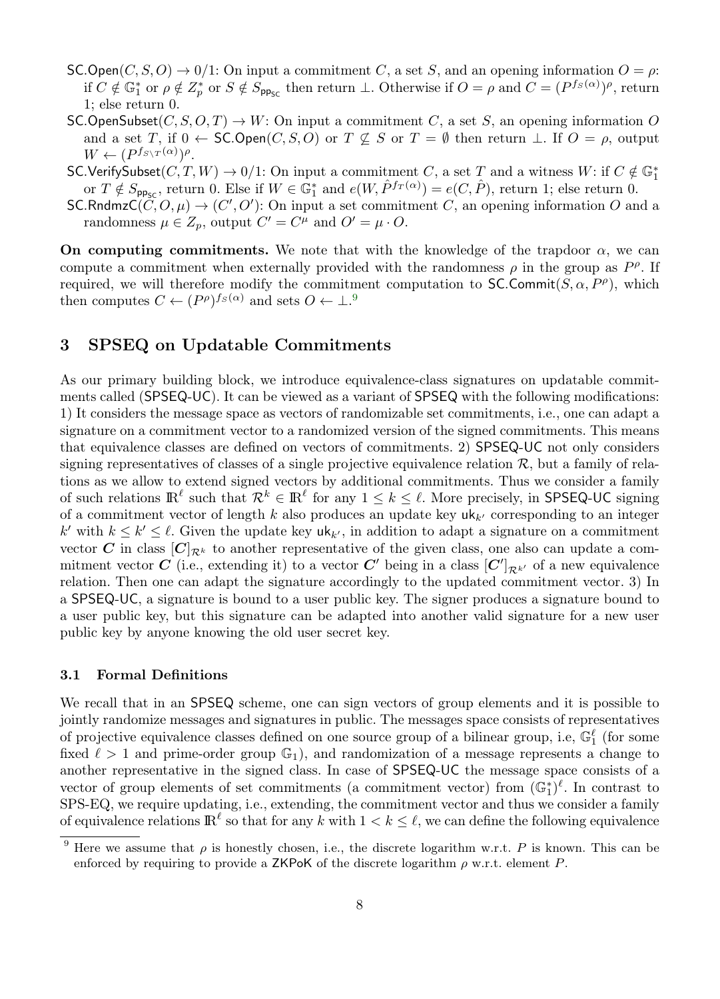- SC.Open $(C, S, O) \rightarrow 0/1$ : On input a commitment C, a set S, and an opening information  $O = \rho$ : if  $C \notin \mathbb{G}_1^*$  or  $\rho \notin Z_p^*$  or  $S \notin S_{\mathsf{pp}_{\mathsf{SC}}}$  then return  $\perp$ . Otherwise if  $O = \rho$  and  $C = (P^{f_S(\alpha)})^{\rho}$ , return 1; else return 0.
- SC.OpenSubset $(C, S, O, T) \to W$ : On input a commitment C, a set S, an opening information O and a set T, if  $0 \leftarrow$  SC.Open $(C, S, O)$  or  $T \not\subseteq S$  or  $T = \emptyset$  then return  $\perp$ . If  $O = \rho$ , output  $W \leftarrow (P^{f_{S\setminus T}(\alpha)})^{\rho}.$
- SC.VerifySubset $(C, T, W) \to 0/1$ : On input a commitment C, a set T and a witness  $W$ : if  $C \notin \mathbb{G}_1^*$ or  $T \notin S_{\text{pp}_{\text{SC}}}$ , return 0. Else if  $W \in \mathbb{G}_1^*$  and  $e(W, \hat{P}^{f_T(\alpha)}) = e(C, \hat{P})$ , return 1; else return 0.
- $\mathsf{SC.RndmzC}(\tilde{C},O,\mu) \to (C',O')$ : On input a set commitment C, an opening information O and a randomness  $\mu \in Z_p$ , output  $C' = C^{\mu}$  and  $O' = \mu \cdot O$ .

On computing commitments. We note that with the knowledge of the trapdoor  $\alpha$ , we can compute a commitment when externally provided with the randomness  $\rho$  in the group as  $P^{\rho}$ . If required, we will therefore modify the commitment computation to SC.Commit $(S, \alpha, P^{\rho})$ , which then computes  $C \leftarrow (P^{\rho})^{fs(\alpha)}$  and sets  $O \leftarrow \perp.^9$  $O \leftarrow \perp.^9$ 

# <span id="page-7-1"></span>3 SPSEQ on Updatable Commitments

As our primary building block, we introduce equivalence-class signatures on updatable commitments called (SPSEQ-UC). It can be viewed as a variant of SPSEQ with the following modifications: 1) It considers the message space as vectors of randomizable set commitments, i.e., one can adapt a signature on a commitment vector to a randomized version of the signed commitments. This means that equivalence classes are defined on vectors of commitments. 2) SPSEQ-UC not only considers signing representatives of classes of a single projective equivalence relation  $\mathcal{R}$ , but a family of relations as we allow to extend signed vectors by additional commitments. Thus we consider a family of such relations  $\mathbb{R}^\ell$  such that  $\mathcal{R}^k \in \mathbb{R}^\ell$  for any  $1 \leq k \leq \ell$ . More precisely, in SPSEQ-UC signing of a commitment vector of length k also produces an update key  $uk_{k'}$  corresponding to an integer k' with  $k \leq k' \leq \ell$ . Given the update key  $uk_{k'}$ , in addition to adapt a signature on a commitment vector C in class  $[C]_{\mathcal{R}^k}$  to another representative of the given class, one also can update a commitment vector  $C$  (i.e., extending it) to a vector  $C'$  being in a class  $[C']_{\mathcal{R}^{k'}}$  of a new equivalence relation. Then one can adapt the signature accordingly to the updated commitment vector. 3) In a SPSEQ-UC, a signature is bound to a user public key. The signer produces a signature bound to a user public key, but this signature can be adapted into another valid signature for a new user public key by anyone knowing the old user secret key.

# 3.1 Formal Definitions

We recall that in an SPSEQ scheme, one can sign vectors of group elements and it is possible to jointly randomize messages and signatures in public. The messages space consists of representatives of projective equivalence classes defined on one source group of a bilinear group, i.e,  $\mathbb{G}_1^{\ell}$  (for some fixed  $\ell > 1$  and prime-order group  $\mathbb{G}_1$ , and randomization of a message represents a change to another representative in the signed class. In case of SPSEQ-UC the message space consists of a vector of group elements of set commitments (a commitment vector) from  $(\mathbb{G}_1^*)^{\ell}$ . In contrast to SPS-EQ, we require updating, i.e., extending, the commitment vector and thus we consider a family of equivalence relations  $\mathbb{R}^{\ell}$  so that for any k with  $1 < k \leq \ell$ , we can define the following equivalence

<span id="page-7-0"></span><sup>&</sup>lt;sup>9</sup> Here we assume that  $\rho$  is honestly chosen, i.e., the discrete logarithm w.r.t. P is known. This can be enforced by requiring to provide a ZKPoK of the discrete logarithm  $\rho$  w.r.t. element P.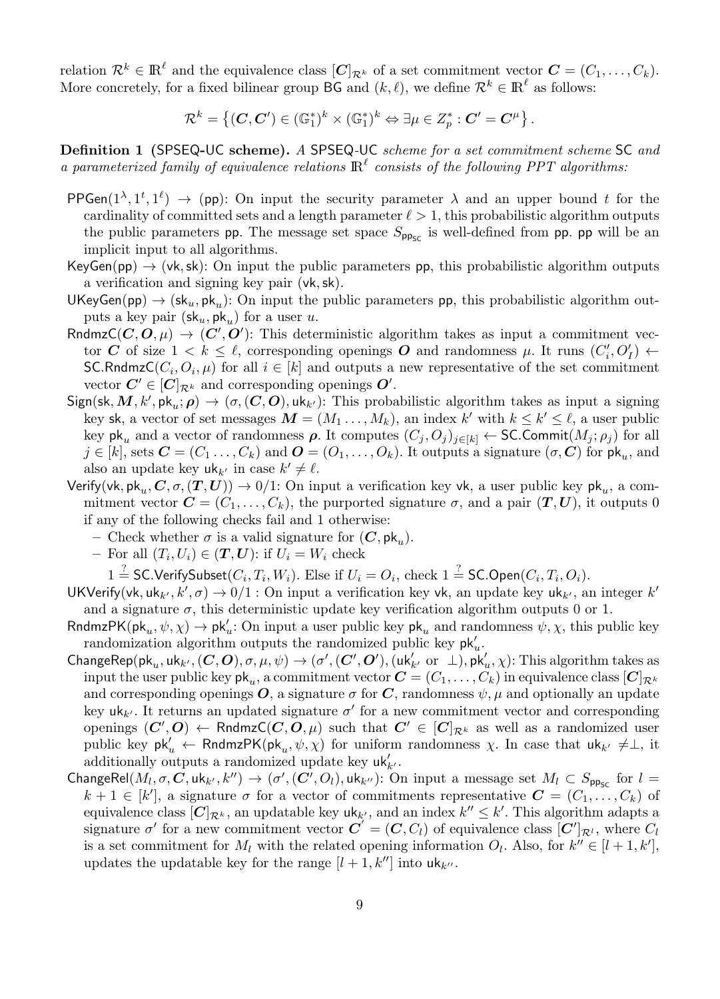relation  $\mathcal{R}^k \in \mathbb{R}^{\ell}$  and the equivalence class  $[\mathbf{C}]_{\mathcal{R}^k}$  of a set commitment vector  $\mathbf{C} = (C_1, \ldots, C_k)$ . More concretely, for a fixed bilinear group BG and  $(k, \ell)$ , we define  $\mathcal{R}^k \in \mathbb{R}^{\ell}$  as follows:

$$
\mathcal{R}^k = \left\{ (C, C') \in (\mathbb{G}_1^*)^k \times (\mathbb{G}_1^*)^k \Leftrightarrow \exists \mu \in Z_p^* : C' = C^{\mu} \right\}.
$$

Definition 1 (SPSEQ-UC scheme). A SPSEQ-UC scheme for a set commitment scheme SC and a parameterized family of equivalence relations  $\mathbb{R}^{\ell}$  consists of the following PPT algorithms:

- PPGen( $1^{\lambda}, 1^t, 1^{\ell}$ )  $\rightarrow$  (pp): On input the security parameter  $\lambda$  and an upper bound t for the cardinality of committed sets and a length parameter  $\ell > 1$ , this probabilistic algorithm outputs the public parameters pp. The message set space  $S_{\text{pp}_{\text{SC}}}$  is well-defined from pp. pp will be an implicit input to all algorithms.
- KeyGen(pp)  $\rightarrow$  (vk, sk): On input the public parameters pp, this probabilistic algorithm outputs a verification and signing key pair (vk,sk).
- UKeyGen(pp)  $\rightarrow$  (sk<sub>u</sub>, pk<sub>u</sub>): On input the public parameters pp, this probabilistic algorithm outputs a key pair  $(\mathsf{sk}_u, \mathsf{pk}_u)$  for a user u.
- RndmzC( $C, O, \mu$ )  $\rightarrow (C', O')$ : This deterministic algorithm takes as input a commitment vector C of size  $1 < k \leq \ell$ , corresponding openings O and randomness  $\mu$ . It runs  $(C_i', O'_I) \leftarrow$  $\mathsf{SC.RndmzC}(C_i, O_i, \mu)$  for all  $i \in [k]$  and outputs a new representative of the set commitment vector  $C' \in [C]_{\mathcal{R}^k}$  and corresponding openings  $O'.$
- $Sign(\mathsf{sk}, M, k', \mathsf{pk}_u; \rho) \rightarrow (\sigma, (C, O), \mathsf{uk}_{k'})$ : This probabilistic algorithm takes as input a signing key sk, a vector of set messages  $M = (M_1, \ldots, M_k)$ , an index k' with  $k \leq k' \leq \ell$ , a user public key pk<sub>u</sub> and a vector of randomness  $\rho$ . It computes  $(C_i, O_j)_{i \in [k]} \leftarrow$  SC.Commit $(M_i; \rho_i)$  for all  $j \in [k]$ , sets  $\bm{C} = (C_1 \ldots, C_k)$  and  $\bm{O} = (O_1, \ldots, O_k)$ . It outputs a signature  $(\sigma, \bm{C})$  for  $\bm{\mathsf{pk}}_u$ , and also an update key  $uk_k$  in case  $k' \neq \ell$ .
- Verify(vk, pk<sub>u</sub>, C,  $\sigma$ ,  $(T, U)$ )  $\rightarrow$  0/1: On input a verification key vk, a user public key pk<sub>u</sub>, a commitment vector  $\mathbf{C} = (C_1, \ldots, C_k)$ , the purported signature  $\sigma$ , and a pair  $(\mathbf{T}, \mathbf{U})$ , it outputs 0 if any of the following checks fail and 1 otherwise:
	- Check whether  $\sigma$  is a valid signature for  $(C, \mathsf{pk}_u)$ .
		- For all  $(T_i, U_i) \in (T, U)$ : if  $U_i = W_i$  check

 $1 \stackrel{?}{=}$  SC.VerifySubset $(C_i, T_i, W_i)$ . Else if  $U_i = O_i$ , check  $1 \stackrel{?}{=}$  SC.Open $(C_i, T_i, O_i)$ .

- UKVerify(vk, uk<sub>k'</sub>, k',  $\sigma$ )  $\rightarrow$  0/1 : On input a verification key vk, an update key uk<sub>k'</sub>, an integer k' and a signature  $\sigma$ , this deterministic update key verification algorithm outputs 0 or 1.
- RndmzPK( $\mathsf{pk}_u, \psi, \chi$ )  $\to \mathsf{pk}'_u$ : On input a user public key  $\mathsf{pk}_u$  and randomness  $\psi, \chi$ , this public key randomization algorithm outputs the randomized public key  $\mathsf{pk}'_u$ .
- $\mathsf{ChangeRep}(\mathsf{pk}_u,\mathsf{uk}_{k'},(\mathbf{C},\mathbf{O}),\sigma,\mu,\psi) \rightarrow (\sigma',(\mathbf{C}',\mathbf{O}'),(\mathsf{uk}_{k'}'\text{ or }\bot),\mathsf{pk}_u',\chi)$ : This algorithm takes as input the user public key  $\mathsf{pk}_u$ , a commitment vector  $\bm{C} = (C_1, \ldots, C_k)$  in equivalence class  $[\bm{C}]_{\mathcal{R}^k}$ and corresponding openings  $O$ , a signature  $\sigma$  for C, randomness  $\psi$ ,  $\mu$  and optionally an update key  $uk_{k'}$ . It returns an updated signature  $\sigma'$  for a new commitment vector and corresponding openings  $(C', O) \leftarrow \mathsf{RndmzC}(C, O, \mu)$  such that  $C' \in [C]_{\mathcal{R}^k}$  as well as a randomized user public key  $pk'_u \leftarrow$  RndmzPK $(pk_u, \psi, \chi)$  for uniform randomness  $\chi$ . In case that  $uk_{k'} \neq \perp$ , it additionally outputs a randomized update key  $\mathsf{u}\mathsf{k}'_{k'}$ .
- ChangeRel $(M_l, \sigma, C, \text{uk}_{k'}, k'') \rightarrow (\sigma', (C', O_l), \text{uk}_{k''})$ : On input a message set  $M_l \subset S_{\text{pp}_{\text{SC}}}$  for  $l =$  $k+1 \in [k']$ , a signature  $\sigma$  for a vector of commitments representative  $\mathbf{C} = (C_1, \ldots, C_k)$  of equivalence class  $[C]_{\mathcal{R}^k}$ , an updatable key  $uk_{k'}$ , and an index  $k'' \leq k'$ . This algorithm adapts a signature  $\sigma'$  for a new commitment vector  $\vec{C} = (C, C_l)$  of equivalence class  $[C']_{\mathcal{R}^l}$ , where  $C_l$ is a set commitment for  $M_l$  with the related opening information  $O_l$ . Also, for  $k'' \in [l + 1, k']$ , updates the updatable key for the range  $[l + 1, k'']$  into  $uk_{k''}$ .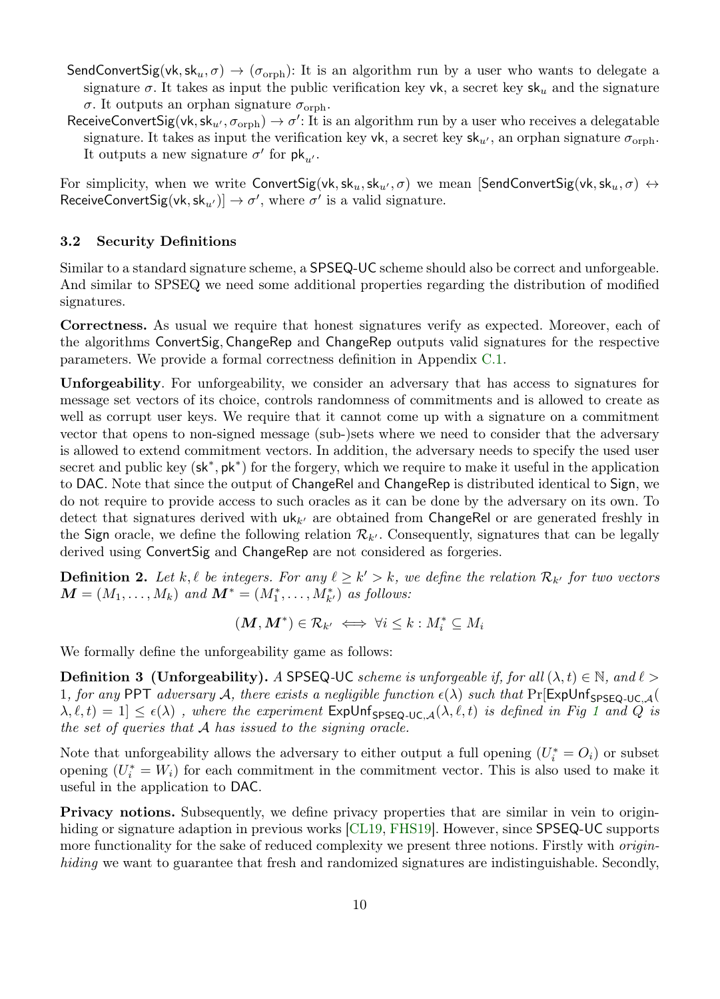- SendConvertSig(vk, sk<sub>u</sub>,  $\sigma$ )  $\rightarrow$  ( $\sigma$ <sub>orph</sub>): It is an algorithm run by a user who wants to delegate a signature  $\sigma$ . It takes as input the public verification key vk, a secret key sk<sub>u</sub> and the signature σ. It outputs an orphan signature  $σ$ <sub>orph</sub>.
- ReceiveConvertSig(vk, sk<sub>u'</sub>,  $\sigma_{\text{orph}}$ )  $\to \sigma'$ : It is an algorithm run by a user who receives a delegatable signature. It takes as input the verification key vk, a secret key  $sk_u$ , an orphan signature  $\sigma_{\text{orph}}$ . It outputs a new signature  $\sigma'$  for  $pk_{u'}$ .

For simplicity, when we write ConvertSig(vk,sk<sub>u</sub>,sk<sub>u</sub>,  $\sigma$ ) we mean [SendConvertSig(vk,sk<sub>u</sub>,  $\sigma$ )  $\leftrightarrow$ ReceiveConvertSig(vk, sk<sub>u'</sub>)]  $\rightarrow \sigma'$ , where  $\sigma'$  is a valid signature.

# 3.2 Security Definitions

Similar to a standard signature scheme, a SPSEQ-UC scheme should also be correct and unforgeable. And similar to SPSEQ we need some additional properties regarding the distribution of modified signatures.

Correctness. As usual we require that honest signatures verify as expected. Moreover, each of the algorithms ConvertSig, ChangeRep and ChangeRep outputs valid signatures for the respective parameters. We provide a formal correctness definition in Appendix [C.1.](#page-30-0)

Unforgeability. For unforgeability, we consider an adversary that has access to signatures for message set vectors of its choice, controls randomness of commitments and is allowed to create as well as corrupt user keys. We require that it cannot come up with a signature on a commitment vector that opens to non-signed message (sub-)sets where we need to consider that the adversary is allowed to extend commitment vectors. In addition, the adversary needs to specify the used user secret and public key  $(\mathsf{sk}^*, \mathsf{pk}^*)$  for the forgery, which we require to make it useful in the application to DAC. Note that since the output of ChangeRel and ChangeRep is distributed identical to Sign, we do not require to provide access to such oracles as it can be done by the adversary on its own. To detect that signatures derived with  $uk_{k'}$  are obtained from ChangeRel or are generated freshly in the Sign oracle, we define the following relation  $\mathcal{R}_{k'}$ . Consequently, signatures that can be legally derived using ConvertSig and ChangeRep are not considered as forgeries.

**Definition 2.** Let k,  $\ell$  be integers. For any  $\ell \geq k' > k$ , we define the relation  $\mathcal{R}_{k'}$  for two vectors  $\boldsymbol{M} = (M_1, \ldots, M_k)$  and  $\boldsymbol{M}^* = (M_1^*, \ldots, M_{k'}^*)$  as follows:

<span id="page-9-1"></span><span id="page-9-0"></span>
$$
(\boldsymbol{M},\boldsymbol{M}^*)\in\mathcal{R}_{k'}\iff\forall i\leq k:M_i^*\subseteq M_i
$$

We formally define the unforgeability game as follows:

**Definition 3** (Unforgeability). A SPSEQ-UC scheme is unforgeable if, for all  $(\lambda, t) \in \mathbb{N}$ , and  $\ell >$ 1, for any PPT adversary A, there exists a negligible function  $\epsilon(\lambda)$  such that Pr[ExpUnf<sub>SPSEQ-UC A</sub>(  $\lambda, \ell, t) = 1] \leq \epsilon(\lambda)$  $\lambda, \ell, t) = 1] \leq \epsilon(\lambda)$  $\lambda, \ell, t) = 1] \leq \epsilon(\lambda)$ , where the experiment  $\epsilon$ xpUnf<sub>SPSEQ-UC, $\mathcal{A}(\lambda, \ell, t)$  is defined in Fig 1 and Q is</sub> the set of queries that A has issued to the signing oracle.

Note that unforgeability allows the adversary to either output a full opening  $(U_i^* = O_i)$  or subset opening  $(U_i^* = W_i)$  for each commitment in the commitment vector. This is also used to make it useful in the application to DAC.

Privacy notions. Subsequently, we define privacy properties that are similar in vein to origin-hiding or signature adaption in previous works [\[CL19,](#page-25-6) [FHS19\]](#page-25-1). However, since **SPSEQ-UC** supports more functionality for the sake of reduced complexity we present three notions. Firstly with *origin*hiding we want to guarantee that fresh and randomized signatures are indistinguishable. Secondly,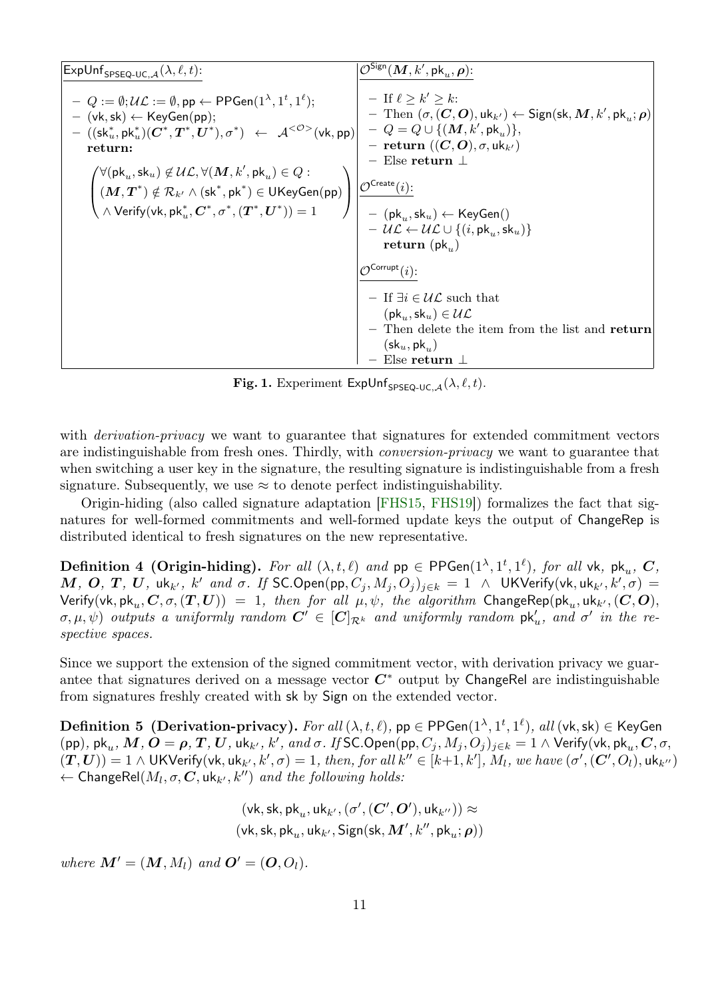| $\mathsf{ExpUnf}_{\mathsf{SPSEQ-UC},\mathcal{A}}(\lambda,\ell,t)$ :                                                                                                                                                                                                                                                                                                                                                                                                                                                                                                                                                                                                                                                                                                                                             | $\mathcal{O}^{\mathsf{Sign}}(\bm{M}, k', \mathsf{pk}_u, \bm{\rho})$ :                                                                                                                                                                                                                                                                                                                                                                                                                                                                                                                                          |
|-----------------------------------------------------------------------------------------------------------------------------------------------------------------------------------------------------------------------------------------------------------------------------------------------------------------------------------------------------------------------------------------------------------------------------------------------------------------------------------------------------------------------------------------------------------------------------------------------------------------------------------------------------------------------------------------------------------------------------------------------------------------------------------------------------------------|----------------------------------------------------------------------------------------------------------------------------------------------------------------------------------------------------------------------------------------------------------------------------------------------------------------------------------------------------------------------------------------------------------------------------------------------------------------------------------------------------------------------------------------------------------------------------------------------------------------|
| $-Q := \emptyset; \mathcal{UL} := \emptyset$ , pp $\leftarrow$ PPGen $(1^{\lambda}, 1^t, 1^{\ell});$<br>$-$ (vk, sk) $\leftarrow$ KeyGen(pp);<br>$-\ ((\mathsf{sk}^*_u, \mathsf{pk}^*_u)(\mathbf{C}^*, \mathbf{T}^*, \mathbf{U}^*), \sigma^*) \ \leftarrow \ \mathcal{A}^{<\mathcal{O}>}(\mathsf{vk}, \mathsf{pp})\big  \ - \ Q = Q \cup \{(\mathbf{M}, k', \mathsf{pk}_u)\},$<br>return:<br>$\begin{pmatrix} \forall (\mathsf{pk}_u, \mathsf{sk}_u) \not\in \mathcal{UL}, \forall (\boldsymbol{M}, k', \mathsf{pk}_u) \in Q: \\ (\boldsymbol{M}, \boldsymbol{T}^*) \notin \mathcal{R}_{k'} \land (\mathsf{sk}^*, \mathsf{pk}^*) \in \mathsf{UKeyGen}(\mathsf{pp}) \\ \wedge \mathsf{Verify}(\mathsf{vk}, \mathsf{pk}_u^*, \boldsymbol{C}^*, \sigma^*, (\boldsymbol{T}^*, \boldsymbol{U}^*)) = 1 \end{pmatrix}$ | $-$ If $\ell > k' > k$ :<br>$-$ Then $(\sigma, (C, O), \text{uk}_{k'}) \leftarrow$ Sign(sk, M, k', pk <sub>n</sub> ; $\rho$ )<br>$-$ return $((C, O), \sigma, \mathsf{uk}_{k'})$<br>$-$ Else return $\perp$<br>$\mathcal{O}^{\mathsf{Create}}(i)$ :<br>$\left\  \int \right\ $ = (pk <sub>u</sub> , sk <sub>u</sub> ) $\leftarrow$ KeyGen()<br>$- \mathcal{UL} \leftarrow \mathcal{UL} \cup \{(i, \text{pk}_{u}, \text{sk}_{u})\}$<br>return $(\mathsf{pk}_{n})$<br>$\mathcal{O}^{\text{Corrupt}}(i)$ :<br>$-$ If $\exists i \in \mathcal{UL}$ such that<br>$(\mathsf{pk}_{u},\mathsf{sk}_{u})\in\mathcal{UL}$ |
|                                                                                                                                                                                                                                                                                                                                                                                                                                                                                                                                                                                                                                                                                                                                                                                                                 | - Then delete the item from the list and return<br>$(\mathsf{sk}_u, \mathsf{pk}_u)$                                                                                                                                                                                                                                                                                                                                                                                                                                                                                                                            |
|                                                                                                                                                                                                                                                                                                                                                                                                                                                                                                                                                                                                                                                                                                                                                                                                                 | Else return $\perp$                                                                                                                                                                                                                                                                                                                                                                                                                                                                                                                                                                                            |

<span id="page-10-1"></span><span id="page-10-0"></span>Fig. 1. Experiment ExpUnf<sub>SPSEQ-UC,  $A(\lambda, \ell, t)$ .</sub>

with *derivation-privacy* we want to guarantee that signatures for extended commitment vectors are indistinguishable from fresh ones. Thirdly, with conversion-privacy we want to guarantee that when switching a user key in the signature, the resulting signature is indistinguishable from a fresh signature. Subsequently, we use  $\approx$  to denote perfect indistinguishability.

Origin-hiding (also called signature adaptation [\[FHS15,](#page-25-13) [FHS19\]](#page-25-1)) formalizes the fact that signatures for well-formed commitments and well-formed update keys the output of ChangeRep is distributed identical to fresh signatures on the new representative.

**Definition 4 (Origin-hiding).** For all  $(\lambda, t, \ell)$  and  $pp \in \mathsf{PPGen}(1^\lambda, 1^t, 1^\ell)$ , for all vk,  $pk_u$ ,  $\mathbf{C}$ ,  $M, O, T, U$ , uk $_{k'}$ ,  $k'$  and  $\sigma$ . If SC.Open $(\text{pp}, C_j, M_j, O_j)_{j \in k} = 1$   $\wedge$  UKVerify(vk, uk $_{k'}, k', \sigma$ ) =  ${\sf Verify}({\sf vk}, {\sf pk}_u, {\bm{C}}, \sigma, ({\bm{T}}, {\bm{U}}))~=~1,~ then~ for~ all~ \mu, \psi, ~the~ algorithm~ ChangeRep({\sf pk}_u, {\sf uk}_{k'}, ({\bm{C}}, {\bm{O}}),$  $(\sigma,\mu,\psi)$  outputs a uniformly random  $\boldsymbol{C}'\in [\boldsymbol{C}]_{\mathcal{R}^k}$  and uniformly random  $\mathsf{pk}_u'$ , and  $\sigma'$  in the respective spaces.

Since we support the extension of the signed commitment vector, with derivation privacy we guarantee that signatures derived on a message vector  $C^*$  output by ChangeRel are indistinguishable from signatures freshly created with sk by Sign on the extended vector.

Definition 5 (Derivation-privacy). For all  $(\lambda, t, \ell)$ , pp  $\in \mathsf{PPGen}(1^\lambda, 1^t, 1^\ell),$  all  $(\mathsf{vk}, \mathsf{sk}) \in \mathsf{KeyGen}$  $({\sf pp}),\, {\sf pk}_u,\, {\sf M},\, {\sf O}={\sf \rho},\, T,\, U,\, {\sf uk}_{k'},\, k',\, and\, \sigma$  . If SC.Open $({\sf pp},C_j,M_j,O_j)_{j\in k}=1$   $\wedge$  Verify(vk,  ${\sf pk}_u,\, C,\sigma,\,$  $(T,U))=1\wedge \mathsf{UKVerify}(\mathsf{vk},\mathsf{uk}_{k'},k',\sigma)=1,\,then,\,for\,all\,k''\in [k+1,k'],\,M_l,\,we\,have\,(\sigma',(C',O_l),\mathsf{uk}_{k''})$  $\leftarrow$  ChangeRel $(M_l, \sigma, C, \mathsf{uk}_{k'}, k'')$  and the following holds:

> <span id="page-10-2"></span> $(\mathsf{vk}, \mathsf{sk}, \mathsf{pk}_u, \mathsf{uk}_{k'}, (\sigma', (\mathbf{C}', \mathbf{O}'), \mathsf{uk}_{k''})) \approx$  $(\mathsf{vk}, \mathsf{sk}, \allowbreak \mathsf{pk}_u, \allowbreak \mathsf{uk}_{k'}, \mathsf{Sign}(\mathsf{sk}, \allowbreak \boldsymbol{M}', \allowbreak k'', \allowbreak \mathsf{pk}_u; \allowbreak \boldsymbol{\rho}))$

where  $\mathbf{M}' = (\mathbf{M}, M_l)$  and  $\mathbf{O}' = (\mathbf{O}, O_l)$ .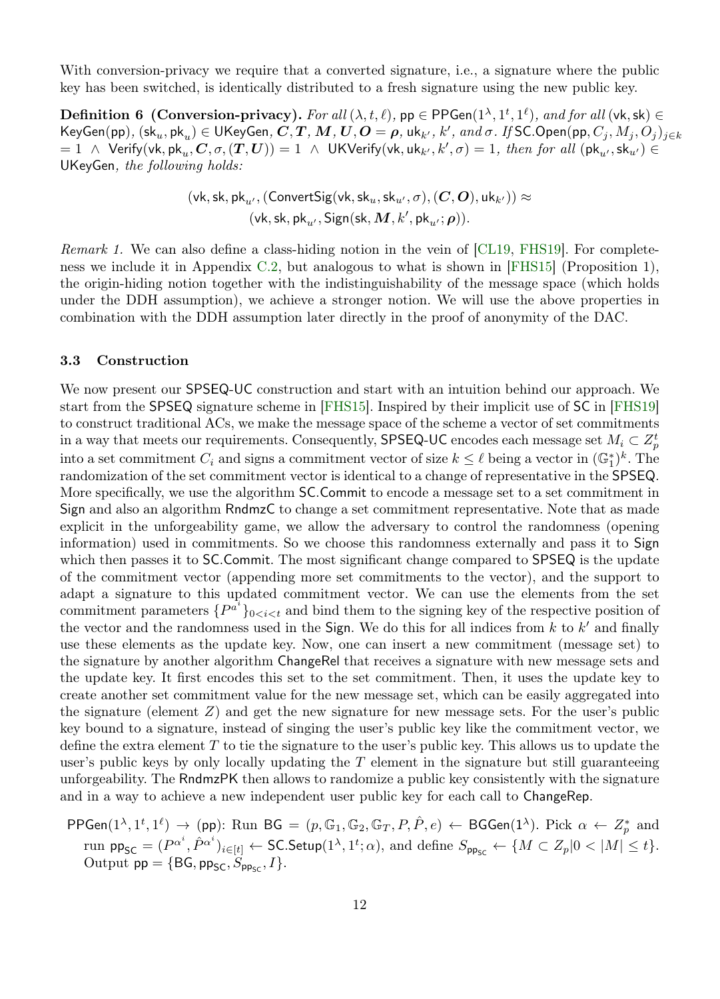With conversion-privacy we require that a converted signature, i.e., a signature where the public key has been switched, is identically distributed to a fresh signature using the new public key.

**Definition 6 (Conversion-privacy).** For all  $(\lambda, t, \ell)$ ,  $pp \in \text{PPGen}(1^{\lambda}, 1^t, 1^{\ell})$ , and for all  $(\forall k, sk) \in$  ${\sf KeyGen}({\sf pp}),\,({\sf sk}_u,{\sf pk}_u)\in {\sf UK}$ eyGen,  $\bm{C},\bm{T},\bm{M},\bm{U},\bm{O}=\bm{\rho},$  uk $_{k'},\,k',\,and\,\sigma.$  If SC.Open $({\sf pp},C_j,M_j,O_j)_{j\in k}$  $t=1$   $\wedge$  Verify(vk, pk $_u$ ,  $C, \sigma, (T, U)$ )  $=1$   $\wedge$  UKVerify(vk, uk $_{k'}, k', \sigma) = 1$ , then for all (pk $_{u'}, \textsf{sk}_{u'}) \in$ UKeyGen, the following holds:

<span id="page-11-0"></span>
$$
(\mathsf{vk}, \mathsf{sk}, \mathsf{pk}_{u'}, (\mathsf{ConvertSig}(\mathsf{vk}, \mathsf{sk}_u, \mathsf{sk}_{u'}, \sigma), (\mathbf{C}, \mathbf{O}), \mathsf{uk}_{k'})) \approx \\ (\mathsf{vk}, \mathsf{sk}, \mathsf{pk}_{u'}, \mathsf{Sign}(\mathsf{sk}, \mathbf{M}, k', \mathsf{pk}_{u'}; \boldsymbol{\rho})).
$$

Remark 1. We can also define a class-hiding notion in the vein of [\[CL19,](#page-25-6) [FHS19\]](#page-25-1). For completeness we include it in Appendix [C.2,](#page-30-1) but analogous to what is shown in [\[FHS15\]](#page-25-13) (Proposition 1), the origin-hiding notion together with the indistinguishability of the message space (which holds under the DDH assumption), we achieve a stronger notion. We will use the above properties in combination with the DDH assumption later directly in the proof of anonymity of the DAC.

# <span id="page-11-1"></span>3.3 Construction

We now present our SPSEQ-UC construction and start with an intuition behind our approach. We start from the SPSEQ signature scheme in [\[FHS15\]](#page-25-13). Inspired by their implicit use of SC in [\[FHS19\]](#page-25-1) to construct traditional ACs, we make the message space of the scheme a vector of set commitments in a way that meets our requirements. Consequently, SPSEQ-UC encodes each message set  $M_i \subset Z_p^t$ into a set commitment  $C_i$  and signs a commitment vector of size  $k \leq \ell$  being a vector in  $(\mathbb{G}_1^*)^k$ . The randomization of the set commitment vector is identical to a change of representative in the SPSEQ. More specifically, we use the algorithm SC.Commit to encode a message set to a set commitment in Sign and also an algorithm RndmzC to change a set commitment representative. Note that as made explicit in the unforgeability game, we allow the adversary to control the randomness (opening information) used in commitments. So we choose this randomness externally and pass it to Sign which then passes it to **SC.Commit.** The most significant change compared to **SPSEQ** is the update of the commitment vector (appending more set commitments to the vector), and the support to adapt a signature to this updated commitment vector. We can use the elements from the set commitment parameters  $\{P^{a_i}\}_{0 \leq i \leq t}$  and bind them to the signing key of the respective position of the vector and the randomness used in the Sign. We do this for all indices from  $k$  to  $k'$  and finally use these elements as the update key. Now, one can insert a new commitment (message set) to the signature by another algorithm ChangeRel that receives a signature with new message sets and the update key. It first encodes this set to the set commitment. Then, it uses the update key to create another set commitment value for the new message set, which can be easily aggregated into the signature (element Z) and get the new signature for new message sets. For the user's public key bound to a signature, instead of singing the user's public key like the commitment vector, we define the extra element  $T$  to tie the signature to the user's public key. This allows us to update the user's public keys by only locally updating the  $T$  element in the signature but still guaranteeing unforgeability. The RndmzPK then allows to randomize a public key consistently with the signature and in a way to achieve a new independent user public key for each call to ChangeRep.

PPGen(1<sup>λ</sup>, 1<sup>t</sup>, 1<sup>ℓ</sup>) 
$$
\rightarrow
$$
 (pp): Run BG =  $(p, \mathbb{G}_1, \mathbb{G}_2, \mathbb{G}_T, P, \hat{P}, e) \leftarrow$  BGGen(1<sup>λ</sup>). Pick  $\alpha \leftarrow Z_p^*$  and run pp<sub>SC</sub> =  $(P^{\alpha^i}, \hat{P}^{\alpha^i})_{i \in [t]} \leftarrow$  SC.Setup(1<sup>λ</sup>, 1<sup>t</sup>;  $\alpha$ ), and define  $S_{\text{pp}_{\text{SC}}} \leftarrow \{M \subset Z_p | 0 < |M| \leq t\}$ .  
Output pp = {BG, pp<sub>SC</sub>,  $S_{\text{pp}_{\text{SC}}}, I\}$ .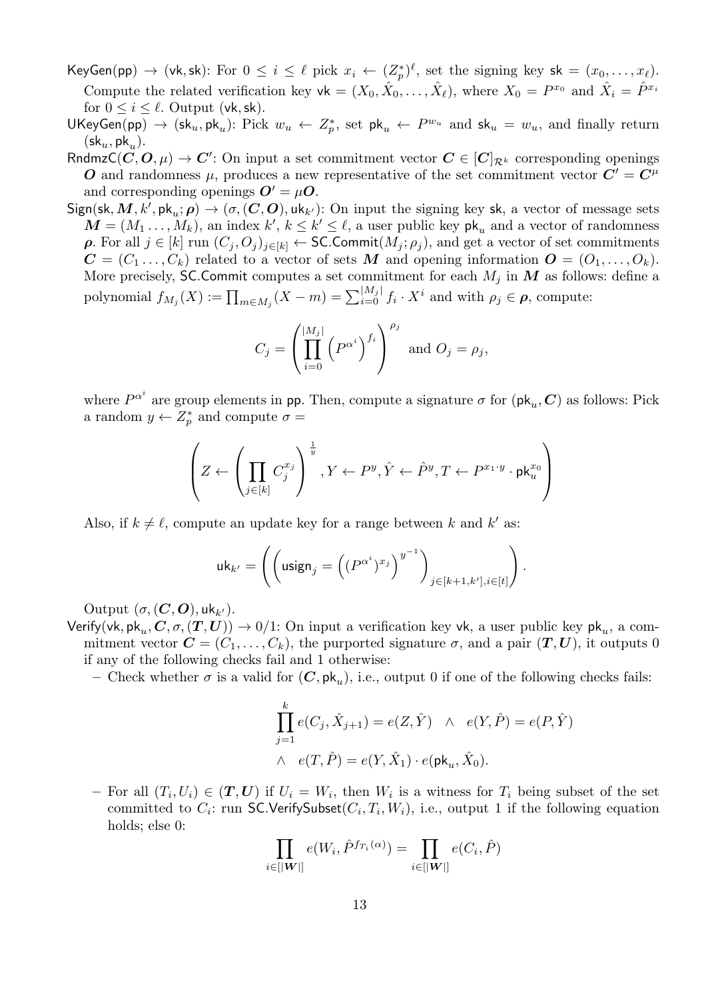$\mathsf{KeyGen}(\mathsf{pp}) \to (\mathsf{vk}, \mathsf{sk})\colon \text{For } 0 \leq i \leq \ell \text{ pick } x_i \leftarrow (Z^*_p)^{\ell}, \text{ set the signing key } \mathsf{sk} = (x_0, \ldots, x_{\ell}).$ Compute the related verification key  $\mathsf{vk} = (X_0, \hat{X}_0, \dots, \hat{X}_\ell)$ , where  $X_0 = P^{x_0}$  and  $\hat{X}_i = \hat{P}^{x_i}$ for  $0 \leq i \leq \ell$ . Output (vk, sk).

- UKeyGen(pp)  $\rightarrow$  (sk<sub>u</sub>, pk<sub>u</sub>): Pick  $w_u \leftarrow Z_p^*$ , set pk<sub>u</sub>  $\leftarrow P^{w_u}$  and sk<sub>u</sub> =  $w_u$ , and finally return  $(\mathsf{sk}_u, \mathsf{pk}_u).$
- RndmzC $(C, O, \mu) \to C'$ : On input a set commitment vector  $C \in [C]_{\mathcal{R}^k}$  corresponding openings O and randomness  $\mu$ , produces a new representative of the set commitment vector  $C' = C^{\mu}$ and corresponding openings  $\boldsymbol{O}' = \mu \boldsymbol{O}$ .
- $Sign(\mathsf{sk}, M, k', \mathsf{pk}_u; \rho) \rightarrow (\sigma, (C, O), \mathsf{uk}_{k'})$ : On input the signing key sk, a vector of message sets  $\mathbf{M} = (M_1, \ldots, M_k)$ , an index  $k', k \leq k' \leq \ell$ , a user public key  $\mathsf{pk}_u$  and a vector of randomness **ρ.** For all  $j \in [k]$  run  $(C_j, O_j)_{j \in [k]} \leftarrow$  SC. Commit $(M_j; \rho_j)$ , and get a vector of set commitments  $\mathbf{C} = (C_1, \ldots, C_k)$  related to a vector of sets M and opening information  $\mathbf{O} = (O_1, \ldots, O_k)$ . More precisely, SC.Commit computes a set commitment for each  $M_j$  in  $\mathbf{M}$  as follows: define a polynomial  $f_{M_j}(X) := \prod_{m \in M_j} (X - m) = \sum_{i=0}^{|M_j|} f_i \cdot X^i$  and with  $\rho_j \in \boldsymbol{\rho}$ , compute:

$$
C_j = \left(\prod_{i=0}^{|M_j|} \left(P^{\alpha^i}\right)^{f_i}\right)^{\rho_j} \text{ and } O_j = \rho_j,
$$

where  $P^{\alpha^i}$  are group elements in pp. Then, compute a signature  $\sigma$  for  $(\mathsf{pk}_u, \mathcal{C})$  as follows: Pick a random  $y \leftarrow Z_p^*$  and compute  $\sigma =$ 

$$
\left(Z\leftarrow \left(\prod_{j\in[k]}C_j^{x_j}\right)^{\frac{1}{y}}, Y\leftarrow P^y, \hat{Y}\leftarrow \hat{P}^y, T\leftarrow P^{x_1\cdot y}\cdot \mathrm{pk}_u^{x_0}\right)
$$

Also, if  $k \neq \ell$ , compute an update key for a range between k and k' as:

$$
\mathsf{uk}_{k'} = \left(\left(\mathsf{usingn}_j = \left((P^{\alpha^i})^{x_j}\right)^{y^{-1}}\right)_{j \in [k+1,k'], i \in [t]}\right).
$$

Output  $(\sigma, (C, O), \text{uk}_{k}).$ 

Verify(vk, pk<sub>u</sub>, C,  $\sigma$ ,  $(T, U)$ )  $\rightarrow$  0/1: On input a verification key vk, a user public key pk<sub>u</sub>, a commitment vector  $\mathbf{C} = (C_1, \ldots, C_k)$ , the purported signature  $\sigma$ , and a pair  $(\mathbf{T}, \mathbf{U})$ , it outputs 0 if any of the following checks fail and 1 otherwise:

- Check whether  $\sigma$  is a valid for  $(C, \mathsf{pk}_u)$ , i.e., output 0 if one of the following checks fails:

$$
\prod_{j=1}^{k} e(C_j, \hat{X}_{j+1}) = e(Z, \hat{Y}) \quad \wedge \quad e(Y, \hat{P}) = e(P, \hat{Y})
$$

$$
\wedge \quad e(T, \hat{P}) = e(Y, \hat{X}_1) \cdot e(\mathsf{pk}_u, \hat{X}_0).
$$

- For all  $(T_i, U_i) \in (T, U)$  if  $U_i = W_i$ , then  $W_i$  is a witness for  $T_i$  being subset of the set committed to  $C_i$ : run SC.VerifySubset $(C_i, T_i, W_i)$ , i.e., output 1 if the following equation holds; else 0:

$$
\prod_{i \in [|W|]} e(W_i, \hat{P}^{fr_i(\alpha)}) = \prod_{i \in [|W|]} e(C_i, \hat{P})
$$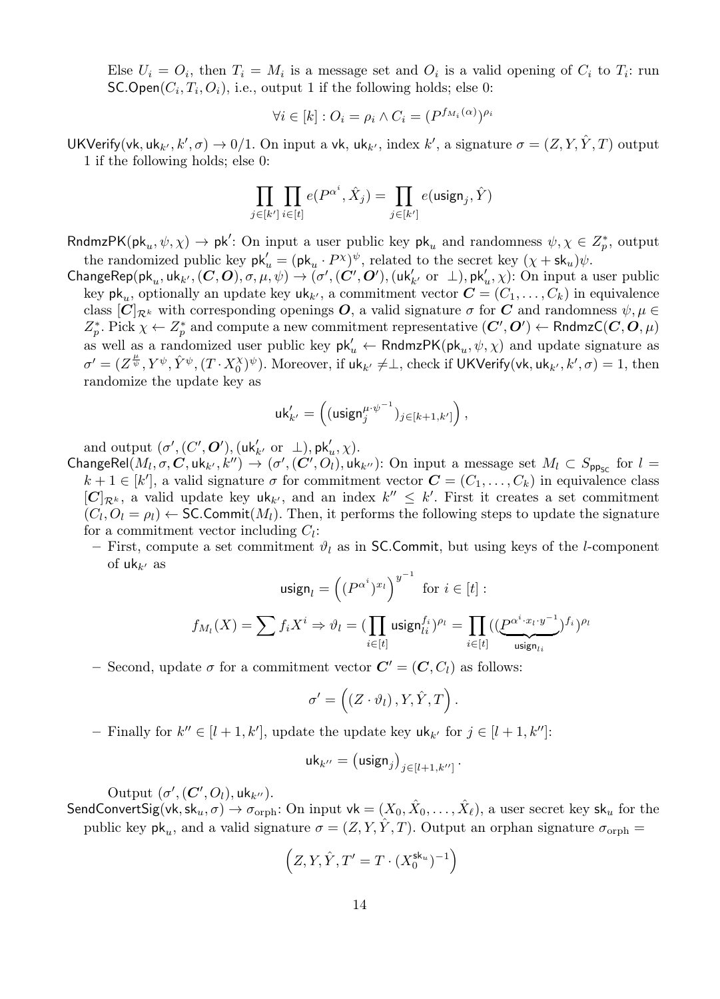Else  $U_i = O_i$ , then  $T_i = M_i$  is a message set and  $O_i$  is a valid opening of  $C_i$  to  $T_i$ : run  $SC.Open(C_i, T_i, O_i)$ , i.e., output 1 if the following holds; else 0:

$$
\forall i \in [k] : O_i = \rho_i \land C_i = (P^{f_{M_i}(\alpha)})^{\rho_i}
$$

UKVerify(vk, uk<sub>k'</sub>, k',  $\sigma$ )  $\to 0/1$ . On input a vk, uk<sub>k'</sub>, index k', a signature  $\sigma = (Z, Y, \hat{Y}, T)$  output 1 if the following holds; else 0:

$$
\prod_{j\in[k']}\prod_{i\in[t]}e(P^{\alpha^i},\hat{X}_j)=\prod_{j\in[k']}e(\textsf{usingn}_j,\hat{Y})
$$

RndmzPK( $pk_u, \psi, \chi$ )  $\to pk'$ : On input a user public key  $pk_u$  and randomness  $\psi, \chi \in Z_p^*$ , output the randomized public key  $\mathsf{pk}'_u = (\mathsf{pk}_u \cdot P^\chi)^\psi$ , related to the secret key  $(\chi + \mathsf{sk}_u)\psi$ .

 $\mathsf{ChangeRep}(\mathsf{pk}_u, \mathsf{uk}_{k'}, (\mathbf{C}, \mathbf{O}), \sigma, \mu, \psi) \rightarrow (\sigma', (\mathbf{C}', \mathbf{O}'), (\mathsf{uk}_{k'}' \text{ or } \bot), \mathsf{pk}_u', \chi)$ : On input a user public key  $\mathsf{pk}_u$ , optionally an update key  $\mathsf{uk}_{k'}$ , a commitment vector  $\mathbf{C} = (C_1, \ldots, C_k)$  in equivalence class  $[C]_{\mathcal{R}^k}$  with corresponding openings O, a valid signature  $\sigma$  for C and randomness  $\psi, \mu \in$  $Z_p^*$ . Pick  $\chi \leftarrow Z_p^*$  and compute a new commitment representative  $(C', O') \leftarrow \mathsf{RndmzC}(C, O, \mu)$ as well as a randomized user public key  $pk'_u \leftarrow \text{RndmzPK}(pk_u, \psi, \chi)$  and update signature as  $\sigma'=(Z^{\frac{\mu}{\psi}}, Y^{\psi}, \hat{Y}^{\psi}, (T \cdot X_0^{\chi})^{\psi})$ . Moreover, if  $\mathsf{uk}_{k'} \neq \perp$ , check if UKVerify(vk, uk<sub>k'</sub>, k',  $\sigma) = 1$ , then randomize the update key as

$$
\mathsf{uk}_{k'}' = \left( (\mathsf{usingn}_j^{\mu \cdot \psi^{-1}})_{j \in [k+1, k']}\right),
$$

and output  $(\sigma', (C', O'), (\mathsf{u}\mathsf{k}'_{k'})$  or  $\bot)$ ,  $\mathsf{p}\mathsf{k}'_u, \chi$ ).

ChangeRel $(M_l, \sigma, C, \text{uk}_{k'}, k'') \rightarrow (\sigma', (C', O_l), \text{uk}_{k''})$ : On input a message set  $M_l \subset S_{\text{pp}_{\text{SC}}}$  for  $l =$  $k+1 \in [k']$ , a valid signature  $\sigma$  for commitment vector  $\mathbf{C} = (C_1, \ldots, C_k)$  in equivalence class  $[C]_{\mathcal{R}^k}$ , a valid update key  $uk_{k'}$ , and an index  $k'' \leq k'$ . First it creates a set commitment  $(C_l, O_l = \rho_l) \leftarrow$  SC.Commit $(M_l)$ . Then, it performs the following steps to update the signature for a commitment vector including  $C_l$ :

– First, compute a set commitment  $\vartheta_l$  as in SC.Commit, but using keys of the *l*-component of  $uk_{k'}$  as −1

$$
\operatorname{using}_l = \left( (P^{\alpha^i})^{x_l} \right)^{y^{-1}} \text{ for } i \in [t]:
$$
  

$$
f_{M_l}(X) = \sum f_i X^i \Rightarrow \vartheta_l = (\prod_{i \in [t]} \operatorname{using}_l f_i^i)^{\rho_l} = \prod_{i \in [t]} ((\underbrace{P^{\alpha^i \cdot x_l \cdot y^{-1}}}_{\operatorname{using}_{l_i}})^{f_i})^{\rho_l}
$$

– Second, update  $\sigma$  for a commitment vector  $\mathbf{C}' = (\mathbf{C}, C_l)$  as follows:

$$
\sigma' = \left( \left( Z \cdot \vartheta_l \right), Y, \hat{Y}, T \right).
$$

- Finally for  $k'' \in [l + 1, k']$ , update the update key  $uk_{k'}$  for  $j \in [l + 1, k'']$ :

$$
\mathsf{uk}_{k''} = \left(\mathsf{usingn}_j\right)_{j \in [l+1, k'']}.
$$

Output  $(\sigma', (C', O_l), \mathsf{u}\mathsf{k}_{k''}).$ 

SendConvertSig(vk, sk<sub>u</sub>,  $\sigma$ )  $\to \sigma_{\text{orph}}$ : On input vk =  $(X_0, \hat{X}_0, \ldots, \hat{X}_\ell)$ , a user secret key sk<sub>u</sub> for the public key  $\mathsf{pk}_u$ , and a valid signature  $\sigma = (Z, Y, \hat{Y}, T)$ . Output an orphan signature  $\sigma_{\text{orph}} =$ 

$$
\left(Z, Y, \hat{Y}, T' = T \cdot (X_0^{\mathsf{sk}_u})^{-1}\right)
$$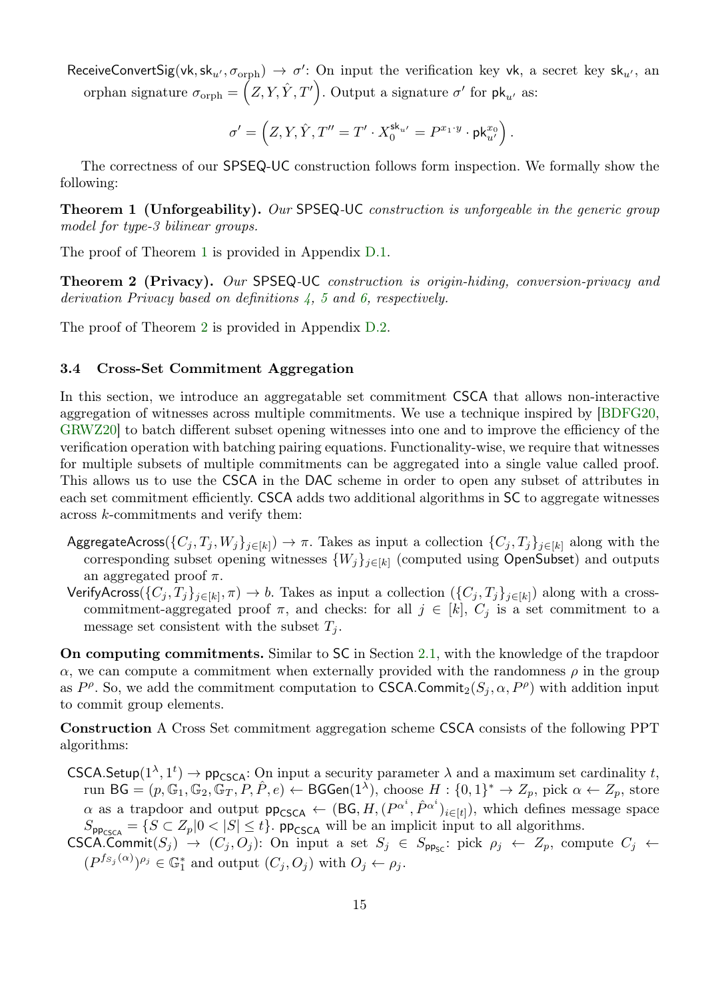ReceiveConvertSig(vk, sk<sub>u'</sub>,  $\sigma_{\text{orph}}$ )  $\rightarrow \sigma'$ : On input the verification key vk, a secret key sk<sub>u'</sub>, an orphan signature  $\sigma_{\text{orph}} = (Z, Y, \hat{Y}, T')$ . Output a signature  $\sigma'$  for  $\mathsf{pk}_{u'}$  as:

$$
\sigma' = \left(Z,Y,\hat Y,T''=T'\cdot X_0^{\mathbf{sk}_{u'}}=P^{x_1\cdot y}\cdot \mathsf{pk}^{x_0}_{u'}\right).
$$

<span id="page-14-1"></span>The correctness of our SPSEQ-UC construction follows form inspection. We formally show the following:

**Theorem 1 (Unforgeability).** Our SPSEQ-UC construction is unforgeable in the generic group model for type-3 bilinear groups.

<span id="page-14-2"></span>The proof of Theorem [1](#page-14-1) is provided in Appendix [D.1.](#page-31-0)

Theorem 2 (Privacy). Our SPSEQ-UC construction is origin-hiding, conversion-privacy and derivation Privacy based on definitions [4,](#page-10-1) [5](#page-10-2) and [6,](#page-11-0) respectively.

The proof of Theorem [2](#page-14-2) is provided in Appendix [D.2.](#page-40-0)

#### <span id="page-14-0"></span>3.4 Cross-Set Commitment Aggregation

In this section, we introduce an aggregatable set commitment CSCA that allows non-interactive aggregation of witnesses across multiple commitments. We use a technique inspired by [\[BDFG20,](#page-24-11) [GRWZ20\]](#page-25-14) to batch different subset opening witnesses into one and to improve the efficiency of the verification operation with batching pairing equations. Functionality-wise, we require that witnesses for multiple subsets of multiple commitments can be aggregated into a single value called proof. This allows us to use the CSCA in the DAC scheme in order to open any subset of attributes in each set commitment efficiently. CSCA adds two additional algorithms in SC to aggregate witnesses across k-commitments and verify them:

- AggregateAcross( $\{C_j, T_j, W_j\}_{j\in[k]}$ )  $\to \pi$ . Takes as input a collection  $\{C_j, T_j\}_{j\in[k]}$  along with the corresponding subset opening witnesses  ${W_j}_{j \in [k]}$  (computed using OpenSubset) and outputs an aggregated proof  $\pi$ .
- VerifyAcross( $\{C_j, T_j\}_{j\in[k]}, \pi$ )  $\to b$ . Takes as input a collection  $(\{C_j, T_j\}_{j\in[k]})$  along with a crosscommitment-aggregated proof  $\pi$ , and checks: for all  $j \in [k]$ ,  $C_j$  is a set commitment to a message set consistent with the subset  $T_j$ .

On computing commitments. Similar to SC in Section [2.1,](#page-6-0) with the knowledge of the trapdoor  $\alpha$ , we can compute a commitment when externally provided with the randomness  $\rho$  in the group as  $P^{\rho}$ . So, we add the commitment computation to CSCA.Commit<sub>2</sub>( $S_j$ ,  $\alpha$ ,  $P^{\rho}$ ) with addition input to commit group elements.

Construction A Cross Set commitment aggregation scheme CSCA consists of the following PPT algorithms:

CSCA.Setup( $1^{\lambda}, 1^t$ )  $\rightarrow$  pp<sub>CSCA</sub>: On input a security parameter  $\lambda$  and a maximum set cardinality t, run BG =  $(p, \mathbb{G}_1, \mathbb{G}_2, \mathbb{G}_T, P, \hat{P}, e) \leftarrow \mathsf{BGGen}(1^{\lambda}),$  choose  $H: \{0,1\}^* \to Z_p$ , pick  $\alpha \leftarrow Z_p$ , store  $\alpha$  as a trapdoor and output  $pp_{\text{CSCA}} \leftarrow (\text{BG}, H, (P^{\alpha^i}, \hat{P}^{\alpha^i})_{i \in [t]})$ , which defines message space  $S_{\text{pp}_{\text{CSCA}}} = \{ S \subset Z_p | 0 < |S| \leq t \}.$  pp<sub>CSCA</sub> will be an implicit input to all algorithms.

CSCA.Commit $(S_j) \rightarrow (C_j, O_j)$ : On input a set  $S_j \in S_{\mathsf{pp}_{\mathsf{SC}}}$ : pick  $\rho_j \leftarrow Z_p$ , compute  $C_j \leftarrow$  $(P^{f_{S_j}(\alpha)})^{\rho_j} \in \mathbb{G}_1^*$  and output  $(C_j, O_j)$  with  $O_j \leftarrow \rho_j$ .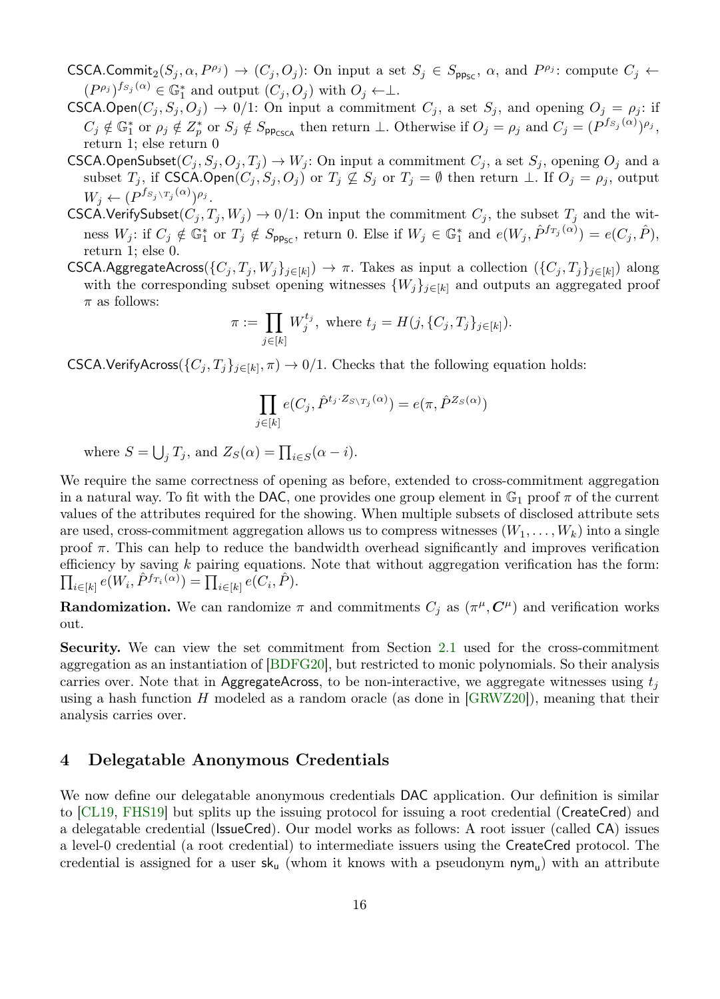- CSCA.Commit<sub>2</sub> $(S_j, \alpha, P^{\rho_j}) \to (C_j, O_j)$ : On input a set  $S_j \in S_{\text{pp}_{\text{SC}}}$ ,  $\alpha$ , and  $P^{\rho_j}$ : compute  $C_j \leftarrow$  $(P^{\rho_j})^{f_{S_j}(\alpha)} \in \mathbb{G}_1^*$  and output  $(C_j, O_j)$  with  $O_j \leftarrow \perp$ .
- CSCA.Open $(C_j, S_j, O_j) \to 0/1$ : On input a commitment  $C_j$ , a set  $S_j$ , and opening  $O_j = \rho_j$ : if  $C_j \notin \mathbb{G}_1^*$  or  $\rho_j \notin Z_p^*$  or  $S_j \notin S_{\mathsf{pp}_{\mathsf{CSCA}}}$  then return  $\perp$ . Otherwise if  $O_j = \rho_j$  and  $C_j = (P^{fs_j(\alpha)})^{\rho_j}$ , return 1; else return 0
- CSCA.OpenSubset $(C_i, S_j, O_j, T_j) \to W_j$ : On input a commitment  $C_j$ , a set  $S_j$ , opening  $O_j$  and a subset  $T_j$ , if CSCA.Open $(C_j, S_j, O_j)$  or  $T_j \nsubseteq S_j$  or  $T_j = \emptyset$  then return ⊥. If  $O_j = \rho_j$ , output  $W_j \leftarrow (P^{f_{S_j \setminus T_j}(\alpha)})^{\rho_j}.$
- CSCA.VerifySubset $(C_j, T_j, W_j) \rightarrow 0/1$ : On input the commitment  $C_j$ , the subset  $T_j$  and the witness  $W_j$ : if  $C_j \notin \mathbb{G}_1^*$  or  $T_j \notin S_{\mathsf{pp}_{\mathsf{SC}}}$ , return 0. Else if  $W_j \in \mathbb{G}_1^*$  and  $e(W_j, \hat{P}^{fr_j(\alpha)}) = e(C_j, \hat{P})$ , return 1; else 0.
- CSCA.AggregateAcross( $\{C_j, T_j, W_j\}_{j\in[k]}) \to \pi$ . Takes as input a collection  $(\{C_j, T_j\}_{j\in[k]})$  along with the corresponding subset opening witnesses  $\{W_j\}_{j\in[k]}$  and outputs an aggregated proof  $\pi$  as follows:

$$
\pi := \prod_{j \in [k]} W_j^{t_j}, \text{ where } t_j = H(j, \{C_j, T_j\}_{j \in [k]}).
$$

CSCA.VerifyAcross( $\{C_j, T_j\}_{j \in [k]}, \pi$ )  $\to 0/1$ . Checks that the following equation holds:

$$
\prod_{j\in[k]} e(C_j, \hat{P}^{t_j \cdot Z_{S \setminus T_j}(\alpha)}) = e(\pi, \hat{P}^{Z_S(\alpha)})
$$

where  $S = \bigcup_j T_j$ , and  $Z_S(\alpha) = \prod_{i \in S} (\alpha - i)$ .

We require the same correctness of opening as before, extended to cross-commitment aggregation in a natural way. To fit with the DAC, one provides one group element in  $\mathbb{G}_1$  proof  $\pi$  of the current values of the attributes required for the showing. When multiple subsets of disclosed attribute sets are used, cross-commitment aggregation allows us to compress witnesses  $(W_1, \ldots, W_k)$  into a single proof  $\pi$ . This can help to reduce the bandwidth overhead significantly and improves verification efficiency by saving  $k$  pairing equations. Note that without aggregation verification has the form:  $\prod_{i\in[k]} e(W_i, \hat{P}^{f_{T_i}(\alpha)}) = \prod_{i\in[k]} e(C_i, \hat{P}).$ 

**Randomization.** We can randomize  $\pi$  and commitments  $C_j$  as  $(\pi^{\mu}, C^{\mu})$  and verification works out.

Security. We can view the set commitment from Section [2.1](#page-6-0) used for the cross-commitment aggregation as an instantiation of [\[BDFG20\]](#page-24-11), but restricted to monic polynomials. So their analysis carries over. Note that in AggregateAcross, to be non-interactive, we aggregate witnesses using  $t_i$ using a hash function  $H$  modeled as a random oracle (as done in  $[GRWZ20]$ ), meaning that their analysis carries over.

# <span id="page-15-0"></span>4 Delegatable Anonymous Credentials

We now define our delegatable anonymous credentials DAC application. Our definition is similar to [\[CL19,](#page-25-6) [FHS19\]](#page-25-1) but splits up the issuing protocol for issuing a root credential (CreateCred) and a delegatable credential (IssueCred). Our model works as follows: A root issuer (called CA) issues a level-0 credential (a root credential) to intermediate issuers using the CreateCred protocol. The credential is assigned for a user  $sk_u$  (whom it knows with a pseudonym  $\mathsf{nym}_u$ ) with an attribute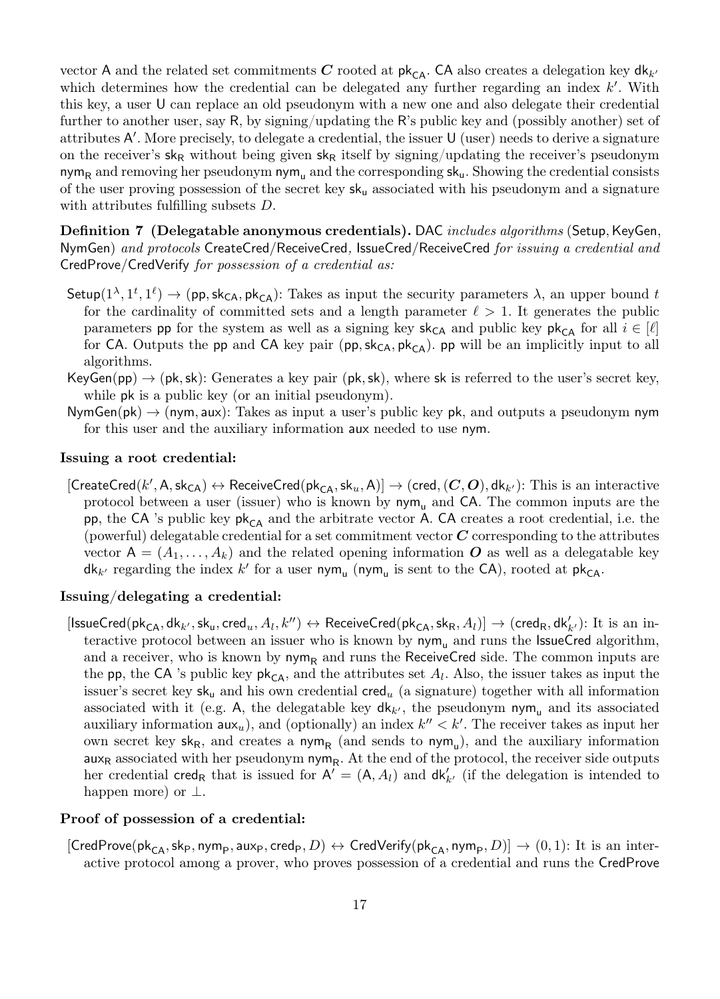vector A and the related set commitments C rooted at  $pk_{CA}$ . CA also creates a delegation key d $k_{k'}$ which determines how the credential can be delegated any further regarding an index  $k'$ . With this key, a user U can replace an old pseudonym with a new one and also delegate their credential further to another user, say R, by signing/updating the R's public key and (possibly another) set of attributes A'. More precisely, to delegate a credential, the issuer U (user) needs to derive a signature on the receiver's sk<sub>R</sub> without being given sk<sub>R</sub> itself by signing/updating the receiver's pseudonym nym<sub>R</sub> and removing her pseudonym nym<sub>u</sub> and the corresponding  $sk_u$ . Showing the credential consists of the user proving possession of the secret key  $sk_u$  associated with his pseudonym and a signature with attributes fulfilling subsets D.

Definition 7 (Delegatable anonymous credentials). DAC *includes algorithms* (Setup, KeyGen, NymGen) and protocols CreateCred/ReceiveCred, IssueCred/ReceiveCred for issuing a credential and CredProve/CredVerify for possession of a credential as:

- Setup $(1^{\lambda}, 1^t, 1^{\ell}) \to (pp, sk_{CA}, pk_{CA})$ : Takes as input the security parameters  $\lambda$ , an upper bound t for the cardinality of committed sets and a length parameter  $\ell > 1$ . It generates the public parameters pp for the system as well as a signing key  $sk_{CA}$  and public key  $pk_{CA}$  for all  $i \in [\ell]$ for CA. Outputs the pp and CA key pair (pp,  $sk_{CA}$ ,  $pk_{CA}$ ). pp will be an implicitly input to all algorithms.
- $KeyGen(pp) \rightarrow (pk, sk)$ : Generates a key pair (pk, sk), where sk is referred to the user's secret key, while **pk** is a public key (or an initial pseudonym).
- $NymGen(pk) \rightarrow (nym, aux)$ : Takes as input a user's public key pk, and outputs a pseudonym nym for this user and the auxiliary information aux needed to use nym.

### Issuing a root credential:

 $[\mathsf{CreateCred}(k', \mathsf{A}, \mathsf{sk}_\mathsf{CA}) \leftrightarrow \mathsf{Received}(\mathsf{pk}_\mathsf{CA}, \mathsf{sk}_u, \mathsf{A})] \to (\mathsf{cred},(\mathbf{C},\mathbf{O}), \mathsf{dk}_{k'}): \mathsf{This}\ \mathsf{is}\ \mathsf{an}\ \mathsf{interactive}$ protocol between a user (issuer) who is known by  $\eta w_m$  and CA. The common inputs are the pp, the CA 's public key  $pk_{CA}$  and the arbitrate vector A. CA creates a root credential, i.e. the (powerful) delegatable credential for a set commitment vector  $C$  corresponding to the attributes vector  $A = (A_1, \ldots, A_k)$  and the related opening information O as well as a delegatable key  $dk_{k'}$  regarding the index  $k'$  for a user nym<sub>u</sub> (nym<sub>u</sub> is sent to the CA), rooted at pk<sub>CA</sub>.

# Issuing/delegating a credential:

 $[{\sf IssueCred}(pk_{CA},dk_{k'},sk_u, \mathsf{cred}_u, A_l, k'') \leftrightarrow \mathsf{Received}(pk_{CA}, sk_R, A_l)] \rightarrow (\mathsf{cred}_R, \mathsf{dk}'_{k'}) \colon \text{It is an in-}$ teractive protocol between an issuer who is known by  $nym<sub>u</sub>$  and runs the IssueCred algorithm, and a receiver, who is known by  $nym_R$  and runs the ReceiveCred side. The common inputs are the pp, the CA 's public key  $pk_{CA}$ , and the attributes set  $A_l$ . Also, the issuer takes as input the issuer's secret key sk<sub>u</sub> and his own credential cred<sub>u</sub> (a signature) together with all information associated with it (e.g. A, the delegatable key  $d\mathsf{k}_{k'}$ , the pseudonym nym<sub>u</sub> and its associated auxiliary information  $\mathsf{aux}_u$ , and (optionally) an index  $k'' < k'$ . The receiver takes as input her own secret key  $sk_R$ , and creates a  $nym_R$  (and sends to  $nym_u$ ), and the auxiliary information  $\mathsf{aux}_\mathsf{R}$  associated with her pseudonym  $\mathsf{nym}_\mathsf{R}$ . At the end of the protocol, the receiver side outputs her credential cred<sub>R</sub> that is issued for  $A' = (A, A_l)$  and  $dk'_{k'}$  (if the delegation is intended to happen more) or  $\perp$ .

#### Proof of possession of a credential:

 $[\mathsf{CredProve}(\mathsf{pk}_{\mathsf{CA}},\mathsf{sk}_{\mathsf{P}},\mathsf{nym}_{\mathsf{P}},\mathsf{aux}_{\mathsf{P}},\mathsf{cred}_{\mathsf{P}},D)\leftrightarrow \mathsf{CredVerify}(\mathsf{pk}_{\mathsf{CA}},\mathsf{nym}_{\mathsf{P}},D)]\to (0,1) \colon \text{It is an inter$ active protocol among a prover, who proves possession of a credential and runs the CredProve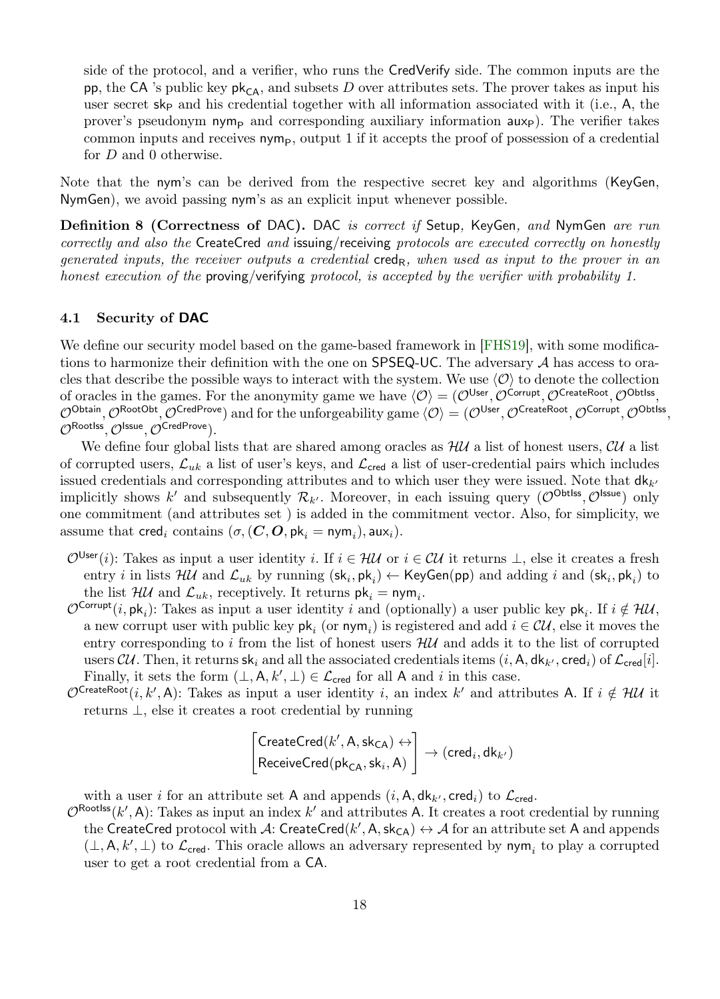side of the protocol, and a verifier, who runs the CredVerify side. The common inputs are the pp, the CA 's public key  $pk_{CA}$ , and subsets D over attributes sets. The prover takes as input his user secret  $s k_{\text{P}}$  and his credential together with all information associated with it (i.e., A, the prover's pseudonym nym<sub>P</sub> and corresponding auxiliary information  $a\mu x$ ). The verifier takes common inputs and receives  $\mathsf{nym}_\mathsf{P}$ , output 1 if it accepts the proof of possession of a credential for D and 0 otherwise.

Note that the nym's can be derived from the respective secret key and algorithms (KeyGen, NymGen), we avoid passing nym's as an explicit input whenever possible.

Definition 8 (Correctness of DAC). DAC is correct if Setup, KeyGen, and NymGen are run correctly and also the CreateCred and issuing/receiving protocols are executed correctly on honestly generated inputs, the receiver outputs a credential cred<sub>R</sub>, when used as input to the prover in an honest execution of the proving/verifying protocol, is accepted by the verifier with probability 1.

#### 4.1 Security of DAC

We define our security model based on the game-based framework in [\[FHS19\]](#page-25-1), with some modifications to harmonize their definition with the one on SPSEQ-UC. The adversary A has access to oracles that describe the possible ways to interact with the system. We use  $\langle \mathcal{O} \rangle$  to denote the collection of oracles in the games. For the anonymity game we have  $\langle \mathcal{O} \rangle = (\mathcal{O}^{\text{User}}, \mathcal{O}^{\text{Corrupt}}, \mathcal{O}^{\text{CreatedRoot}}, \mathcal{O}^{\text{Obtiss}})$  $\mathcal{O}^\mathsf{Obtain}, \mathcal{O}^\mathsf{RootObt}, \mathcal{O}^\mathsf{CredProve})$  and for the unforgeability game  $\langle \mathcal{O} \rangle = (\mathcal{O}^\mathsf{User}, \mathcal{O}^\mathsf{CreateRoot}, \mathcal{O}^\mathsf{Corrupt}, \mathcal{O}^\mathsf{Obtlss},$  $\mathcal{O}^{\mathsf{Rootlss}}, \mathcal{O}^{\mathsf{Issue}}, \mathcal{O}^{\mathsf{CredProve}}).$ 

We define four global lists that are shared among oracles as  $\mathcal{H}U$  a list of honest users,  $\mathcal{C}U$  a list of corrupted users,  $\mathcal{L}_{uk}$  a list of user's keys, and  $\mathcal{L}_{\text{cred}}$  a list of user-credential pairs which includes issued credentials and corresponding attributes and to which user they were issued. Note that  $d\mathbf{k}_{k'}$ implicitly shows k' and subsequently  $\mathcal{R}_{k'}$ . Moreover, in each issuing query  $(\mathcal{O}^{\text{Obtlss}}, \mathcal{O}^{\text{lssue}})$  only one commitment (and attributes set ) is added in the commitment vector. Also, for simplicity, we assume that  $\mathsf{cred}_i$  contains  $(\sigma, (\mathbf{C}, \mathbf{O}, \mathsf{pk}_i = \mathsf{nym}_i), \mathsf{aux}_i).$ 

- $\mathcal{O}^{\mathsf{User}}(i)$ : Takes as input a user identity *i*. If  $i \in \mathcal{HU}$  or  $i \in \mathcal{CU}$  it returns  $\perp$ , else it creates a fresh entry *i* in lists  $H\mathcal{U}$  and  $\mathcal{L}_{uk}$  by running  $(\mathsf{sk}_i, \mathsf{pk}_i) \leftarrow \mathsf{KeyGen}(\mathsf{pp})$  and adding *i* and  $(\mathsf{sk}_i, \mathsf{pk}_i)$  to the list  $\mathcal{H} \mathcal{U}$  and  $\mathcal{L}_{uk}$ , receptively. It returns  $\mathsf{pk}_{i} = \mathsf{nym}_{i}$ .
- $\mathcal{O}^{\mathsf{Corrupt}}(i, \mathsf{pk}_i)$ : Takes as input a user identity i and (optionally) a user public key  $\mathsf{pk}_i$ . If  $i \notin \mathcal{HM}$ , a new corrupt user with public key  $\mathsf{pk}_i$  (or  $\mathsf{nym}_i$ ) is registered and add  $i \in \mathcal{CU}$ , else it moves the entry corresponding to i from the list of honest users  $H\mathcal{U}$  and adds it to the list of corrupted users CU. Then, it returns  $sk_i$  and all the associated credentials items  $(i, A, dk_{k'}, c_{red}i)$  of  $\mathcal{L}_{c_{red}}[i]$ . Finally, it sets the form  $(\perp, \mathsf{A}, k', \perp) \in \mathcal{L}_{\text{cred}}$  for all A and i in this case.
- $\mathcal{O}^{\mathsf{CreateRoot}}(i, k', \mathsf{A})$ : Takes as input a user identity i, an index k' and attributes A. If  $i \notin \mathcal{HU}$  it returns ⊥, else it creates a root credential by running

$$
\begin{bmatrix}\mathsf{CreateCred}(k',\mathsf{A},\mathsf{sk}_{\mathsf{CA}})\leftrightarrow \\ \mathsf{Received}(\mathsf{pk}_{\mathsf{CA}},\mathsf{sk}_i,\mathsf{A})\end{bmatrix}\rightarrow (\mathsf{cred}_i,\mathsf{dk}_{k'})
$$

with a user i for an attribute set A and appends  $(i, A, d\mathsf{k}_{k'}, \mathsf{cred}_i)$  to  $\mathcal{L}_{\mathsf{cred}}$ .

 $\mathcal{O}^{\text{Rootiss}}(k', \mathsf{A})$ : Takes as input an index  $k'$  and attributes A. It creates a root credential by running the CreateCred protocol with  $A$ : CreateCred $(k', A, \textsf{sk}_{\textsf{CA}}) \leftrightarrow A$  for an attribute set A and appends  $(\perp, A, k', \perp)$  to  $\mathcal{L}_{\text{cred}}$ . This oracle allows an adversary represented by nym<sub>i</sub> to play a corrupted user to get a root credential from a CA.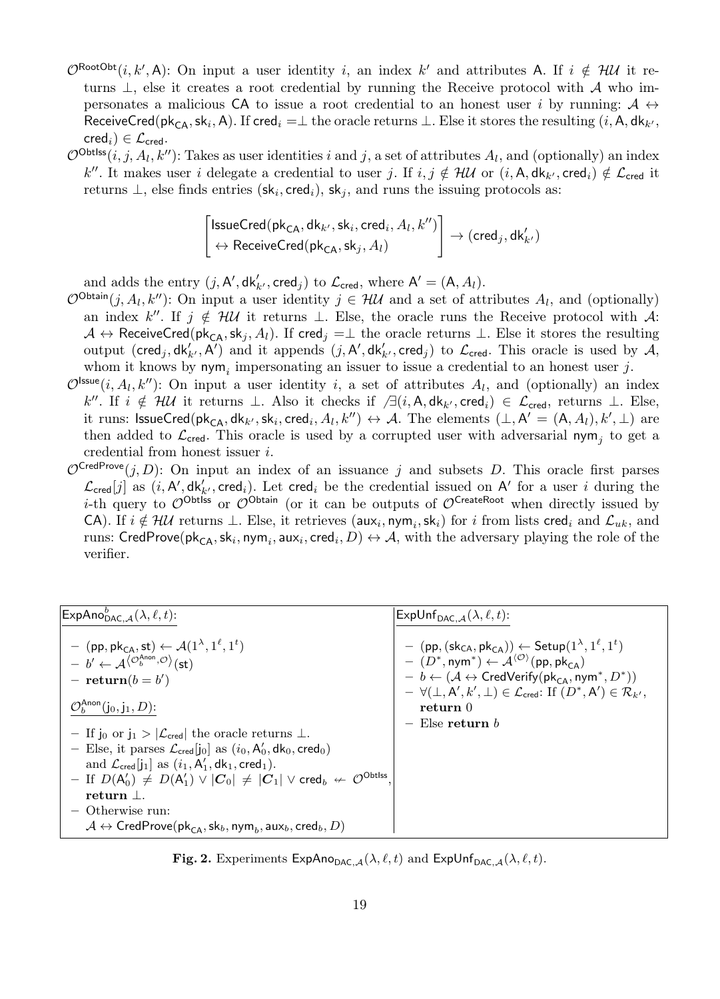- $\mathcal{O}^{\text{RootObt}}(i,k',\mathsf{A})$ : On input a user identity i, an index k' and attributes A. If  $i \notin \mathcal{HM}$  it returns  $\perp$ , else it creates a root credential by running the Receive protocol with A who impersonates a malicious CA to issue a root credential to an honest user i by running:  $A \leftrightarrow$ ReceiveCred(pk<sub>CA</sub>, sk<sub>i</sub>, A). If cred<sub>i</sub> = $\perp$  the oracle returns  $\perp$ . Else it stores the resulting (*i*, A, dk<sub>k'</sub>,  $\mathsf{cred}_i) \in \mathcal{L}_{\mathsf{cred}}$ .
- $\mathcal{O}^{\text{Obtiss}}(i, j, A_l, k'')$ : Takes as user identities i and j, a set of attributes  $A_l$ , and (optionally) an index k''. It makes user i delegate a credential to user j. If  $i, j \notin \mathcal{HU}$  or  $(i, A, dk_{k'}, cred_i) \notin \mathcal{L}_{\text{cred}}$  it returns  $\perp$ , else finds entries  $(\mathsf{sk}_i, \mathsf{cred}_i), \mathsf{sk}_j$ , and runs the issuing protocols as:

$$
\begin{bmatrix} \textsf{issueCred}(\textsf{pk}_{\textsf{CA}},\textsf{dk}_{k'},\textsf{sk}_i,\textsf{cred}_i,A_l,k'')\\ \leftrightarrow \textsf{Received}(\textsf{pk}_{\textsf{CA}},\textsf{sk}_j,A_l) \end{bmatrix} \rightarrow (\textsf{cred}_j,\textsf{dk}'_{k'})
$$

and adds the entry  $(j, A', \mathsf{dk}'_{k'}, \mathsf{cred}_j)$  to  $\mathcal{L}_{\mathsf{cred}},$  where  $\mathsf{A}' = (\mathsf{A}, A_l)$ .

- $\mathcal{O}^{\text{Obtain}}(j, A_l, k'')$ : On input a user identity  $j \in \mathcal{HM}$  and a set of attributes  $A_l$ , and (optionally) an index k''. If  $j \notin \mathcal{HU}$  it returns  $\perp$ . Else, the oracle runs the Receive protocol with A:  $A \leftrightarrow$  ReceiveCred(pk<sub>CA</sub>, sk<sub>j</sub>, A<sub>l</sub>). If cred<sub>j</sub> = $\perp$  the oracle returns  $\perp$ . Else it stores the resulting output (cred<sub>j</sub>,  $dk'_{k'}$ , A<sup>T</sup>) and it appends  $(j, A', dk'_{k'}$ , cred<sub>j</sub>) to  $\mathcal{L}_{\text{cred}}$ . This oracle is used by A, whom it knows by  $\mathsf{nym}_i$  impersonating an issuer to issue a credential to an honest user j.
- $\mathcal{O}^{\text{issue}}(i, A_l, k'')$ : On input a user identity i, a set of attributes  $A_l$ , and (optionally) an index  $k''$ . If  $i \notin \mathcal{HM}$  it returns ⊥. Also it checks if  $\Box(i, \mathsf{A}, \mathsf{dk}_{k'}, \mathsf{cred}_i) \in \mathcal{L}_{\mathsf{cred}}$ , returns ⊥. Else, it runs:  $\mathsf{lssueCred}(\mathsf{pk}_{\mathsf{CA}},\mathsf{dk}_{k'},\mathsf{sk}_i,\mathsf{cred}_i,A_l,k'') \leftrightarrow \mathcal{A}$ . The elements  $(\bot,\mathsf{A}'=(\mathsf{A},A_l),k',\bot)$  are then added to  $\mathcal{L}_{\text{cred}}$ . This oracle is used by a corrupted user with adversarial nym<sub>j</sub> to get a credential from honest issuer i.
- $\mathcal{O}^{CredProve}(j, D)$ : On input an index of an issuance j and subsets D. This oracle first parses  $\mathcal{L}_{\text{cred}}[j]$  as  $(i, A', dk'_{k'}, \text{cred}_i)$ . Let cred<sub>i</sub> be the credential issued on A' for a user i during the i-th query to  $\mathcal{O}^{\text{Obtiss}}$  or  $\mathcal{O}^{\text{Obtain}}$  (or it can be outputs of  $\mathcal{O}^{\text{CreateRoot}}$  when directly issued by CA). If  $i \notin \mathcal{HU}$  returns  $\perp$ . Else, it retrieves (aux<sub>i</sub>, nym<sub>i</sub>, sk<sub>i</sub>) for i from lists cred<sub>i</sub> and  $\mathcal{L}_{uk}$ , and runs:  $\mathsf{CredProve}(\mathsf{pk}_{\mathsf{CA}},\mathsf{sk}_i,\mathsf{nym}_i,\mathsf{aux}_i,\mathsf{cred}_i,D)\leftrightarrow \mathcal{A}, \text{ with the adversary playing the role of the}$ verifier.

| $\mathsf{ExpAno}_{\mathsf{DAC}\mathcal{A}}^b(\lambda,\ell,t)$ :                                                                                                                                                                                                                                                                                                                                                                                                                                                                                                                                                                                                                                                                                                                                                                                                               | $\mathsf{ExpUnf}_{\mathsf{DAC} , \mathcal{A}}(\lambda, \ell, t)$ :                                                                                                                                                                                                                                                                                                                                                                                                                      |
|-------------------------------------------------------------------------------------------------------------------------------------------------------------------------------------------------------------------------------------------------------------------------------------------------------------------------------------------------------------------------------------------------------------------------------------------------------------------------------------------------------------------------------------------------------------------------------------------------------------------------------------------------------------------------------------------------------------------------------------------------------------------------------------------------------------------------------------------------------------------------------|-----------------------------------------------------------------------------------------------------------------------------------------------------------------------------------------------------------------------------------------------------------------------------------------------------------------------------------------------------------------------------------------------------------------------------------------------------------------------------------------|
| $-$ (pp, pk <sub>CA</sub> , st) $\leftarrow$ $\mathcal{A}(1^{\lambda}, 1^{\ell}, 1^{\ell})$<br>$- b' \leftarrow A^{\langle \mathcal{O}_b^{\text{Anon}}, \mathcal{O} \rangle}(\mathsf{st})$<br>$-$ return $(b = b')$<br>$\mathcal{O}_b^{\text{Anon}}(\mathsf{j}_0,\mathsf{j}_1,D)$ :<br>- If j <sub>0</sub> or $j_1 >  \mathcal{L}_{\text{cred}} $ the oracle returns $\perp$ .<br>- Else, it parses $\mathcal{L}_{\text{cred}}[i_0]$ as $(i_0, A'_0, d k_0, \text{cred}_0)$<br>and $\mathcal{L}_{\text{cred}}[i_1]$ as $(i_1, A'_1, d k_1, \text{cred}_1)$ .<br>$-$ If $D(A'_0) \neq D(A'_1) \vee  C_0  \neq  C_1  \vee \text{cred}_b \nleftrightarrow \mathcal{O}^{\text{Obtlss}}$<br>return $\perp$ .<br>$\sim$ Otherwise run:<br>$\mathcal{A} \leftrightarrow \mathsf{CredProve}(\mathsf{pk}_{\mathsf{CA}},\mathsf{sk}_b,\mathsf{nym}_b,\mathsf{aux}_b,\mathsf{cred}_b,D)$ | $-$ (pp, $(\mathsf{sk}_{\mathsf{CA}}, \mathsf{pk}_{\mathsf{CA}})) \leftarrow \mathsf{Setup}(1^{\lambda}, 1^{\ell}, 1^{\ell})$<br>$ (D^*,\text{nym}^*) \leftarrow \mathcal{A}^{\langle \mathcal{O} \rangle}(\text{pp},\text{pk}_{\text{CA}})$<br>$- b \leftarrow (\mathcal{A} \leftrightarrow \text{CredVerify}(pk_{CA}, \text{nym}^*, D^*))$<br>$-\forall (\perp, A', k', \perp) \in \mathcal{L}_{\text{cred}}$ : If $(D^*, A') \in \mathcal{R}_{k'},$<br>return 0<br>$-$ Else return b |

<span id="page-18-0"></span>**Fig. 2.** Experiments  $ExpAno_{DAC, \mathcal{A}}(\lambda, \ell, t)$  and  $ExpUnf_{DAC, \mathcal{A}}(\lambda, \ell, t)$ .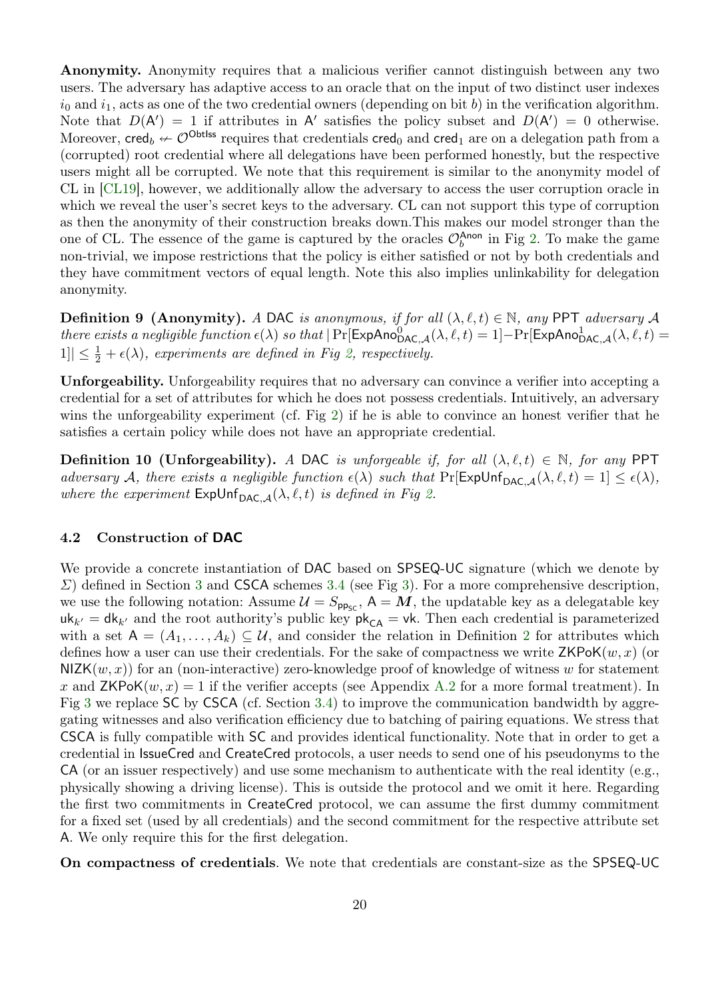Anonymity. Anonymity requires that a malicious verifier cannot distinguish between any two users. The adversary has adaptive access to an oracle that on the input of two distinct user indexes  $i_0$  and  $i_1$ , acts as one of the two credential owners (depending on bit b) in the verification algorithm. Note that  $D(A') = 1$  if attributes in A' satisfies the policy subset and  $D(A') = 0$  otherwise. Moreover, cred<sub>b</sub>  $\leftarrow \mathcal{O}^{\text{Obtiss}}$  requires that credentials cred<sub>0</sub> and cred<sub>1</sub> are on a delegation path from a (corrupted) root credential where all delegations have been performed honestly, but the respective users might all be corrupted. We note that this requirement is similar to the anonymity model of CL in [\[CL19\]](#page-25-6), however, we additionally allow the adversary to access the user corruption oracle in which we reveal the user's secret keys to the adversary. CL can not support this type of corruption as then the anonymity of their construction breaks down.This makes our model stronger than the one of CL. The essence of the game is captured by the oracles  $\mathcal{O}_b^{\text{Anon}}$  in Fig [2.](#page-18-0) To make the game non-trivial, we impose restrictions that the policy is either satisfied or not by both credentials and they have commitment vectors of equal length. Note this also implies unlinkability for delegation anonymity.

<span id="page-19-0"></span>**Definition 9 (Anonymity).** A DAC is anonymous, if for all  $(\lambda, \ell, t) \in \mathbb{N}$ , any PPT adversary A there exists a negligible function  $\epsilon(\lambda)$  so that  $|\Pr[\mathsf{ExpAno}_{\mathsf{DAC},\mathcal{A}}^0(\lambda,\ell,t)=1]-\Pr[\mathsf{ExpAno}_{\mathsf{DAC},\mathcal{A}}^1(\lambda,\ell,t)=1]$  $|1| \leq \frac{1}{2} + \epsilon(\lambda)$ , experiments are defined in Fig [2,](#page-18-0) respectively.

Unforgeability. Unforgeability requires that no adversary can convince a verifier into accepting a credential for a set of attributes for which he does not possess credentials. Intuitively, an adversary wins the unforgeability experiment (cf. Fig [2\)](#page-18-0) if he is able to convince an honest verifier that he satisfies a certain policy while does not have an appropriate credential.

**Definition 10 (Unforgeability).** A DAC is unforgeable if, for all  $(\lambda, \ell, t) \in \mathbb{N}$ , for any PPT adversary A, there exists a negligible function  $\epsilon(\lambda)$  such that  $Pr[ExpUnf_{DAC, A}(\lambda, \ell, t) = 1] \leq \epsilon(\lambda)$ , where the experiment  $\mathsf{ExpUnf}_{\mathsf{DAC}}(A, \ell, t)$  is defined in Fig [2.](#page-18-0)

### 4.2 Construction of DAC

We provide a concrete instantiation of DAC based on SPSEQ-UC signature (which we denote by  $\Sigma$ ) defined in Section [3](#page-7-1) and CSCA schemes [3.4](#page-14-0) (see Fig [3\)](#page-21-0). For a more comprehensive description, we use the following notation: Assume  $\mathcal{U} = S_{\text{pp}_{\text{SC}}}$ ,  $A = M$ , the updatable key as a delegatable key  $uk_{k'} = dk_{k'}$  and the root authority's public key  $pk_{CA} = vk$ . Then each credential is parameterized with a set  $A = (A_1, \ldots, A_k) \subseteq U$ , and consider the relation in Definition [2](#page-9-0) for attributes which defines how a user can use their credentials. For the sake of compactness we write  $\mathsf{ZKPoK}(w, x)$  (or  $NIZK(w, x)$  for an (non-interactive) zero-knowledge proof of knowledge of witness w for statement x and  $ZKPoK(w, x) = 1$  if the verifier accepts (see Appendix [A.2](#page-27-1) for a more formal treatment). In Fig [3](#page-21-0) we replace SC by CSCA (cf. Section [3.4\)](#page-14-0) to improve the communication bandwidth by aggregating witnesses and also verification efficiency due to batching of pairing equations. We stress that CSCA is fully compatible with SC and provides identical functionality. Note that in order to get a credential in IssueCred and CreateCred protocols, a user needs to send one of his pseudonyms to the  $CA$  (or an issuer respectively) and use some mechanism to authenticate with the real identity (e.g., physically showing a driving license). This is outside the protocol and we omit it here. Regarding the first two commitments in CreateCred protocol, we can assume the first dummy commitment for a fixed set (used by all credentials) and the second commitment for the respective attribute set A. We only require this for the first delegation.

On compactness of credentials. We note that credentials are constant-size as the SPSEQ-UC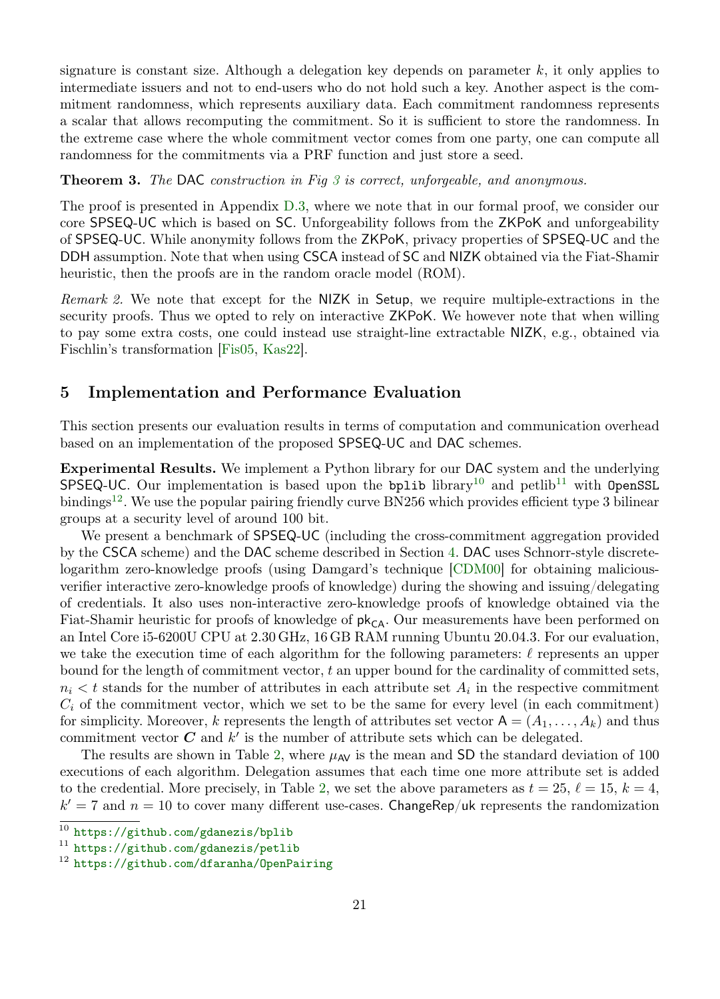signature is constant size. Although a delegation key depends on parameter  $k$ , it only applies to intermediate issuers and not to end-users who do not hold such a key. Another aspect is the commitment randomness, which represents auxiliary data. Each commitment randomness represents a scalar that allows recomputing the commitment. So it is sufficient to store the randomness. In the extreme case where the whole commitment vector comes from one party, one can compute all randomness for the commitments via a PRF function and just store a seed.

# **Theorem [3](#page-21-0).** The DAC construction in Fig  $3$  is correct, unforgeable, and anonymous.

The proof is presented in Appendix [D.3,](#page-42-0) where we note that in our formal proof, we consider our core SPSEQ-UC which is based on SC. Unforgeability follows from the ZKPoK and unforgeability of SPSEQ-UC. While anonymity follows from the ZKPoK, privacy properties of SPSEQ-UC and the DDH assumption. Note that when using CSCA instead of SC and NIZK obtained via the Fiat-Shamir heuristic, then the proofs are in the random oracle model (ROM).

Remark 2. We note that except for the NIZK in Setup, we require multiple-extractions in the security proofs. Thus we opted to rely on interactive ZKPoK. We however note that when willing to pay some extra costs, one could instead use straight-line extractable NIZK, e.g., obtained via Fischlin's transformation [\[Fis05,](#page-25-15) [Kas22\]](#page-26-6).

# 5 Implementation and Performance Evaluation

This section presents our evaluation results in terms of computation and communication overhead based on an implementation of the proposed SPSEQ-UC and DAC schemes.

Experimental Results. We implement a Python library for our DAC system and the underlying SPSEQ-UC. Our implementation is based upon the bplib library<sup>[10](#page-20-0)</sup> and petlib<sup>[11](#page-20-1)</sup> with OpenSSL bindings<sup>[12](#page-20-2)</sup>. We use the popular pairing friendly curve BN256 which provides efficient type 3 bilinear groups at a security level of around 100 bit.

We present a benchmark of SPSEQ-UC (including the cross-commitment aggregation provided by the CSCA scheme) and the DAC scheme described in Section [4.](#page-15-0) DAC uses Schnorr-style discretelogarithm zero-knowledge proofs (using Damgard's technique [\[CDM00\]](#page-24-12) for obtaining maliciousverifier interactive zero-knowledge proofs of knowledge) during the showing and issuing/delegating of credentials. It also uses non-interactive zero-knowledge proofs of knowledge obtained via the Fiat-Shamir heuristic for proofs of knowledge of  $pk_{CA}$ . Our measurements have been performed on an Intel Core i5-6200U CPU at 2.30 GHz, 16 GB RAM running Ubuntu 20.04.3. For our evaluation, we take the execution time of each algorithm for the following parameters:  $\ell$  represents an upper bound for the length of commitment vector, t an upper bound for the cardinality of committed sets,  $n_i < t$  stands for the number of attributes in each attribute set  $A_i$  in the respective commitment  $C_i$  of the commitment vector, which we set to be the same for every level (in each commitment) for simplicity. Moreover, k represents the length of attributes set vector  $A = (A_1, \ldots, A_k)$  and thus commitment vector  $C$  and  $k'$  is the number of attribute sets which can be delegated.

The results are shown in Table [2,](#page-22-0) where  $\mu_{AV}$  is the mean and SD the standard deviation of 100 executions of each algorithm. Delegation assumes that each time one more attribute set is added to the credential. More precisely, in Table [2,](#page-22-0) we set the above parameters as  $t = 25, \ell = 15, k = 4$ ,  $k' = 7$  and  $n = 10$  to cover many different use-cases. ChangeRep/uk represents the randomization

<span id="page-20-0"></span><sup>10</sup> <https://github.com/gdanezis/bplib>

<span id="page-20-1"></span><sup>11</sup> <https://github.com/gdanezis/petlib>

<span id="page-20-2"></span><sup>12</sup> <https://github.com/dfaranha/OpenPairing>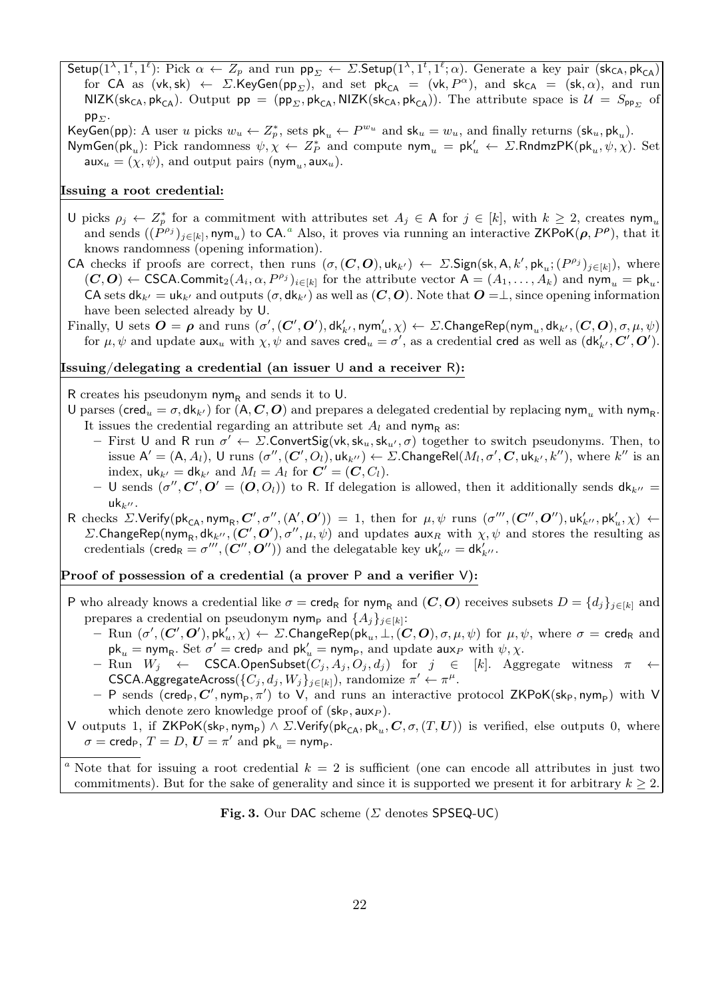Setup( $1^{\lambda}, 1^t, 1^{\ell}$ ): Pick  $\alpha \leftarrow Z_p$  and run  $pp_{\Sigma} \leftarrow \Sigma$ . Setup( $1^{\lambda}, 1^t, 1^{\ell}; \alpha$ ). Generate a key pair (sk<sub>CA</sub>, pk<sub>CA</sub>) for CA as  $(vk, sk) \leftarrow \Sigma.KeyGen(pp_{\Sigma})$ , and set  $pk_{CA} = (vk, P^{\alpha})$ , and  $sk_{CA} = (sk, \alpha)$ , and run  $NIZK(sk_{CA},pk_{CA})$ . Output  $pp = (pp_{\Sigma},pk_{CA}, NIZK(sk_{CA},pk_{CA}))$ . The attribute space is  $\mathcal{U} = S_{pp_{\Sigma}}$  of  $pp_{\Sigma}$ .

KeyGen(pp): A user u picks  $w_u \leftarrow Z_p^*$ , sets  $\mathsf{pk}_u \leftarrow P^{w_u}$  and  $\mathsf{sk}_u = w_u$ , and finally returns  $(\mathsf{sk}_u, \mathsf{pk}_u)$ . NymGen(pk<sub>u</sub>): Pick randomness  $\psi, \chi \leftarrow Z_P^*$  and compute  $\mathsf{nym}_u = \mathsf{pk}'_u \leftarrow \Sigma.\mathsf{RndmzPK}(\mathsf{pk}_u, \psi, \chi)$ . Set  $\mathsf{aux}_u = (\chi, \psi)$ , and output pairs (nym<sub>u</sub>,  $\mathsf{aux}_u$ ).

#### Issuing a root credential:

- U picks  $\rho_j \leftarrow Z_p^*$  for a commitment with attributes set  $A_j \in A$  for  $j \in [k]$ , with  $k \geq 2$ , creates  $\text{nym}_u$ [a](#page-21-1)nd sends  $((P^{\rho_j})_{j\in[k]}, \text{nym}_u)$  to CA.<sup>a</sup> Also, it proves via running an interactive ZKPoK( $\rho, P^{\rho}$ ), that it knows randomness (opening information).
- CA checks if proofs are correct, then runs  $(\sigma, (C, O), \text{uk}_{k'}) \leftarrow \Sigma$ . Sign(sk, A, k', pk<sub>u</sub>;  $(P^{\rho_j})_{j \in [k]}$ ), where  $(C, O) \leftarrow \text{CSCA.Commit}_2(A_i, \alpha, P^{\rho_j})_{i \in [k]}$  for the attribute vector  $A = (A_1, \dots, A_k)$  and  $\text{nym}_u = \text{pk}_u$ . CA sets  $dk_{k'} = uk_{k'}$  and outputs  $(\sigma, dk_{k'})$  as well as  $(C, O)$ . Note that  $O = \perp$ , since opening information have been selected already by U.
- Finally,  $\mathsf{U}$  sets  $\bm{O} = \bm{\rho}$  and runs  $(\sigma',(\bm{C}',\bm{O}'),\mathsf{dk}'_{k'},\mathsf{nym}'_u,\chi) \leftarrow \Sigma. \mathsf{ChangeRep}(\mathsf{nym}_u,\mathsf{dk}_{k'},(\bm{C},\bm{O}),\sigma,\mu,\psi)$ for  $\mu, \psi$  and update  $\textsf{aux}_u$  with  $\chi, \psi$  and saves  $\textsf{cred}_u = \sigma',$  as a credential  $\textsf{cred}$  as well as  $(\textsf{dk}'_{k'}, C', O').$

#### Issuing/delegating a credential (an issuer U and a receiver R):

R creates his pseudonym nym<sub>R</sub> and sends it to U.

- U parses (cred<sub>u</sub> =  $\sigma$ , dk<sub>k'</sub>) for  $(A, C, O)$  and prepares a delegated credential by replacing nym<sub>u</sub> with nym<sub>R</sub>. It issues the credential regarding an attribute set  $A_l$  and nym<sub>R</sub> as:
	- First U and R run  $\sigma' \leftarrow \Sigma$ . Convert Sig(vk, sk<sub>u</sub>, sk<sub>u</sub>,  $\sigma$ ) together to switch pseudonyms. Then, to issue  $A' = (A, A_l)$ , U runs  $(\sigma'', (C', O_l), uk_{k''}) \leftarrow \Sigma$ . ChangeRel $(M_l, \sigma', C, uk_{k'}, k'')$ , where  $k''$  is an index,  $\mathsf{u}\mathsf{k}_{k'} = \mathsf{d}\mathsf{k}_{k'}$  and  $M_l = A_l$  for  $\mathbf{C'} = (\mathbf{C}, C_l)$ .
	- U sends  $(\sigma'', C', O' = (O, O_l))$  to R. If delegation is allowed, then it additionally sends  $dk_{k''}$  $uk_{k}$ .
- R checks  $\Sigma$ . Verify(pk<sub>CA</sub>, nym<sub>R</sub>,  $\mathbf{C}', \sigma'', (\mathsf{A}', \mathbf{O}') = 1$ , then for  $\mu, \psi$  runs  $(\sigma''', (\mathbf{C}'', \mathbf{O}''), \mathsf{u}\mathsf{k}'_{k''}, \mathsf{p}\mathsf{k}'_{u}, \chi) \leftarrow$ Σ.ChangeRep(nym<sub>R</sub>, dk<sub>k''</sub>, (C', O'),  $\sigma''$ ,  $\mu$ ,  $\psi$ ) and updates aux<sub>R</sub> with  $\chi$ ,  $\psi$  and stores the resulting as credentials ( $\mathsf{cred}_R = \sigma''' , (C'', O'')$ ) and the delegatable key  $\mathsf{uk}'_{k''} = \mathsf{dk}'_{k''}.$

#### Proof of possession of a credential (a prover P and a verifier V):

- P who already knows a credential like  $\sigma = \text{cred}_R$  for  $\text{nym}_R$  and  $(C, O)$  receives subsets  $D = \{d_j\}_{j \in [k]}$  and prepares a credential on pseudonym nym<sub>p</sub> and  $\{A_j\}_{j\in[k]}$ :
	- $-$  Run  $(\sigma',(\bm{C}',\bm{O}'),\textsf{pk}_u',\chi) \leftarrow \Sigma.$ ChangeRep $(\textsf{pk}_u,\bot,( \bm{C},\bm{O}),\sigma,\mu,\psi)$  for  $\mu,\psi,$  where  $\sigma = \textsf{cred}_\textsf{R}$  and  $\mathsf{pk}_u = \mathsf{nym}_{\mathsf{R}}.$  Set  $\sigma' = \mathsf{cred}_\mathsf{P}$  and  $\mathsf{pk}'_u = \mathsf{nym}_\mathsf{P},$  and update  $\mathsf{aux}_P$  with  $\psi, \chi$ .
	- $-$  Run  $W_j$  ← CSCA.OpenSubset $(C_j, A_j, O_j, d_j)$  for  $j$  ∈ [k]. Aggregate witness  $π$  ← CSCA.AggregateAcross( $\{C_j, d_j, W_j\}_{j \in [k]}$ ), randomize  $\pi' \leftarrow \pi^{\mu}$ .
	- $-$  P sends (cred<sub>P</sub>, C', nym<sub>p</sub>,  $\pi'$ ) to V, and runs an interactive protocol ZKPoK(sk<sub>P</sub>, nym<sub>p</sub>) with V which denote zero knowledge proof of  $(\mathsf{sk}_P, \mathsf{aux}_P)$ .
- V outputs 1, if  $\mathsf{ZKPoK}(\mathsf{sk}_\mathsf{P},\mathsf{nym}_\mathsf{P}) \wedge \Sigma.\mathsf{Verify}(\mathsf{pk}_\mathsf{CA},\mathsf{pk}_u,\bm{C},\sigma,(T,\bm{U}))$  is verified, else outputs 0, where  $\sigma = \mathsf{cred}_P, T = D, U = \pi' \text{ and } \mathsf{pk}_u = \mathsf{nym}_P.$

<span id="page-21-0"></span>Fig. 3. Our DAC scheme ( $\Sigma$  denotes SPSEQ-UC)

<span id="page-21-1"></span><sup>&</sup>lt;sup>a</sup> Note that for issuing a root credential  $k = 2$  is sufficient (one can encode all attributes in just two commitments). But for the sake of generality and since it is supported we present it for arbitrary  $k \geq 2$ .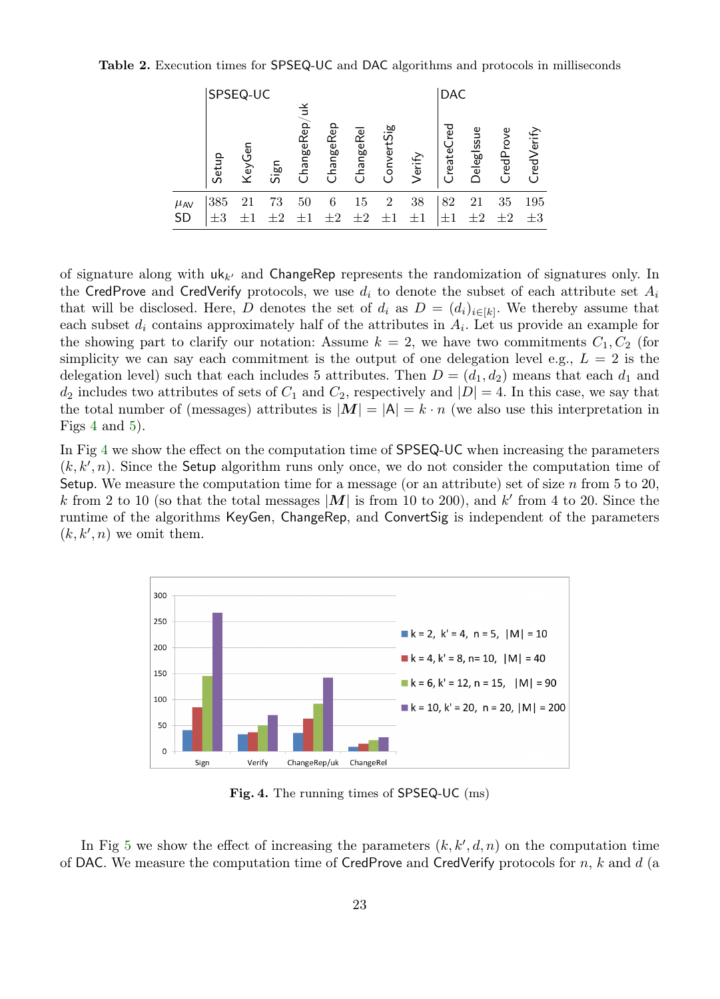Table 2. Execution times for SPSEQ-UC and DAC algorithms and protocols in milliseconds

<span id="page-22-0"></span>

|                       |                | SPSEQ-UC |      |              |              |                        |            |               | <b>DAC</b>                   |                   |               |                |
|-----------------------|----------------|----------|------|--------------|--------------|------------------------|------------|---------------|------------------------------|-------------------|---------------|----------------|
|                       | Setup          | KeyGen   | Sign | ChangeRep/uk | ChangeRep    | hangeRe<br>$^{\prime}$ | ConvertSig | Verify        | red<br>reateC<br>$^{\prime}$ | <b>DelegIssue</b> | redProve      | CredVerify     |
| $\mu$ AV<br><b>SD</b> | 385<br>$\pm 3$ | 21       | 73   | 50           | 6<br>$\pm 2$ | 15<br>$\pm 2$          | 2          | 38<br>$\pm 1$ | 82                           | 21                | 35<br>$\pm 2$ | 195<br>$\pm 3$ |

of signature along with  $uk_{k'}$  and ChangeRep represents the randomization of signatures only. In the CredProve and CredVerify protocols, we use  $d_i$  to denote the subset of each attribute set  $A_i$ that will be disclosed. Here, D denotes the set of  $d_i$  as  $D = (d_i)_{i \in [k]}$ . We thereby assume that each subset  $d_i$  contains approximately half of the attributes in  $A_i$ . Let us provide an example for the showing part to clarify our notation: Assume  $k = 2$ , we have two commitments  $C_1, C_2$  (for simplicity we can say each commitment is the output of one delegation level e.g.,  $L = 2$  is the delegation level) such that each includes 5 attributes. Then  $D = (d_1, d_2)$  means that each  $d_1$  and  $d_2$  includes two attributes of sets of  $C_1$  and  $C_2$ , respectively and  $|D|=4$ . In this case, we say that the total number of (messages) attributes is  $|M| = |A| = k \cdot n$  (we also use this interpretation in Figs [4](#page-22-1) and [5\)](#page-23-0).

In Fig [4](#page-22-1) we show the effect on the computation time of SPSEQ-UC when increasing the parameters  $(k, k', n)$ . Since the Setup algorithm runs only once, we do not consider the computation time of Setup. We measure the computation time for a message (or an attribute) set of size n from 5 to 20, k from 2 to 10 (so that the total messages  $|M|$  is from 10 to 200), and k' from 4 to 20. Since the runtime of the algorithms KeyGen, ChangeRep, and ConvertSig is independent of the parameters  $(k, k', n)$  we omit them.



<span id="page-22-1"></span>Fig. 4. The running times of SPSEQ-UC (ms)

In Fig [5](#page-23-0) we show the effect of increasing the parameters  $(k, k', d, n)$  on the computation time of DAC. We measure the computation time of CredProve and CredVerify protocols for  $n, k$  and  $d$  (a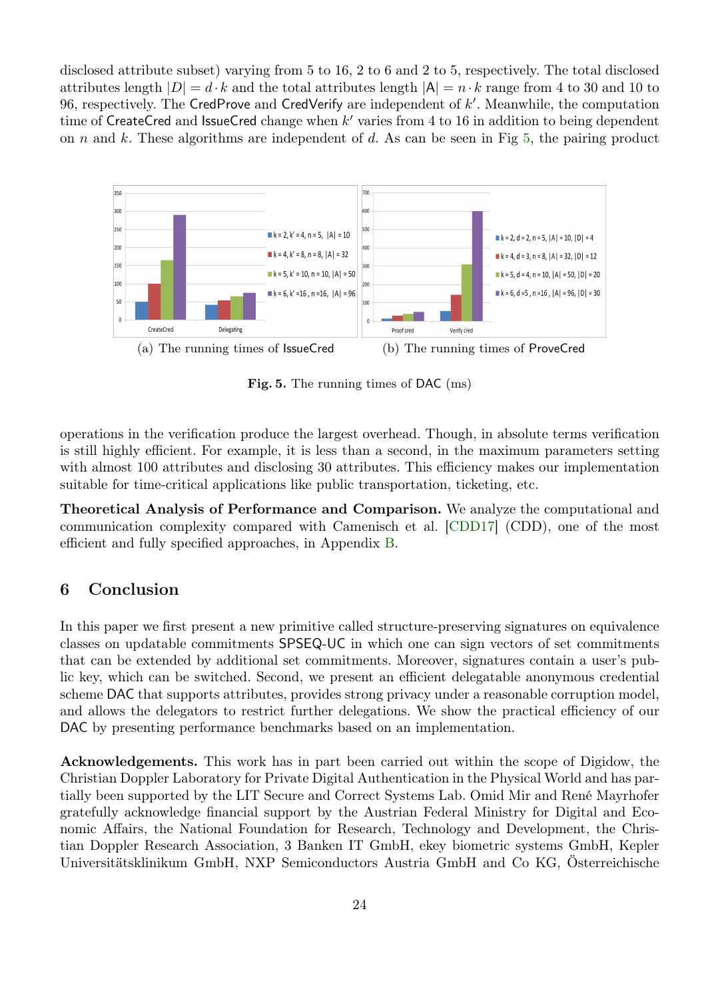disclosed attribute subset) varying from 5 to 16, 2 to 6 and 2 to 5, respectively. The total disclosed attributes length  $|D| = d \cdot k$  and the total attributes length  $|A| = n \cdot k$  range from 4 to 30 and 10 to 96, respectively. The CredProve and CredVerify are independent of  $k'$ . Meanwhile, the computation time of CreateCred and IssueCred change when  $k'$  varies from 4 to 16 in addition to being dependent on  $n$  and  $k$ . These algorithms are independent of  $d$ . As can be seen in Fig [5,](#page-23-0) the pairing product



<span id="page-23-0"></span>Fig. 5. The running times of DAC (ms)

operations in the verification produce the largest overhead. Though, in absolute terms verification is still highly efficient. For example, it is less than a second, in the maximum parameters setting with almost 100 attributes and disclosing 30 attributes. This efficiency makes our implementation suitable for time-critical applications like public transportation, ticketing, etc.

Theoretical Analysis of Performance and Comparison. We analyze the computational and communication complexity compared with Camenisch et al. [\[CDD17\]](#page-24-3) (CDD), one of the most efficient and fully specified approaches, in Appendix [B.](#page-27-0)

# 6 Conclusion

In this paper we first present a new primitive called structure-preserving signatures on equivalence classes on updatable commitments SPSEQ-UC in which one can sign vectors of set commitments that can be extended by additional set commitments. Moreover, signatures contain a user's public key, which can be switched. Second, we present an efficient delegatable anonymous credential scheme DAC that supports attributes, provides strong privacy under a reasonable corruption model, and allows the delegators to restrict further delegations. We show the practical efficiency of our DAC by presenting performance benchmarks based on an implementation.

Acknowledgements. This work has in part been carried out within the scope of Digidow, the Christian Doppler Laboratory for Private Digital Authentication in the Physical World and has partially been supported by the LIT Secure and Correct Systems Lab. Omid Mir and René Mayrhofer gratefully acknowledge financial support by the Austrian Federal Ministry for Digital and Economic Affairs, the National Foundation for Research, Technology and Development, the Christian Doppler Research Association, 3 Banken IT GmbH, ekey biometric systems GmbH, Kepler Universitätsklinikum GmbH, NXP Semiconductors Austria GmbH and Co KG, Österreichische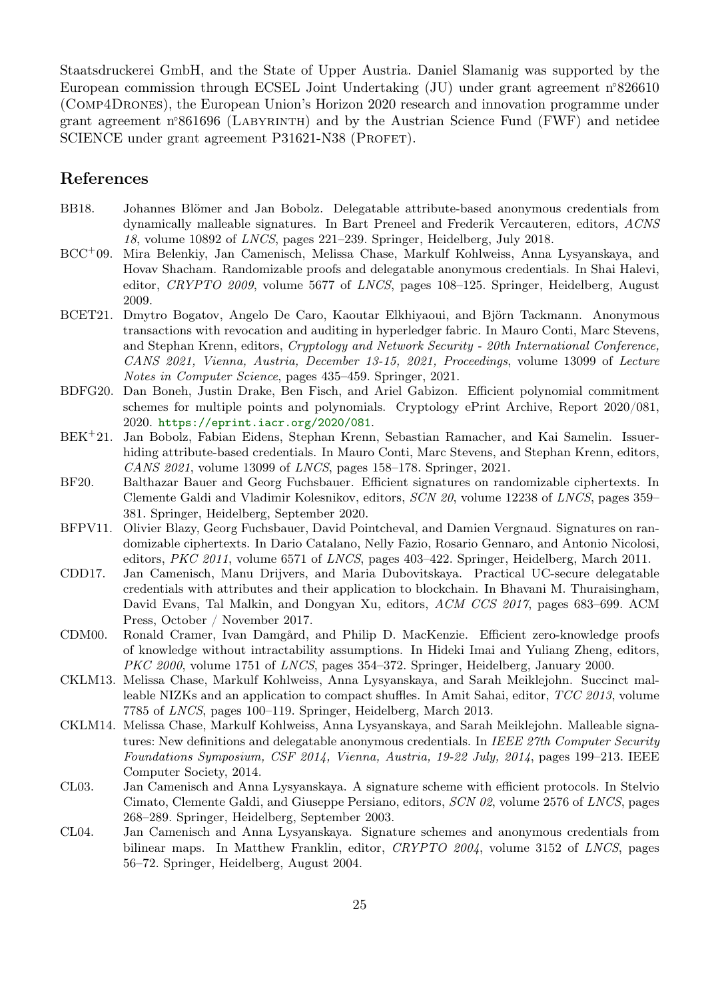Staatsdruckerei GmbH, and the State of Upper Austria. Daniel Slamanig was supported by the European commission through ECSEL Joint Undertaking (JU) under grant agreement n◦826610 (Comp4Drones), the European Union's Horizon 2020 research and innovation programme under grant agreement n<sup>®</sup>861696 (LABYRINTH) and by the Austrian Science Fund (FWF) and netidee SCIENCE under grant agreement P31621-N38 (PROFET).

# References

- <span id="page-24-8"></span>BB18. Johannes Blömer and Jan Bobolz. Delegatable attribute-based anonymous credentials from dynamically malleable signatures. In Bart Preneel and Frederik Vercauteren, editors, ACNS 18, volume 10892 of LNCS, pages 221–239. Springer, Heidelberg, July 2018.
- <span id="page-24-2"></span>BCC<sup>+</sup>09. Mira Belenkiy, Jan Camenisch, Melissa Chase, Markulf Kohlweiss, Anna Lysyanskaya, and Hovav Shacham. Randomizable proofs and delegatable anonymous credentials. In Shai Halevi, editor, CRYPTO 2009, volume 5677 of LNCS, pages 108–125. Springer, Heidelberg, August 2009.
- <span id="page-24-4"></span>BCET21. Dmytro Bogatov, Angelo De Caro, Kaoutar Elkhiyaoui, and Björn Tackmann. Anonymous transactions with revocation and auditing in hyperledger fabric. In Mauro Conti, Marc Stevens, and Stephan Krenn, editors, Cryptology and Network Security - 20th International Conference, CANS 2021, Vienna, Austria, December 13-15, 2021, Proceedings, volume 13099 of Lecture Notes in Computer Science, pages 435–459. Springer, 2021.
- <span id="page-24-11"></span>BDFG20. Dan Boneh, Justin Drake, Ben Fisch, and Ariel Gabizon. Efficient polynomial commitment schemes for multiple points and polynomials. Cryptology ePrint Archive, Report 2020/081, 2020. <https://eprint.iacr.org/2020/081>.
- <span id="page-24-7"></span>BEK<sup>+</sup>21. Jan Bobolz, Fabian Eidens, Stephan Krenn, Sebastian Ramacher, and Kai Samelin. Issuerhiding attribute-based credentials. In Mauro Conti, Marc Stevens, and Stephan Krenn, editors, CANS 2021, volume 13099 of LNCS, pages 158–178. Springer, 2021.
- <span id="page-24-9"></span>BF20. Balthazar Bauer and Georg Fuchsbauer. Efficient signatures on randomizable ciphertexts. In Clemente Galdi and Vladimir Kolesnikov, editors, SCN 20, volume 12238 of LNCS, pages 359– 381. Springer, Heidelberg, September 2020.
- <span id="page-24-10"></span>BFPV11. Olivier Blazy, Georg Fuchsbauer, David Pointcheval, and Damien Vergnaud. Signatures on randomizable ciphertexts. In Dario Catalano, Nelly Fazio, Rosario Gennaro, and Antonio Nicolosi, editors, PKC 2011, volume 6571 of LNCS, pages 403–422. Springer, Heidelberg, March 2011.
- <span id="page-24-3"></span>CDD17. Jan Camenisch, Manu Drijvers, and Maria Dubovitskaya. Practical UC-secure delegatable credentials with attributes and their application to blockchain. In Bhavani M. Thuraisingham, David Evans, Tal Malkin, and Dongyan Xu, editors, ACM CCS 2017, pages 683–699. ACM Press, October / November 2017.
- <span id="page-24-12"></span>CDM00. Ronald Cramer, Ivan Damgård, and Philip D. MacKenzie. Efficient zero-knowledge proofs of knowledge without intractability assumptions. In Hideki Imai and Yuliang Zheng, editors, PKC 2000, volume 1751 of LNCS, pages 354–372. Springer, Heidelberg, January 2000.
- <span id="page-24-5"></span>CKLM13. Melissa Chase, Markulf Kohlweiss, Anna Lysyanskaya, and Sarah Meiklejohn. Succinct malleable NIZKs and an application to compact shuffles. In Amit Sahai, editor, TCC 2013, volume 7785 of LNCS, pages 100–119. Springer, Heidelberg, March 2013.
- <span id="page-24-6"></span>CKLM14. Melissa Chase, Markulf Kohlweiss, Anna Lysyanskaya, and Sarah Meiklejohn. Malleable signatures: New definitions and delegatable anonymous credentials. In IEEE 27th Computer Security Foundations Symposium, CSF 2014, Vienna, Austria, 19-22 July, 2014, pages 199–213. IEEE Computer Society, 2014.
- <span id="page-24-0"></span>CL03. Jan Camenisch and Anna Lysyanskaya. A signature scheme with efficient protocols. In Stelvio Cimato, Clemente Galdi, and Giuseppe Persiano, editors, SCN 02, volume 2576 of LNCS, pages 268–289. Springer, Heidelberg, September 2003.
- <span id="page-24-1"></span>CL04. Jan Camenisch and Anna Lysyanskaya. Signature schemes and anonymous credentials from bilinear maps. In Matthew Franklin, editor, CRYPTO 2004, volume 3152 of LNCS, pages 56–72. Springer, Heidelberg, August 2004.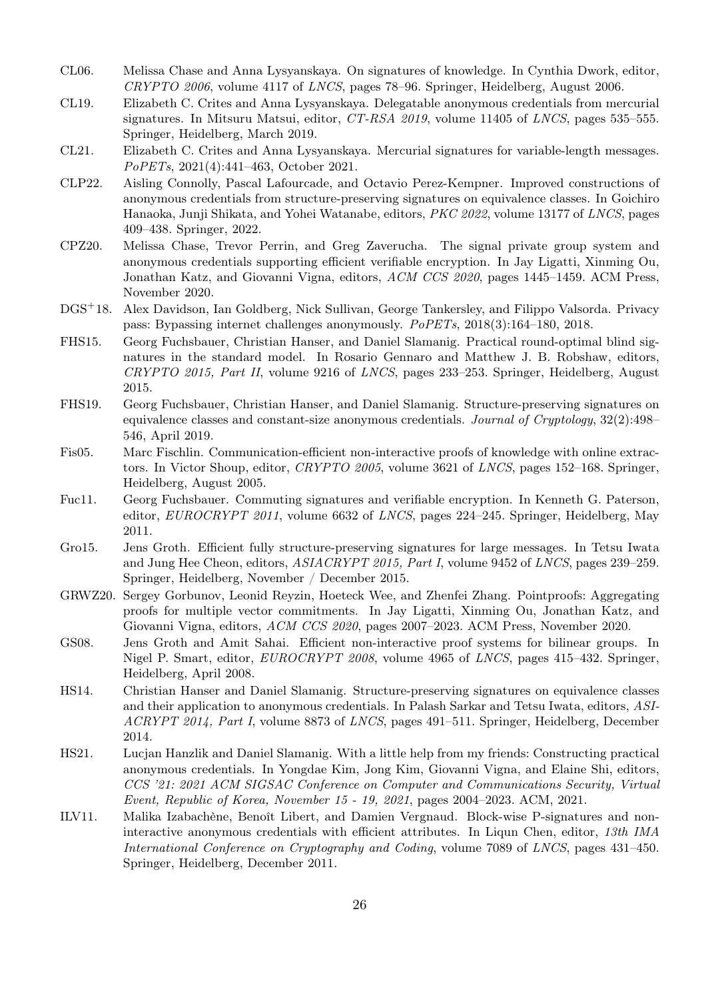- <span id="page-25-7"></span>CL06. Melissa Chase and Anna Lysyanskaya. On signatures of knowledge. In Cynthia Dwork, editor, CRYPTO 2006, volume 4117 of LNCS, pages 78–96. Springer, Heidelberg, August 2006.
- <span id="page-25-6"></span>CL19. Elizabeth C. Crites and Anna Lysyanskaya. Delegatable anonymous credentials from mercurial signatures. In Mitsuru Matsui, editor, CT-RSA 2019, volume 11405 of LNCS, pages 535–555. Springer, Heidelberg, March 2019.
- <span id="page-25-12"></span>CL21. Elizabeth C. Crites and Anna Lysyanskaya. Mercurial signatures for variable-length messages. PoPETs, 2021(4):441–463, October 2021.
- <span id="page-25-3"></span>CLP22. Aisling Connolly, Pascal Lafourcade, and Octavio Perez-Kempner. Improved constructions of anonymous credentials from structure-preserving signatures on equivalence classes. In Goichiro Hanaoka, Junji Shikata, and Yohei Watanabe, editors, PKC 2022, volume 13177 of LNCS, pages 409–438. Springer, 2022.
- <span id="page-25-5"></span>CPZ20. Melissa Chase, Trevor Perrin, and Greg Zaverucha. The signal private group system and anonymous credentials supporting efficient verifiable encryption. In Jay Ligatti, Xinming Ou, Jonathan Katz, and Giovanni Vigna, editors, ACM CCS 2020, pages 1445–1459. ACM Press, November 2020.
- <span id="page-25-4"></span>DGS<sup>+</sup>18. Alex Davidson, Ian Goldberg, Nick Sullivan, George Tankersley, and Filippo Valsorda. Privacy pass: Bypassing internet challenges anonymously. PoPETs, 2018(3):164–180, 2018.
- <span id="page-25-13"></span>FHS15. Georg Fuchsbauer, Christian Hanser, and Daniel Slamanig. Practical round-optimal blind signatures in the standard model. In Rosario Gennaro and Matthew J. B. Robshaw, editors, CRYPTO 2015, Part II, volume 9216 of LNCS, pages 233–253. Springer, Heidelberg, August 2015.
- <span id="page-25-1"></span>FHS19. Georg Fuchsbauer, Christian Hanser, and Daniel Slamanig. Structure-preserving signatures on equivalence classes and constant-size anonymous credentials. Journal of Cryptology, 32(2):498– 546, April 2019.
- <span id="page-25-15"></span>Fis05. Marc Fischlin. Communication-efficient non-interactive proofs of knowledge with online extractors. In Victor Shoup, editor, CRYPTO 2005, volume 3621 of LNCS, pages 152–168. Springer, Heidelberg, August 2005.
- <span id="page-25-9"></span>Fuc11. Georg Fuchsbauer. Commuting signatures and verifiable encryption. In Kenneth G. Paterson, editor, EUROCRYPT 2011, volume 6632 of LNCS, pages 224–245. Springer, Heidelberg, May 2011.
- <span id="page-25-10"></span>Gro15. Jens Groth. Efficient fully structure-preserving signatures for large messages. In Tetsu Iwata and Jung Hee Cheon, editors, ASIACRYPT 2015, Part I, volume 9452 of LNCS, pages 239–259. Springer, Heidelberg, November / December 2015.
- <span id="page-25-14"></span>GRWZ20. Sergey Gorbunov, Leonid Reyzin, Hoeteck Wee, and Zhenfei Zhang. Pointproofs: Aggregating proofs for multiple vector commitments. In Jay Ligatti, Xinming Ou, Jonathan Katz, and Giovanni Vigna, editors, ACM CCS 2020, pages 2007–2023. ACM Press, November 2020.
- <span id="page-25-8"></span>GS08. Jens Groth and Amit Sahai. Efficient non-interactive proof systems for bilinear groups. In Nigel P. Smart, editor, EUROCRYPT 2008, volume 4965 of LNCS, pages 415–432. Springer, Heidelberg, April 2008.
- <span id="page-25-11"></span>HS14. Christian Hanser and Daniel Slamanig. Structure-preserving signatures on equivalence classes and their application to anonymous credentials. In Palash Sarkar and Tetsu Iwata, editors, ASI-ACRYPT 2014, Part I, volume 8873 of LNCS, pages 491–511. Springer, Heidelberg, December 2014.
- <span id="page-25-2"></span>HS21. Lucjan Hanzlik and Daniel Slamanig. With a little help from my friends: Constructing practical anonymous credentials. In Yongdae Kim, Jong Kim, Giovanni Vigna, and Elaine Shi, editors, CCS '21: 2021 ACM SIGSAC Conference on Computer and Communications Security, Virtual Event, Republic of Korea, November 15 - 19, 2021, pages 2004–2023. ACM, 2021.
- <span id="page-25-0"></span>ILV11. Malika Izabachène, Benoît Libert, and Damien Vergnaud. Block-wise P-signatures and noninteractive anonymous credentials with efficient attributes. In Liqun Chen, editor, 13th IMA International Conference on Cryptography and Coding, volume 7089 of LNCS, pages 431–450. Springer, Heidelberg, December 2011.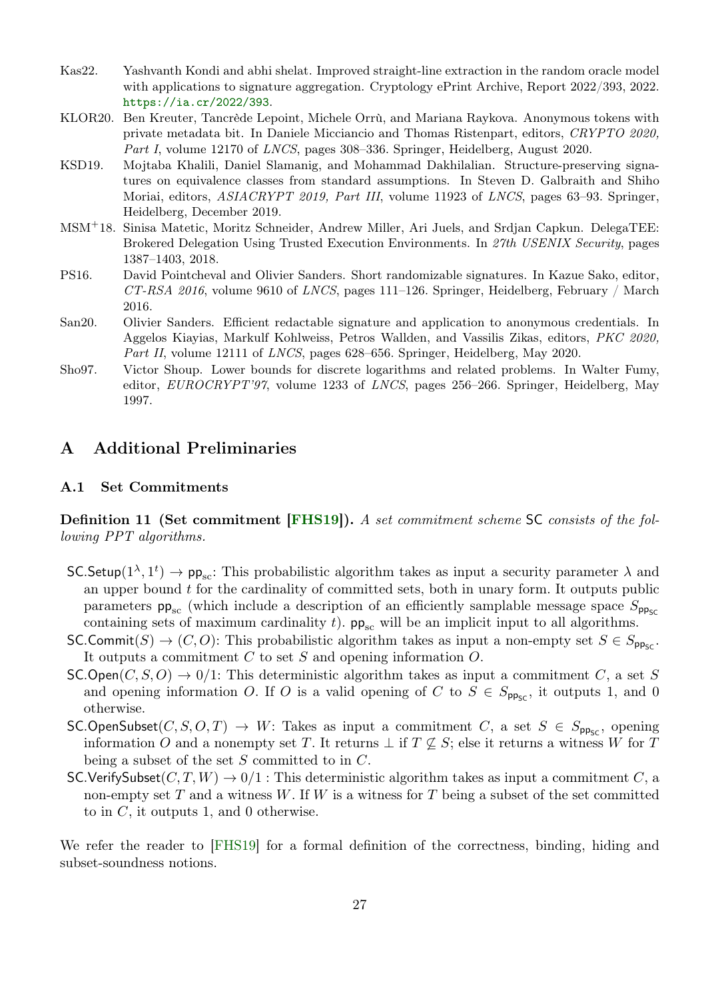- <span id="page-26-6"></span>Kas22. Yashvanth Kondi and abhi shelat. Improved straight-line extraction in the random oracle model with applications to signature aggregation. Cryptology ePrint Archive, Report 2022/393, 2022. <https://ia.cr/2022/393>.
- <span id="page-26-2"></span>KLOR20. Ben Kreuter, Tancrède Lepoint, Michele Orrù, and Mariana Raykova. Anonymous tokens with private metadata bit. In Daniele Micciancio and Thomas Ristenpart, editors, CRYPTO 2020, Part I, volume 12170 of LNCS, pages 308–336. Springer, Heidelberg, August 2020.
- <span id="page-26-4"></span>KSD19. Mojtaba Khalili, Daniel Slamanig, and Mohammad Dakhilalian. Structure-preserving signatures on equivalence classes from standard assumptions. In Steven D. Galbraith and Shiho Moriai, editors, ASIACRYPT 2019, Part III, volume 11923 of LNCS, pages 63–93. Springer, Heidelberg, December 2019.
- <span id="page-26-3"></span>MSM<sup>+</sup>18. Sinisa Matetic, Moritz Schneider, Andrew Miller, Ari Juels, and Srdjan Capkun. DelegaTEE: Brokered Delegation Using Trusted Execution Environments. In 27th USENIX Security, pages 1387–1403, 2018.
- <span id="page-26-0"></span>PS16. David Pointcheval and Olivier Sanders. Short randomizable signatures. In Kazue Sako, editor,  $CT-RSA$  2016, volume 9610 of LNCS, pages 111–126. Springer, Heidelberg, February / March 2016.
- <span id="page-26-1"></span>San20. Olivier Sanders. Efficient redactable signature and application to anonymous credentials. In Aggelos Kiayias, Markulf Kohlweiss, Petros Wallden, and Vassilis Zikas, editors, PKC 2020, Part II, volume 12111 of LNCS, pages 628–656. Springer, Heidelberg, May 2020.
- <span id="page-26-7"></span>Sho97. Victor Shoup. Lower bounds for discrete logarithms and related problems. In Walter Fumy, editor, EUROCRYPT'97, volume 1233 of LNCS, pages 256–266. Springer, Heidelberg, May 1997.

# A Additional Preliminaries

# <span id="page-26-5"></span>A.1 Set Commitments

Definition 11 (Set commitment [\[FHS19\]](#page-25-1)). A set commitment scheme SC consists of the following PPT algorithms.

- SC.Setup $(1^{\lambda}, 1^t) \to pp_{sc}$ : This probabilistic algorithm takes as input a security parameter  $\lambda$  and an upper bound  $t$  for the cardinality of committed sets, both in unary form. It outputs public parameters  $pp_{sc}$  (which include a description of an efficiently samplable message space  $S_{pp_{sc}}$ containing sets of maximum cardinality t).  $pp_{sc}$  will be an implicit input to all algorithms.
- $SC.Commit(S) \rightarrow (C, O)$ : This probabilistic algorithm takes as input a non-empty set  $S \in S_{\text{Dec}}$ . It outputs a commitment  $C$  to set  $S$  and opening information  $O$ .
- $SCOpen(C, S, O) \rightarrow 0/1$ : This deterministic algorithm takes as input a commitment C, a set S and opening information O. If O is a valid opening of C to  $S \in S_{\text{pp}_{\text{SC}}}$ , it outputs 1, and 0 otherwise.
- $SC.OpenSubset(C, S, O, T) \rightarrow W$ : Takes as input a commitment C, a set  $S \in S_{pp<sub>SC</sub>}$ , opening information O and a nonempty set T. It returns  $\perp$  if  $T \not\subseteq S$ ; else it returns a witness W for T being a subset of the set  $S$  committed to in  $C$ .
- SC.VerifySubset $(C, T, W) \rightarrow 0/1$ : This deterministic algorithm takes as input a commitment C, a non-empty set  $T$  and a witness  $W$ . If  $W$  is a witness for  $T$  being a subset of the set committed to in  $C$ , it outputs 1, and 0 otherwise.

We refer the reader to [\[FHS19\]](#page-25-1) for a formal definition of the correctness, binding, hiding and subset-soundness notions.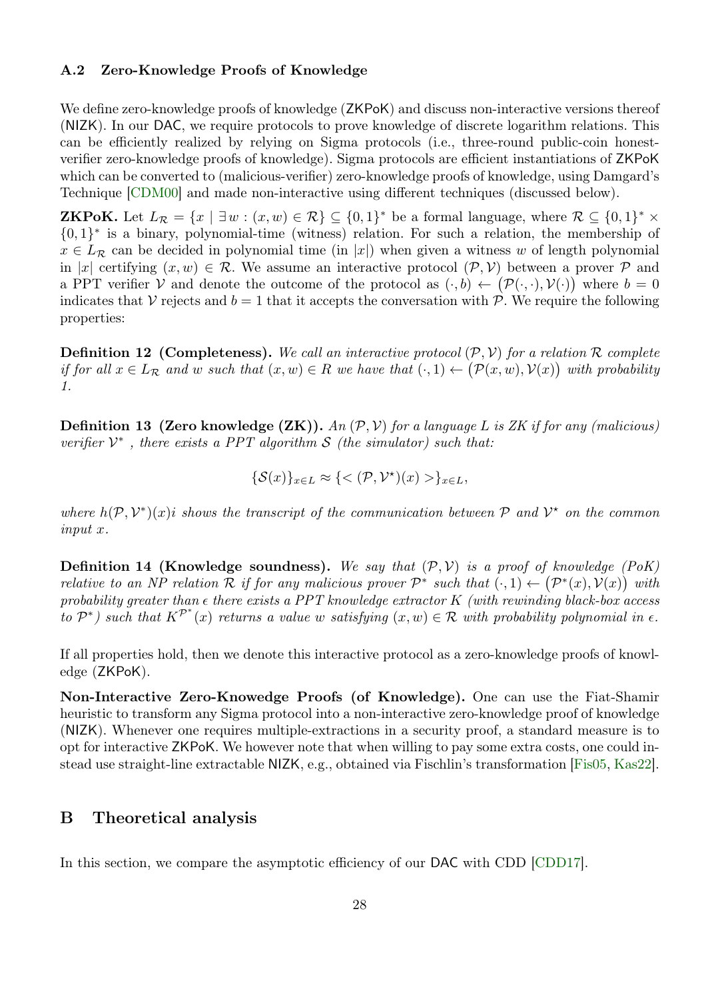### <span id="page-27-1"></span>A.2 Zero-Knowledge Proofs of Knowledge

We define zero-knowledge proofs of knowledge (ZKPoK) and discuss non-interactive versions thereof (NIZK). In our DAC, we require protocols to prove knowledge of discrete logarithm relations. This can be efficiently realized by relying on Sigma protocols (i.e., three-round public-coin honestverifier zero-knowledge proofs of knowledge). Sigma protocols are efficient instantiations of ZKPoK which can be converted to (malicious-verifier) zero-knowledge proofs of knowledge, using Damgard's Technique [\[CDM00\]](#page-24-12) and made non-interactive using different techniques (discussed below).

**ZKPoK.** Let  $L_{\mathcal{R}} = \{x \mid \exists w : (x, w) \in \mathcal{R}\} \subseteq \{0, 1\}^*$  be a formal language, where  $\mathcal{R} \subseteq \{0, 1\}^* \times$ {0, 1} ∗ is a binary, polynomial-time (witness) relation. For such a relation, the membership of  $x \in L_R$  can be decided in polynomial time (in |x|) when given a witness w of length polynomial in |x| certifying  $(x, w) \in \mathcal{R}$ . We assume an interactive protocol  $(\mathcal{P}, \mathcal{V})$  between a prover  $\mathcal{P}$  and a PPT verifier V and denote the outcome of the protocol as  $(\cdot, b) \leftarrow (\mathcal{P}(\cdot, \cdot), \mathcal{V}(\cdot))$  where  $b = 0$ indicates that V rejects and  $b = 1$  that it accepts the conversation with P. We require the following properties:

**Definition 12 (Completeness).** We call an interactive protocol  $(\mathcal{P}, \mathcal{V})$  for a relation R complete if for all  $x \in L_{\mathcal{R}}$  and w such that  $(x, w) \in R$  we have that  $(\cdot, 1) \leftarrow (\mathcal{P}(x, w), \mathcal{V}(x))$  with probability 1.

**Definition 13 (Zero knowledge (ZK)).** An  $(\mathcal{P}, \mathcal{V})$  for a language L is ZK if for any (malicious) verifier  $V^*$ , there exists a PPT algorithm S (the simulator) such that:

$$
\{\mathcal{S}(x)\}_{x\in L}\approx \{<(\mathcal{P},\mathcal{V}^{\star})(x)> \}_{x\in L},
$$

where  $h(\mathcal{P}, \mathcal{V}^*)(x)$  is shows the transcript of the communication between  $\mathcal{P}$  and  $\mathcal{V}^*$  on the common input x.

**Definition 14 (Knowledge soundness).** We say that  $(\mathcal{P}, \mathcal{V})$  is a proof of knowledge (PoK) relative to an NP relation R if for any malicious prover  $\mathcal{P}^*$  such that  $(\cdot,1) \leftarrow (\mathcal{P}^*(x),\mathcal{V}(x))$  with probability greater than  $\epsilon$  there exists a PPT knowledge extractor K (with rewinding black-box access to  $\mathcal{P}^*$ ) such that  $K^{\mathcal{P}^*}(x)$  returns a value w satisfying  $(x, w) \in \mathcal{R}$  with probability polynomial in  $\epsilon$ .

If all properties hold, then we denote this interactive protocol as a zero-knowledge proofs of knowledge (ZKPoK).

Non-Interactive Zero-Knowedge Proofs (of Knowledge). One can use the Fiat-Shamir heuristic to transform any Sigma protocol into a non-interactive zero-knowledge proof of knowledge (NIZK). Whenever one requires multiple-extractions in a security proof, a standard measure is to opt for interactive ZKPoK. We however note that when willing to pay some extra costs, one could instead use straight-line extractable NIZK, e.g., obtained via Fischlin's transformation [\[Fis05,](#page-25-15) [Kas22\]](#page-26-6).

# <span id="page-27-0"></span>B Theoretical analysis

In this section, we compare the asymptotic efficiency of our DAC with CDD [\[CDD17\]](#page-24-3).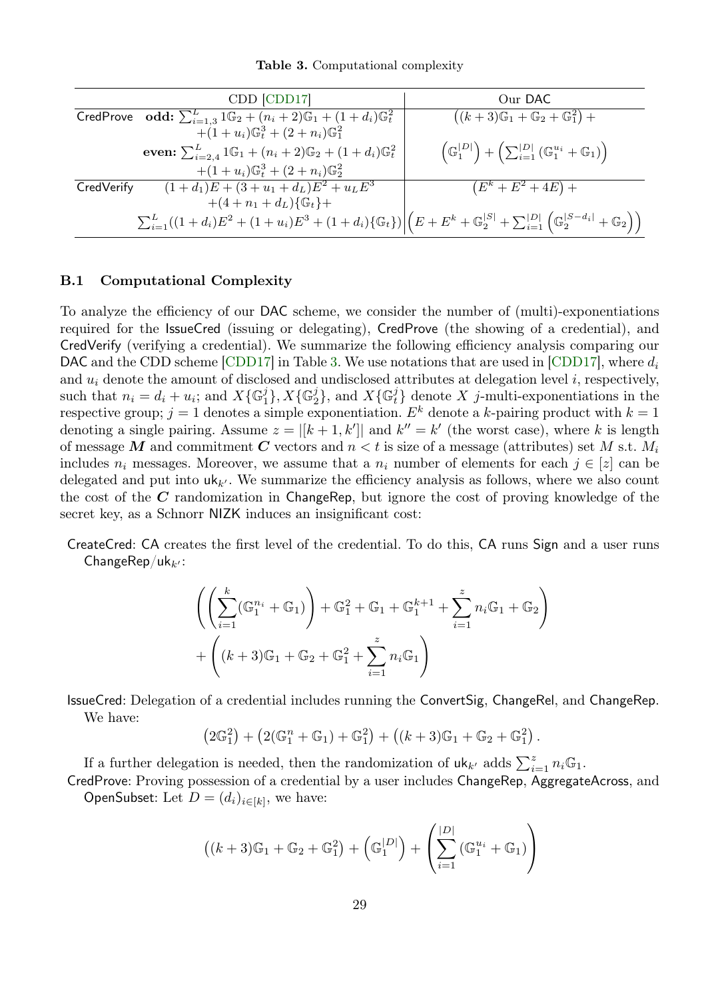<span id="page-28-0"></span>Table 3. Computational complexity

|            | CDD [CDD17]                                                                                                                                                                    | Our DAC                                                                                                          |
|------------|--------------------------------------------------------------------------------------------------------------------------------------------------------------------------------|------------------------------------------------------------------------------------------------------------------|
|            | <b>CredProve</b> odd: $\sum_{i=1,3}^{L} 1 \mathbb{G}_2 + (n_i + 2) \mathbb{G}_1 + (1 + d_i) \mathbb{G}_t^2$                                                                    | $((k+3)\mathbb{G}_1 + \mathbb{G}_2 + \mathbb{G}_1^2) +$                                                          |
|            | $+(1+u_i)\mathbb{G}^3_t+(2+n_i)\mathbb{G}^2_1$                                                                                                                                 |                                                                                                                  |
|            | even: $\sum_{i=2,4}^{L} 1 \mathbb{G}_1 + (n_i + 2) \mathbb{G}_2 + (1 + d_i) \mathbb{G}_t^2$                                                                                    | $\left(\mathbb{G}_1^{ D }\right) + \left(\sum_{i=1}^{ D } \left(\mathbb{G}_1^{u_i} + \mathbb{G}_1\right)\right)$ |
|            | $+(1+u_i)\mathbb{G}^3_t+(2+n_i)\mathbb{G}^2_2$                                                                                                                                 |                                                                                                                  |
| CredVerify | $(1+d_1)E + (3+u_1+d_L)E^2 + u_L E^3$                                                                                                                                          | $(E^k + E^2 + 4E) +$                                                                                             |
|            | $+(4+n_1+d_L){\mathbb{G}_t}+$                                                                                                                                                  |                                                                                                                  |
|            | $\sum_{i=1}^{L}((1+d_i)E^2 + (1+u_i)E^3 + (1+d_i){\mathbb{G}_t})\Big \Big(E+E^k + {\mathbb{G}}_2^{ S } + \sum_{i=1}^{ D } {\mathbb{G}}_2^{ S-d_i } + {\mathbb{G}}_2\Big)\Big)$ |                                                                                                                  |

### B.1 Computational Complexity

To analyze the efficiency of our DAC scheme, we consider the number of (multi)-exponentiations required for the IssueCred (issuing or delegating), CredProve (the showing of a credential), and CredVerify (verifying a credential). We summarize the following efficiency analysis comparing our DAC and the CDD scheme [\[CDD17\]](#page-24-3) in Table [3.](#page-28-0) We use notations that are used in [CDD17], where  $d_i$ and  $u_i$  denote the amount of disclosed and undisclosed attributes at delegation level i, respectively, such that  $n_i = d_i + u_i$ ; and  $X\{\mathbb{G}_1^j\}$ ,  $X\{\mathbb{G}_2^j\}$ , and  $X\{\mathbb{G}_t^j\}$  denote X j-multi-exponentiations in the respective group;  $j = 1$  denotes a simple exponentiation.  $E^k$  denote a k-pairing product with  $k = 1$ denoting a single pairing. Assume  $z = |[k+1, k']|$  and  $k'' = k'$  (the worst case), where k is length of message M and commitment C vectors and  $n < t$  is size of a message (attributes) set M s.t.  $M_i$ includes  $n_i$  messages. Moreover, we assume that a  $n_i$  number of elements for each  $j \in [z]$  can be delegated and put into  $uk_{k'}$ . We summarize the efficiency analysis as follows, where we also count the cost of the  $C$  randomization in ChangeRep, but ignore the cost of proving knowledge of the secret key, as a Schnorr NIZK induces an insignificant cost:

CreateCred: CA creates the first level of the credential. To do this, CA runs Sign and a user runs ChangeRep/uk $_{k'}$ :

$$
\left( \left( \sum_{i=1}^{k} (\mathbb{G}_{1}^{n_{i}} + \mathbb{G}_{1}) \right) + \mathbb{G}_{1}^{2} + \mathbb{G}_{1} + \mathbb{G}_{1}^{k+1} + \sum_{i=1}^{z} n_{i} \mathbb{G}_{1} + \mathbb{G}_{2} \right) + \left( (k+3)\mathbb{G}_{1} + \mathbb{G}_{2} + \mathbb{G}_{1}^{2} + \sum_{i=1}^{z} n_{i} \mathbb{G}_{1} \right)
$$

IssueCred: Delegation of a credential includes running the ConvertSig, ChangeRel, and ChangeRep. We have:

$$
(2\mathbb{G}_1^2) + (2(\mathbb{G}_1^n + \mathbb{G}_1) + \mathbb{G}_1^2) + ((k+3)\mathbb{G}_1 + \mathbb{G}_2 + \mathbb{G}_1^2).
$$

If a further delegation is needed, then the randomization of  $\mathsf{uk}_{k'}$  adds  $\sum_{i=1}^{z} n_i \mathbb{G}_1$ .

CredProve: Proving possession of a credential by a user includes ChangeRep, AggregateAcross, and OpenSubset: Let  $D = (d_i)_{i \in [k]}$ , we have:

$$
((k+3)\mathbb{G}_1 + \mathbb{G}_2 + \mathbb{G}_1^2) + (\mathbb{G}_1^{|D|}) + \left(\sum_{i=1}^{|D|} (\mathbb{G}_1^{u_i} + \mathbb{G}_1)\right)
$$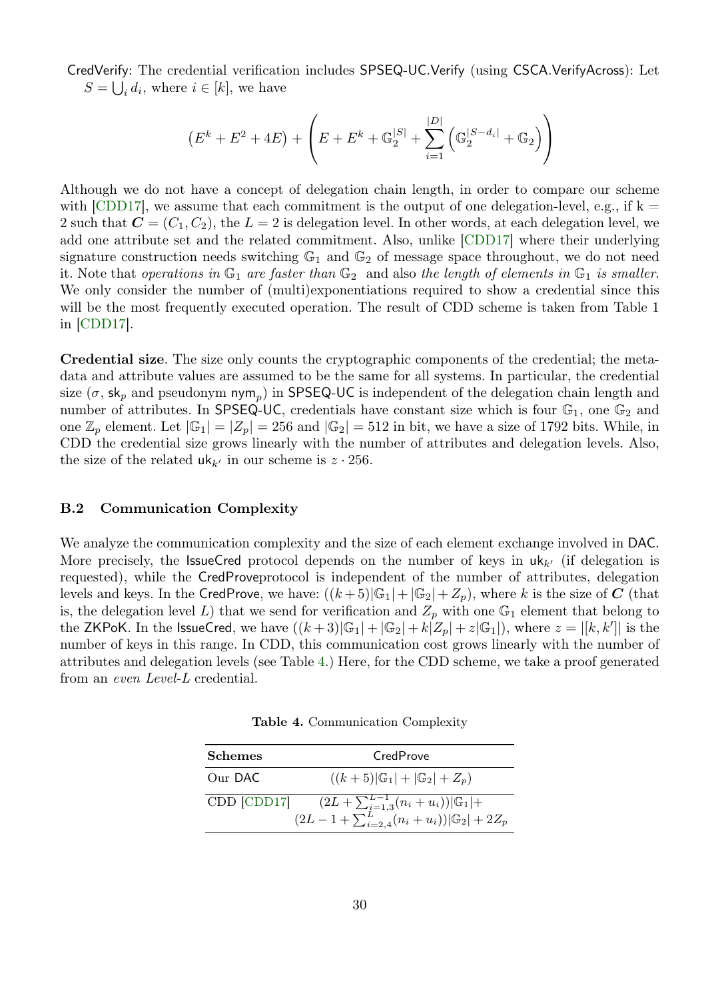CredVerify: The credential verification includes SPSEQ-UC.Verify (using CSCA.VerifyAcross): Let  $S = \bigcup_i d_i$ , where  $i \in [k]$ , we have

$$
(E^{k} + E^{2} + 4E) + \left(E + E^{k} + \mathbb{G}_{2}^{|S|} + \sum_{i=1}^{|D|} (\mathbb{G}_{2}^{|S - d_{i}|} + \mathbb{G}_{2})\right)
$$

Although we do not have a concept of delegation chain length, in order to compare our scheme with [\[CDD17\]](#page-24-3), we assume that each commitment is the output of one delegation-level, e.g., if  $k =$ 2 such that  $\mathbf{C} = (C_1, C_2)$ , the  $L = 2$  is delegation level. In other words, at each delegation level, we add one attribute set and the related commitment. Also, unlike [\[CDD17\]](#page-24-3) where their underlying signature construction needs switching  $\mathbb{G}_1$  and  $\mathbb{G}_2$  of message space throughout, we do not need it. Note that operations in  $\mathbb{G}_1$  are faster than  $\mathbb{G}_2$  and also the length of elements in  $\mathbb{G}_1$  is smaller. We only consider the number of (multi)exponentiations required to show a credential since this will be the most frequently executed operation. The result of CDD scheme is taken from Table 1 in [\[CDD17\]](#page-24-3).

Credential size. The size only counts the cryptographic components of the credential; the metadata and attribute values are assumed to be the same for all systems. In particular, the credential size ( $\sigma$ , sk<sub>p</sub> and pseudonym nym<sub>p</sub>) in SPSEQ-UC is independent of the delegation chain length and number of attributes. In SPSEQ-UC, credentials have constant size which is four  $\mathbb{G}_1$ , one  $\mathbb{G}_2$  and one  $\mathbb{Z}_p$  element. Let  $|\mathbb{G}_1| = |Z_p| = 256$  and  $|\mathbb{G}_2| = 512$  in bit, we have a size of 1792 bits. While, in CDD the credential size grows linearly with the number of attributes and delegation levels. Also, the size of the related  $uk_{k'}$  in our scheme is  $z \cdot 256$ .

#### B.2 Communication Complexity

We analyze the communication complexity and the size of each element exchange involved in DAC. More precisely, the **IssueCred** protocol depends on the number of keys in  $uk_{k'}$  (if delegation is requested), while the CredProveprotocol is independent of the number of attributes, delegation levels and keys. In the CredProve, we have:  $((k+5)|\mathbb{G}_1|+|\mathbb{G}_2|+Z_p)$ , where k is the size of C (that is, the delegation level L) that we send for verification and  $Z_p$  with one  $\mathbb{G}_1$  element that belong to the ZKPoK. In the IssueCred, we have  $((k+3)|\mathbb{G}_1|+|\mathbb{G}_2|+k\tilde{|Z_p|}+z|\mathbb{G}_1|)$ , where  $z=|[k,k']|$  is the number of keys in this range. In CDD, this communication cost grows linearly with the number of attributes and delegation levels (see Table [4.](#page-29-0)) Here, for the CDD scheme, we take a proof generated from an even Level-L credential.

<span id="page-29-0"></span>Table 4. Communication Complexity

| <b>Schemes</b> | CredProve                                                                                                     |
|----------------|---------------------------------------------------------------------------------------------------------------|
| Our DAC        | $((k+5) \mathbb{G}_1 + \mathbb{G}_2 +Z_p)$                                                                    |
| CDD [CDD17]    | $\frac{(2L+\sum_{i=1,3}^{L-1}(n_i+u_i)) \mathbb{G}_1 +}{(2L-1+\sum_{i=2,4}^{L}(n_i+u_i)) \mathbb{G}_2 +2Z_p}$ |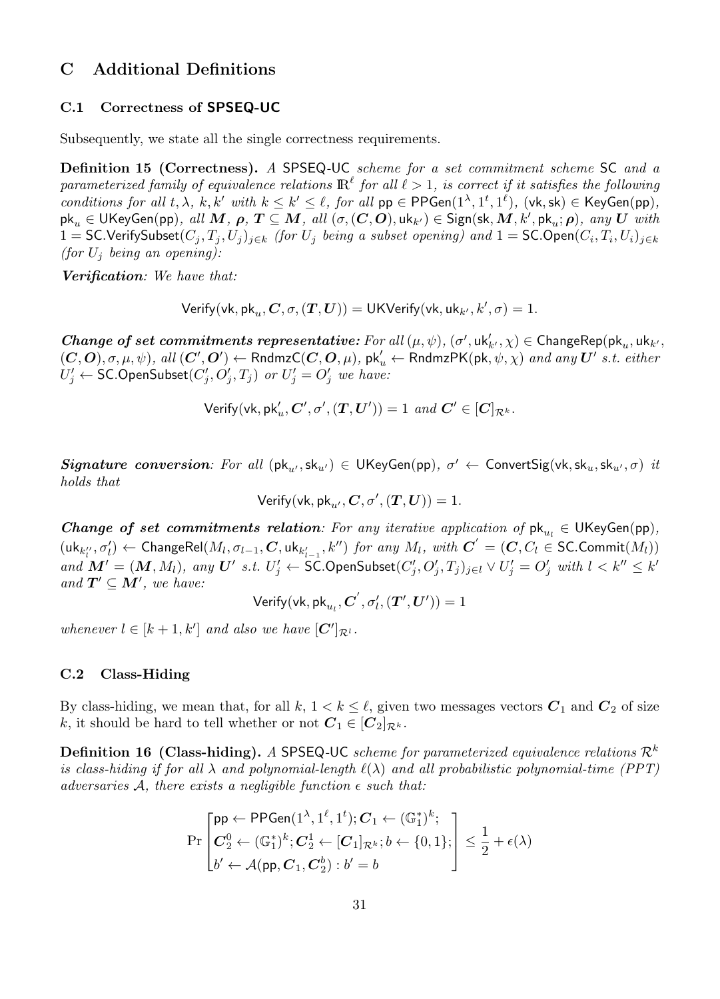# C Additional Definitions

# <span id="page-30-0"></span>C.1 Correctness of SPSEQ-UC

Subsequently, we state all the single correctness requirements.

Definition 15 (Correctness). A SPSEQ-UC scheme for a set commitment scheme SC and a parameterized family of equivalence relations  $\mathbb{R}^\ell$  for all  $\ell > 1$ , is correct if it satisfies the following conditions for all  $t, \lambda, k, k'$  with  $k \leq k' \leq \ell$ , for all  $pp \in {\sf PPGen}(1^{\lambda}, 1^t, 1^{\ell})$ ,  $(\forall k, \mathsf{sk}) \in \mathsf{KeyGen}(pp)$ ,  $\mathsf{pk}_u\in\mathsf{UKeyGen(pp)}, \ all \ M, \ \pmb{\rho}, \ T\subseteq M, \ all \ (\sigma, (\pmb{C}, \pmb{O}), \mathsf{uk}_{k'})\in\mathsf{Sign}(\mathsf{sk},M,k', \mathsf{pk}_u;\pmb{\rho}), \ any \ U \ \ with$ 1 = SC.VerifySubset $(C_j, T_j, U_j)_{j \in k}$  (for  $U_j$  being a subset opening) and 1 = SC.Open $(C_i, T_i, U_i)_{j \in k}$ (for  $U_i$  being an opening):

Verification: We have that:

 $\mathsf{Verify}(\mathsf{vk}, \mathsf{pk}_u, \mathcal{C}, \sigma, (\mathcal{T}, \mathcal{U})) = \mathsf{UKVerify}(\mathsf{vk}, \mathsf{uk}_{k'}, k', \sigma) = 1.$ 

Change of set commitments representative: For all  $(\mu, \psi)$ ,  $(\sigma', \text{uk}'_{k'}, \chi) \in \text{ChangeRep}(\text{pk}_u, \text{uk}_{k'}, \chi)$  $(C, O), \sigma, \mu, \psi)$ , all  $(C', O') \leftarrow$  Rndmz $C(C, O, \mu)$ , pk $\prime_u \leftarrow$  RndmzPK(pk,  $\psi, \chi$ ) and any  $U'$  s.t. either  $U'_j \leftarrow \mathsf{SC}.\mathsf{OpenSubset}(C'_j, O'_j, T_j)$  or  $U'_j = O'_j$  we have:

$$
\mathsf{Verify}(\mathsf{vk}, \mathsf{pk}_u', \mathbf{C}', \sigma', (\mathbf{T}, \mathbf{U}')) = 1 \ and \ \mathbf{C}' \in [\mathbf{C}]_{\mathcal{R}^k}.
$$

 ${\it Signature\ conversion}\colon$  For all  $(\mathsf{pk}_{u'},\mathsf{sk}_{u'}) \in \mathsf{UKeyGen}(\mathsf{pp}),\ \sigma' \leftarrow \mathsf{ConvertSig}(\mathsf{vk},\mathsf{sk}_{u},\mathsf{sk}_{u'},\sigma)\ \mathit{it}$ holds that

$$
\mathsf{Verify}(\mathsf{vk}, \mathsf{pk}_{u'}, \mathbf{C}, \sigma', (\mathbf{T}, \mathbf{U})) = 1.
$$

**Change of set commitments relation**: For any iterative application of  $pk_{u_l} \in \text{UKeyGen}(pp)$ ,  $(\mathsf{uk}_{k''_l}, \sigma'_l) \leftarrow \mathsf{ChangeRel}(M_l, \sigma_{l-1}, \bm{C}, \mathsf{uk}_{k'_{l-1}}, k'') \textit{ for any } M_l, \textit{ with } \bm{C}^{'} = (\bm{C}, C_l \in \mathsf{SC}. \mathsf{Commit}(M_l))$ and  $\mathbf{M}' = (\mathbf{M}, M_l)$ , any  $\mathbf{U}'$  s.t.  $U'_j \leftarrow \mathsf{SC}.\mathsf{OpenSubset}(C'_j, O'_j, T_j)_{j \in l} \vee U'_j = O'_j$  with  $l < k'' \leq k'$ and  $T' \subseteq M'$ , we have:

 $\mathsf{Verify}(\mathsf{vk}, \allowbreak \mathsf{pk}_{u_l}, \allowbreak \boldsymbol{C}', \allowbreak \sigma'_{l}, \allowbreak (\boldsymbol{T}', \boldsymbol{U}')) = 1$ 

whenever  $l \in [k+1, k']$  and also we have  $[C']_{\mathcal{R}^l}$ .

### <span id="page-30-1"></span>C.2 Class-Hiding

By class-hiding, we mean that, for all  $k, 1 < k \leq \ell$ , given two messages vectors  $C_1$  and  $C_2$  of size k, it should be hard to tell whether or not  $C_1 \in [C_2]_{\mathcal{R}^k}$ .

**Definition 16 (Class-hiding).** A SPSEQ-UC scheme for parameterized equivalence relations  $\mathcal{R}^k$ is class-hiding if for all  $\lambda$  and polynomial-length  $\ell(\lambda)$  and all probabilistic polynomial-time (PPT) adversaries A, there exists a negligible function  $\epsilon$  such that:

$$
\Pr\begin{bmatrix} \mathsf{pp} \leftarrow \mathsf{PPGen}(1^{\lambda}, 1^{\ell}, 1^t); \mathbf{C}_1 \leftarrow (\mathbb{G}_1^*)^k; \\ \mathbf{C}_2^0 \leftarrow (\mathbb{G}_1^*)^k; \mathbf{C}_2^1 \leftarrow [\mathbf{C}_1]_{\mathcal{R}^k}; b \leftarrow \{0, 1\}; \\ b' \leftarrow \mathcal{A}(\mathsf{pp}, \mathbf{C}_1, \mathbf{C}_2^b) : b' = b \end{bmatrix} \le \frac{1}{2} + \epsilon(\lambda)
$$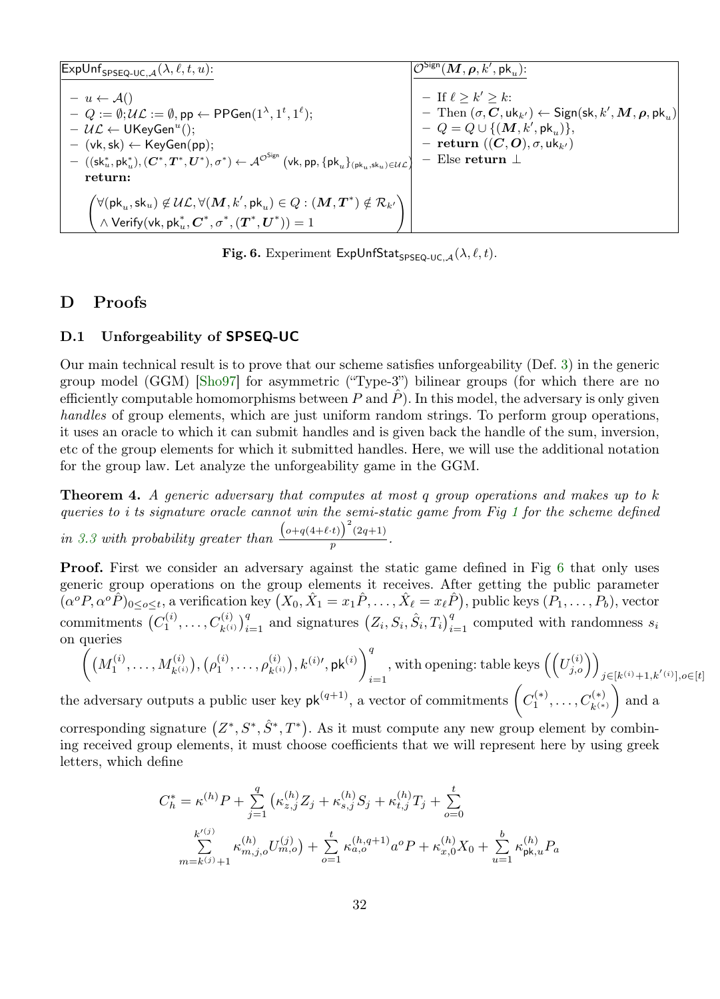| $\left \mathsf{ExpUnf}_{\mathsf{SPSEQ-UC},\mathcal{A}}(\lambda,\ell,t,u)\right $                                                                                                                                                                                                                                                                                                                                                                                            | $\mathcal{O}^{\mathsf{Sign}}(\bm{M},\bm{\rho},k',\mathsf{pk}_n)$ :                                                                                                                                                                                        |
|-----------------------------------------------------------------------------------------------------------------------------------------------------------------------------------------------------------------------------------------------------------------------------------------------------------------------------------------------------------------------------------------------------------------------------------------------------------------------------|-----------------------------------------------------------------------------------------------------------------------------------------------------------------------------------------------------------------------------------------------------------|
| $- u \leftarrow \mathcal{A}()$<br>$Q := \emptyset; \mathcal{UL} := \emptyset$ , pp $\leftarrow$ PPGen $(1^{\lambda}, 1^t, 1^{\ell})$ ;<br>$- U \mathcal{L} \leftarrow \mathsf{UKeyGen}^u$ ();<br>$-$ (vk, sk) $\leftarrow$ KeyGen(pp);<br>$-((\mathsf{sk}^*_u, \mathsf{pk}^*_u), (C^*, T^*, U^*), \sigma^*) \leftarrow \mathcal{A}^{\mathcal{O}^{\mathsf{Sign}}}(v\mathsf{k}, \mathsf{pp}, \{\mathsf{pk}_u\}_{(\mathsf{pk}_u, \mathsf{sk}_u) \in \mathcal{UL}})$<br>return: | $-$ If $\ell > k' > k$ :<br>$-$ Then $(\sigma, C, \text{uk}_{k'}) \leftarrow$ Sign(sk, k', M, $\rho, \text{pk}_{n}$ )<br>$-Q = Q \cup \{(\mathbf{M}, k', \mathsf{pk}_{n})\},$<br>$-$ return $((C, O), \sigma, \text{uk}_{k'})$<br>$-$ Else return $\perp$ |
| $\begin{pmatrix} \forall (\mathsf{pk}_u,\mathsf{sk}_u) \not\in \mathcal{UL}, \forall (\boldsymbol{M},k',\mathsf{pk}_u) \in Q : (\boldsymbol{M},\boldsymbol{T}^*) \notin \mathcal{R}_{k'} \\ \wedge \mathsf{Verify}(\mathsf{vk},\mathsf{pk}_u^*,\boldsymbol{C}^*,\sigma^*,(\boldsymbol{T}^*,\boldsymbol{U}^*)) = 1 \end{pmatrix}$                                                                                                                                            |                                                                                                                                                                                                                                                           |

<span id="page-31-1"></span>Fig. 6. Experiment ExpUnfStat<sub>SPSEQ-UC,  $A(\lambda, \ell, t)$ .</sub>

# D Proofs

# <span id="page-31-0"></span>D.1 Unforgeability of SPSEQ-UC

Our main technical result is to prove that our scheme satisfies unforgeability (Def. [3\)](#page-9-1) in the generic group model (GGM) [\[Sho97\]](#page-26-7) for asymmetric ("Type-3") bilinear groups (for which there are no efficiently computable homomorphisms between P and  $\hat{P}$ ). In this model, the adversary is only given handles of group elements, which are just uniform random strings. To perform group operations, it uses an oracle to which it can submit handles and is given back the handle of the sum, inversion, etc of the group elements for which it submitted handles. Here, we will use the additional notation for the group law. Let analyze the unforgeability game in the GGM.

Theorem 4. A generic adversary that computes at most q group operations and makes up to k queries to i ts signature oracle cannot win the semi-static game from Fig [1](#page-10-0) for the scheme defined in [3.3](#page-11-1) with probability greater than  $\frac{(o+q(4+\ell \cdot t))^{2}(2q+1)}{n}$  $\frac{p}{p}$ .

**Proof.** First we consider an adversary against the static game defined in Fig [6](#page-31-1) that only uses generic group operations on the group elements it receives. After getting the public parameter  $(\alpha^o P, \alpha^o \hat{P})_{0 \leq o \leq t}$ , a verification key  $(X_0, \hat{X}_1 = x_1 \hat{P}, \ldots, \hat{X}_\ell = x_\ell \hat{P})$ , public keys  $(P_1, \ldots, P_b)$ , vector commitments  $(C_1^{(i)},...,C_{k^{(i)}}^{(i)})_{i=1}^q$  and signatures  $(Z_i, S_i, \hat{S}_i, T_i)_{i=1}^q$  computed with randomness  $s_i$ on queries

$$
\left( \left( M_1^{(i)}, \ldots, M_{k^{(i)}}^{(i)} \right), \left( \rho_1^{(i)}, \ldots, \rho_{k^{(i)}}^{(i)} \right), k^{(i)\prime}, \mathrm{pk}^{(i)} \right)_{i=1}^q
$$
, with opening: table keys  $\left( \left( U_{j,o}^{(i)} \right) \right)_{j \in [k^{(i)}+1, k^{(i)}], o \in [t]}$   
adversary outputs a public user key  $\mathrm{pk}^{(q+1)}$ , a vector of commitments  $\left( C_1^{(*)}, \ldots, C_{k^{(*)}}^{(*)} \right)$  and a

the adversary outputs a public user key  $\mathsf{pk}^{(q+1)}$ , a vector of commitments  $\left(C_1^{(*)}, \ldots, C_{k^{(*)}}^{(*)}\right)$ 

corresponding signature  $(Z^*, S^*, \hat{S}^*, T^*)$ . As it must compute any new group element by combining received group elements, it must choose coefficients that we will represent here by using greek letters, which define

$$
C_h^* = \kappa^{(h)} P + \sum_{j=1}^q \left( \kappa_{z,j}^{(h)} Z_j + \kappa_{s,j}^{(h)} S_j + \kappa_{t,j}^{(h)} T_j + \sum_{o=0}^t \right)
$$
  

$$
\sum_{m=k^{(j)}+1}^{k'^{(j)}} \kappa_{m,j,o}^{(h)} U_{m,o}^{(j)} \right) + \sum_{o=1}^t \kappa_{a,o}^{(h,q+1)} a^o P + \kappa_{x,0}^{(h)} X_0 + \sum_{u=1}^b \kappa_{\text{pk},u}^{(h)} P_a
$$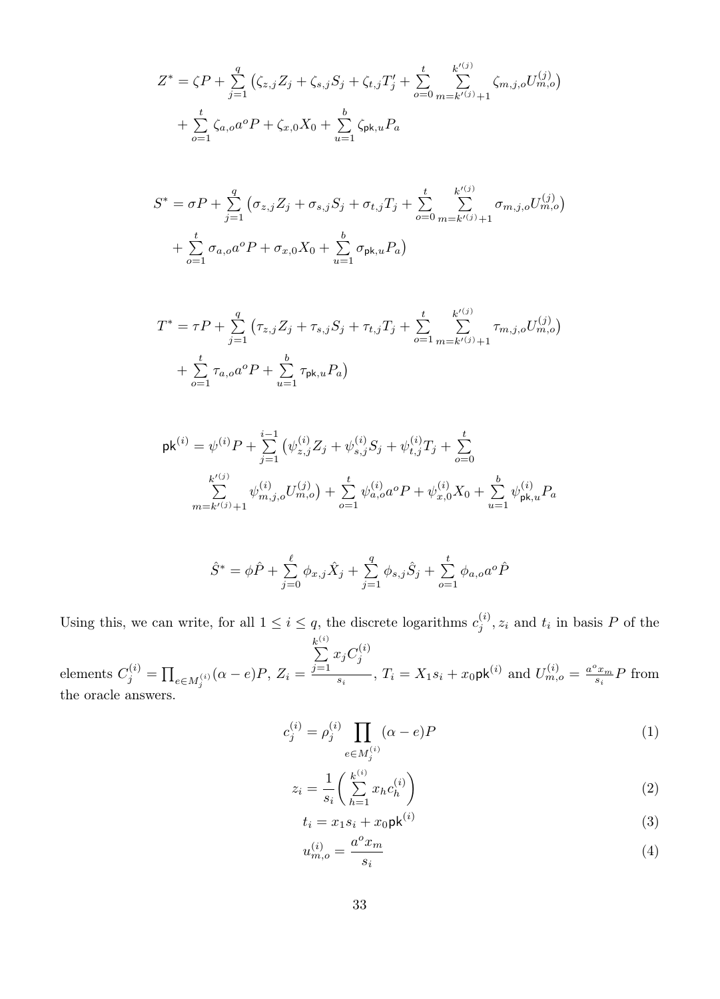$$
Z^* = \zeta P + \sum_{j=1}^q \left( \zeta_{z,j} Z_j + \zeta_{s,j} S_j + \zeta_{t,j} T'_j + \sum_{o=0}^t \sum_{m=k'(j)+1}^{k'(j)} \zeta_{m,j,o} U_{m,o}^{(j)} \right) + \sum_{o=1}^t \zeta_{a,o} a^o P + \zeta_{x,0} X_0 + \sum_{u=1}^b \zeta_{pk,u} P_a
$$

$$
S^* = \sigma P + \sum_{j=1}^q \left( \sigma_{z,j} Z_j + \sigma_{s,j} S_j + \sigma_{t,j} T_j + \sum_{o=0}^t \sum_{m=k'(j)+1}^{k'(j)} \sigma_{m,j,o} U_{m,o}^{(j)} \right) + \sum_{o=1}^t \sigma_{a,o} a^o P + \sigma_{x,0} X_0 + \sum_{u=1}^b \sigma_{\mathsf{pk},u} P_a
$$

$$
T^* = \tau P + \sum_{j=1}^q \left( \tau_{z,j} Z_j + \tau_{s,j} S_j + \tau_{t,j} T_j + \sum_{o=1}^t \sum_{m=k'(j)+1}^{k'(j)} \tau_{m,j,o} U_{m,o}^{(j)} \right) + \sum_{o=1}^t \tau_{a,o} a^o P + \sum_{u=1}^b \tau_{pk,u} P_a
$$

$$
\mathsf{pk}^{(i)} = \psi^{(i)} P + \sum_{j=1}^{i-1} \left( \psi_{z,j}^{(i)} Z_j + \psi_{s,j}^{(i)} S_j + \psi_{t,j}^{(i)} T_j + \sum_{o=0}^t \right. \\
\left. \sum_{m=k'(j)+1}^{k'(j)} \psi_{m,j,o}^{(i)} U_{m,o}^{(j)} \right) + \sum_{o=1}^t \psi_{a,o}^{(i)} a^o P + \psi_{x,0}^{(i)} X_0 + \sum_{u=1}^b \psi_{\mathsf{pk},u}^{(i)} P_a
$$

$$
\hat{S}^* = \phi \hat{P} + \sum_{j=0}^{\ell} \phi_{x,j} \hat{X}_j + \sum_{j=1}^{q} \phi_{s,j} \hat{S}_j + \sum_{o=1}^{t} \phi_{a,o} a^o \hat{P}
$$

Using this, we can write, for all  $1 \leq i \leq q$ , the discrete logarithms  $c_j^{(i)}$ ,  $z_i$  and  $t_i$  in basis P of the

(i)

elements  $C_j^{(i)} = \prod_{e \in M_j^{(i)}} (\alpha - e)P, Z_i =$  $\sum_{i=1}^{k^{(i)}}$  $\sum_{j=1}^{n} x_j C_j^{(i)}$  $\sum_{s_i}^{s_i}$ ,  $T_i = X_1 s_i + x_0 \mathsf{pk}^{(i)}$  and  $U_{m,o}^{(i)} = \frac{a^o x_m}{s_i} P$  from the oracle answers.

$$
c_j^{(i)} = \rho_j^{(i)} \prod_{e \in M_j^{(i)}} (\alpha - e) P
$$
 (1)

$$
z_i = \frac{1}{s_i} \left( \sum_{h=1}^{k^{(i)}} x_h c_h^{(i)} \right) \tag{2}
$$

$$
t_i = x_1 s_i + x_0 \mathsf{pk}^{(i)} \tag{3}
$$

<span id="page-32-1"></span><span id="page-32-0"></span>
$$
u_{m,o}^{(i)} = \frac{a^o x_m}{s_i} \tag{4}
$$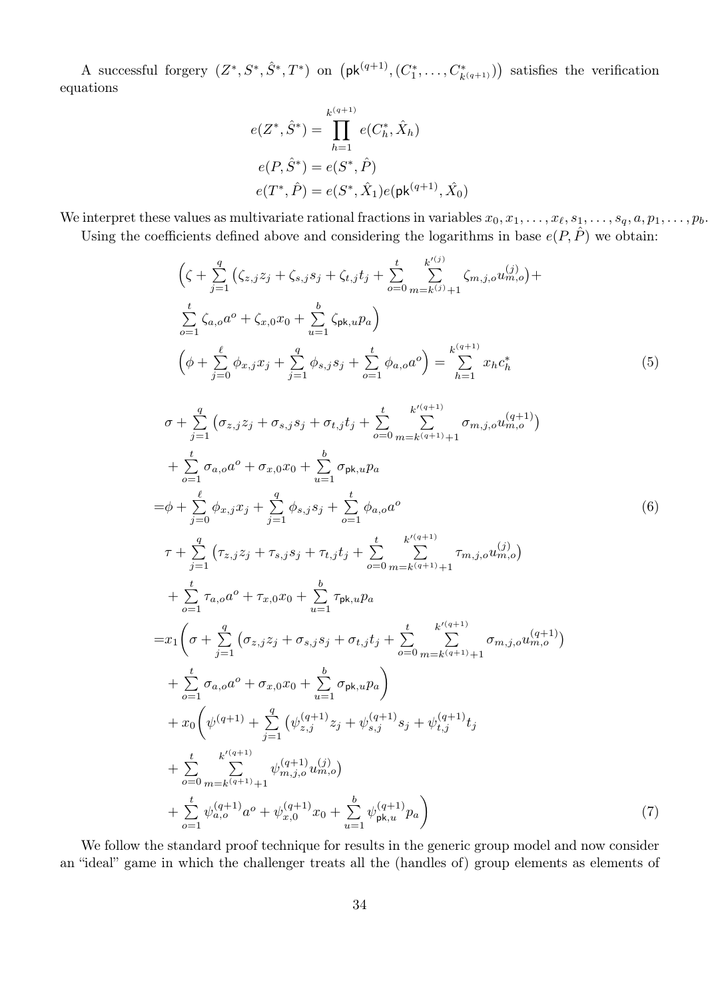A successful forgery  $(Z^*, S^*, \hat{S}^*, T^*)$  on  $(\mathsf{pk}^{(q+1)}, (C_1^*, \ldots, C_{k(q+1)}^*))$  satisfies the verification equations

<span id="page-33-0"></span>
$$
e(Z^*, \hat{S}^*) = \prod_{h=1}^{k^{(q+1)}} e(C_h^*, \hat{X}_h)
$$
  
\n
$$
e(P, \hat{S}^*) = e(S^*, \hat{P})
$$
  
\n
$$
e(T^*, \hat{P}) = e(S^*, \hat{X}_1) e(\mathsf{pk}^{(q+1)}, \hat{X}_0)
$$

We interpret these values as multivariate rational fractions in variables  $x_0, x_1, \ldots, x_\ell, s_1, \ldots, s_q, a, p_1, \ldots, p_b$ . Using the coefficients defined above and considering the logarithms in base  $e(P, \hat{P})$  we obtain:

$$
\left(\zeta + \sum_{j=1}^{q} \left(\zeta_{z,j} z_j + \zeta_{s,j} s_j + \zeta_{t,j} t_j + \sum_{o=0}^{t} \sum_{m=k^{(j)}+1}^{k^{(j)}} \zeta_{m,j,o} u_{m,o}^{(j)}\right) + \sum_{o=1}^{t} \zeta_{a,o} a^o + \zeta_{x,0} x_0 + \sum_{u=1}^{b} \zeta_{pk,u} p_a\right)
$$
\n
$$
\left(\phi + \sum_{j=0}^{\ell} \phi_{x,j} x_j + \sum_{j=1}^{q} \phi_{s,j} s_j + \sum_{o=1}^{t} \phi_{a,o} a^o\right) = \sum_{h=1}^{k^{(q+1)}} x_h c_h^*
$$
\n(5)

<span id="page-33-1"></span>
$$
\sigma + \sum_{j=1}^{q} \left( \sigma_{z,j} z_j + \sigma_{s,j} s_j + \sigma_{t,j} t_j + \sum_{o=0}^{t} \sum_{m=k(q+1)+1}^{k'(q+1)} \sigma_{m,j,o} u_{m,o}^{(q+1)} \right) \n+ \sum_{o=1}^{t} \sigma_{a,o} a^o + \sigma_{x,0} x_0 + \sum_{u=1}^{b} \sigma_{\mathsf{pk},u} p_a \n= \phi + \sum_{j=0}^{p} \phi_{x,j} x_j + \sum_{j=1}^{q} \phi_{s,j} s_j + \sum_{o=1}^{t} \phi_{a,o} a^o \n\tau + \sum_{j=1}^{q} \left( \tau_{z,j} z_j + \tau_{s,j} s_j + \tau_{t,j} t_j + \sum_{o=0}^{t} \sum_{m=k(q+1)+1}^{k'(q+1)} \tau_{m,j,o} u_{m,o}^{(j)} \right) \n+ \sum_{o=1}^{t} \tau_{a,o} a^o + \tau_{x,0} x_0 + \sum_{u=1}^{b} \tau_{\mathsf{pk},u} p_a \n= x_1 \left( \sigma + \sum_{j=1}^{q} \left( \sigma_{z,j} z_j + \sigma_{s,j} s_j + \sigma_{t,j} t_j + \sum_{o=0}^{t} \sum_{m=k(q+1)+1}^{k'(q+1)} \sigma_{m,j,o} u_{m,o}^{(q+1)} \right) \n+ \sum_{o=1}^{t} \sigma_{a,o} a^o + \sigma_{x,0} x_0 + \sum_{u=1}^{b} \sigma_{\mathsf{pk},u} p_a \n+ x_0 \left( \psi^{(q+1)} + \sum_{j=1}^{q} \left( \psi^{(q+1)}_{z,j} z_j + \psi^{(q+1)}_{s,j} s_j + \psi^{(q+1)}_{t,j} t_j + \sum_{o=0}^{t} \sum_{m=k(q+1)+1}^{k'(q+1)} \psi^{(q+1)}_{m,j,o} u_{m,o} \right) \n+ \sum_{o=0}^{t} \sum_{m=k(q+1)+1}^{k'(q+1)} \psi^{(q+1)}_{m,j,o} x_0 + \sum_{u=1}^{b} \psi^{(q+1)}_{\mathsf{pk},u} p_a \right)
$$
\n(7)

<span id="page-33-2"></span>We follow the standard proof technique for results in the generic group model and now consider an "ideal" game in which the challenger treats all the (handles of) group elements as elements of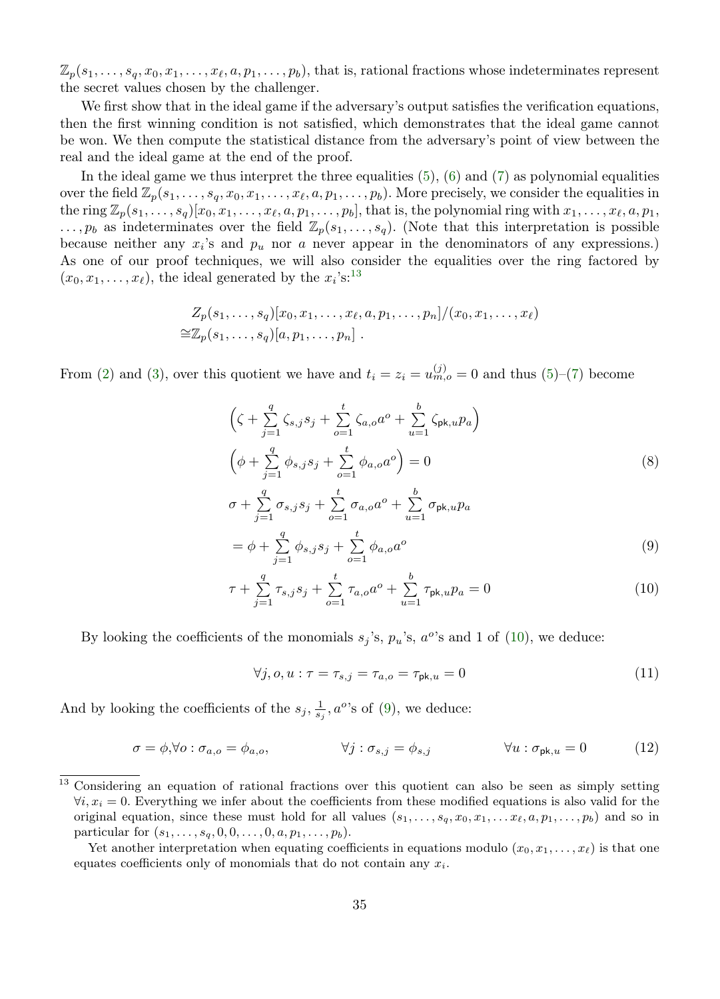$\mathbb{Z}_p(s_1,\ldots,s_q,x_0,x_1,\ldots,x_\ell,a,p_1,\ldots,p_b)$ , that is, rational fractions whose indeterminates represent the secret values chosen by the challenger.

We first show that in the ideal game if the adversary's output satisfies the verification equations, then the first winning condition is not satisfied, which demonstrates that the ideal game cannot be won. We then compute the statistical distance from the adversary's point of view between the real and the ideal game at the end of the proof.

In the ideal game we thus interpret the three equalities  $(5)$ ,  $(6)$  and  $(7)$  as polynomial equalities over the field  $\mathbb{Z}_p(s_1, \ldots, s_q, x_0, x_1, \ldots, x_\ell, a, p_1, \ldots, p_b)$ . More precisely, we consider the equalities in the ring  $\mathbb{Z}_p(s_1,\ldots,s_q)[x_0,x_1,\ldots,x_\ell,a,p_1,\ldots,p_b]$ , that is, the polynomial ring with  $x_1,\ldots,x_\ell,a,p_1$ ,  $\ldots$ ,  $p_b$  as indeterminates over the field  $\mathbb{Z}_p(s_1,\ldots,s_q)$ . (Note that this interpretation is possible because neither any  $x_i$ 's and  $p_u$  nor a never appear in the denominators of any expressions.) As one of our proof techniques, we will also consider the equalities over the ring factored by  $(x_0, x_1, \ldots, x_\ell)$ , the ideal generated by the  $x_i$ 's:<sup>[13](#page-34-0)</sup>

$$
Z_p(s_1,\ldots,s_q)[x_0,x_1,\ldots,x_\ell,a,p_1,\ldots,p_n]/(x_0,x_1,\ldots,x_\ell)
$$
  

$$
\cong \mathbb{Z}_p(s_1,\ldots,s_q)[a,p_1,\ldots,p_n].
$$

From [\(2\)](#page-32-0) and [\(3\)](#page-32-1), over this quotient we have and  $t_i = z_i = u_{m,o}^{(j)} = 0$  and thus [\(5\)](#page-33-0)–[\(7\)](#page-33-2) become

$$
\left(\zeta + \sum_{j=1}^{q} \zeta_{s,j} s_j + \sum_{o=1}^{t} \zeta_{a,o} a^o + \sum_{u=1}^{b} \zeta_{pk,u} p_a\right) \n\left(\phi + \sum_{j=1}^{q} \phi_{s,j} s_j + \sum_{o=1}^{t} \phi_{a,o} a^o\right) = 0 \n\sigma + \sum_{j=1}^{q} \sigma_{s,j} s_j + \sum_{o=1}^{t} \sigma_{a,o} a^o + \sum_{u=1}^{b} \sigma_{pk,u} p_a \n= \phi + \sum_{j=1}^{q} \phi_{s,j} s_j + \sum_{o=1}^{t} \phi_{a,o} a^o
$$
\n(9)

$$
\tau + \sum_{j=1}^{q} \tau_{s,j} s_j + \sum_{o=1}^{t} \tau_{a,o} a^o + \sum_{u=1}^{b} \tau_{\mathsf{pk},u} p_a = 0 \tag{10}
$$

By looking the coefficients of the monomials  $s_j$ 's,  $p_u$ 's,  $a^o$ 's and 1 of [\(10\)](#page-34-1), we deduce:

<span id="page-34-3"></span><span id="page-34-2"></span><span id="page-34-1"></span>
$$
\forall j, o, u: \tau = \tau_{s,j} = \tau_{a,o} = \tau_{\mathsf{pk},u} = 0 \tag{11}
$$

And by looking the coefficients of the  $s_j$ ,  $\frac{1}{s_j}$ ,  $a^{\circ}$ 's of [\(9\)](#page-34-2), we deduce:

$$
\sigma = \phi, \forall o: \sigma_{a,o} = \phi_{a,o}, \qquad \forall j: \sigma_{s,j} = \phi_{s,j} \qquad \forall u: \sigma_{\mathsf{pk},u} = 0 \tag{12}
$$

<span id="page-34-0"></span><sup>&</sup>lt;sup>13</sup> Considering an equation of rational fractions over this quotient can also be seen as simply setting  $\forall i, x_i = 0$ . Everything we infer about the coefficients from these modified equations is also valid for the original equation, since these must hold for all values  $(s_1, \ldots, s_q, x_0, x_1, \ldots, x_\ell, a, p_1, \ldots, p_b)$  and so in particular for  $(s_1, ..., s_q, 0, 0, ..., 0, a, p_1, ..., p_b)$ .

Yet another interpretation when equating coefficients in equations modulo  $(x_0, x_1, \ldots, x_\ell)$  is that one equates coefficients only of monomials that do not contain any  $x_i$ .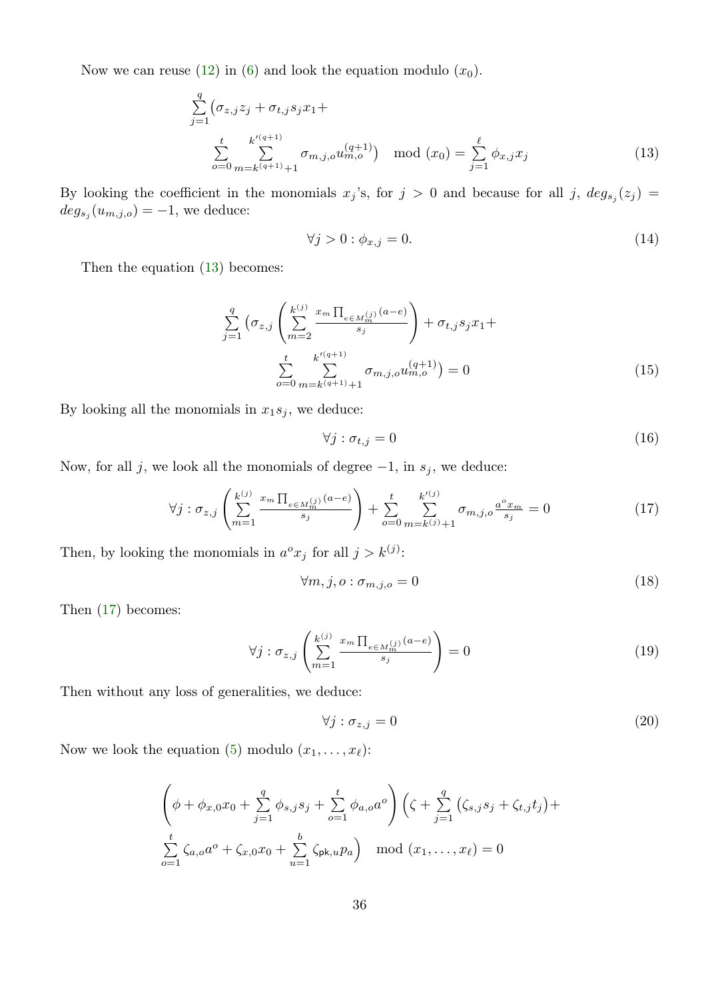Now we can reuse [\(12\)](#page-34-3) in [\(6\)](#page-33-1) and look the equation modulo  $(x_0)$ .

$$
\sum_{j=1}^{q} \left( \sigma_{z,j} z_j + \sigma_{t,j} s_j x_1 + \right.
$$
\n
$$
\sum_{o=0}^{t} \sum_{m=k^{(q+1)}+1}^{k^{(q+1)}} \sigma_{m,j,o} u_{m,o}^{(q+1)} \right) \mod (x_0) = \sum_{j=1}^{\ell} \phi_{x,j} x_j \tag{13}
$$

By looking the coefficient in the monomials  $x_j$ 's, for  $j > 0$  and because for all j,  $deg_{s_j}(z_j)$  $deg_{s_j}(u_{m,j,o}) = -1$ , we deduce:

<span id="page-35-2"></span><span id="page-35-0"></span>
$$
\forall j > 0 : \phi_{x,j} = 0. \tag{14}
$$

Then the equation  $(13)$  becomes:

$$
\sum_{j=1}^{q} \left( \sigma_{z,j} \left( \sum_{m=2}^{k^{(j)}} \frac{x_m \prod_{e \in M_m^{(j)}} (a-e)}{s_j} \right) + \sigma_{t,j} s_j x_1 + \sum_{o=0}^{t} \sum_{m=k^{(q+1)}}^{k^{o(q+1)}} \sigma_{m,j,o} u_{m,o}^{(q+1)} \right) = 0 \tag{15}
$$

By looking all the monomials in  $x_1s_j$ , we deduce:

<span id="page-35-1"></span>
$$
\forall j: \sigma_{t,j} = 0 \tag{16}
$$

Now, for all j, we look all the monomials of degree  $-1$ , in  $s_j$ , we deduce:

$$
\forall j : \sigma_{z,j} \left( \sum_{m=1}^{k^{(j)}} \frac{x_m \prod_{e \in M_m^{(j)}} (a-e)}{s_j} \right) + \sum_{o=0}^{t} \sum_{m=k^{(j)}+1}^{k^{(j)}} \sigma_{m,j,o} \frac{a^o x_m}{s_j} = 0 \tag{17}
$$

Then, by looking the monomials in  $a^o x_j$  for all  $j > k^{(j)}$ :

$$
\forall m, j, o: \sigma_{m,j,o} = 0 \tag{18}
$$

Then [\(17\)](#page-35-1) becomes:

$$
\forall j : \sigma_{z,j} \left( \sum_{m=1}^{k^{(j)}} \frac{x_m \prod_{e \in M_m^{(j)}} (a-e)}{s_j} \right) = 0 \tag{19}
$$

Then without any loss of generalities, we deduce:

$$
\forall j : \sigma_{z,j} = 0 \tag{20}
$$

Now we look the equation [\(5\)](#page-33-0) modulo  $(x_1, \ldots, x_\ell)$ :

$$
\left(\phi + \phi_{x,0}x_0 + \sum_{j=1}^q \phi_{s,j}s_j + \sum_{o=1}^t \phi_{a,o}a^o\right)\left(\zeta + \sum_{j=1}^q \left(\zeta_{s,j}s_j + \zeta_{t,j}t_j\right) + \sum_{o=1}^t \zeta_{a,o}a^o + \zeta_{x,0}x_0 + \sum_{u=1}^b \zeta_{\mathsf{pk},u}p_a\right) \mod (x_1,\ldots,x_\ell) = 0
$$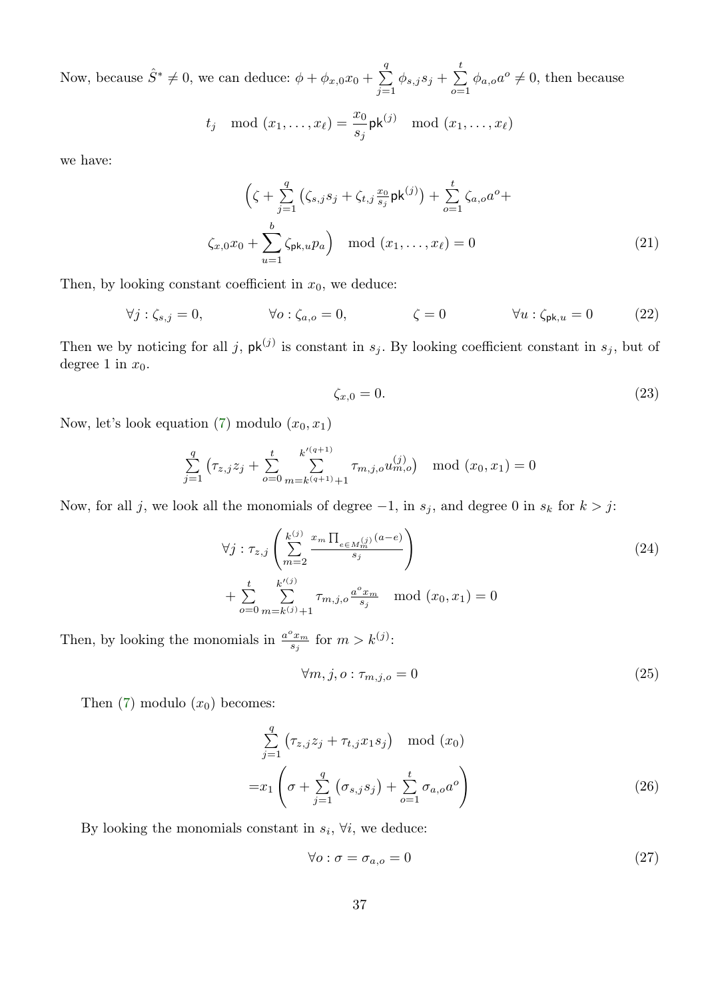Now, because  $\hat{S}^* \neq 0$ , we can deduce:  $\phi + \phi_{x,0}x_0 + \sum_{i=1}^{q}$  $\sum_{j=1}^{q} \phi_{s,j} s_j + \sum_{o=1}^{t}$  $\sum_{o=1} \phi_{a,o} a^o \neq 0$ , then because

$$
t_j \mod (x_1,\ldots,x_\ell) = \frac{x_0}{s_j} \mathsf{pk}^{(j)} \mod (x_1,\ldots,x_\ell)
$$

we have:

$$
\left(\zeta + \sum_{j=1}^{q} \left(\zeta_{s,j} s_j + \zeta_{t,j} \frac{x_0}{s_j} \mathsf{pk}^{(j)}\right) + \sum_{o=1}^{t} \zeta_{a,o} a^o + \zeta_{x,0} x_0 + \sum_{u=1}^{b} \zeta_{\mathsf{pk},u} p_a\right) \mod (x_1, \dots, x_\ell) = 0
$$
\n(21)

Then, by looking constant coefficient in  $x_0$ , we deduce:

$$
\forall j: \zeta_{s,j} = 0, \qquad \forall o: \zeta_{a,o} = 0, \qquad \zeta = 0 \qquad \forall u: \zeta_{\mathsf{pk},u} = 0 \qquad (22)
$$

Then we by noticing for all j,  $\mathsf{pk}^{(j)}$  is constant in  $s_j$ . By looking coefficient constant in  $s_j$ , but of degree 1 in  $x_0$ .

$$
\zeta_{x,0} = 0.\tag{23}
$$

Now, let's look equation [\(7\)](#page-33-2) modulo  $(x_0, x_1)$ 

$$
\sum_{j=1}^{q} \left( \tau_{z,j} z_j + \sum_{o=0}^{t} \sum_{m=k^{(q+1)}+1}^{k^{(q+1)}} \tau_{m,j,o} u_{m,o}^{(j)} \right) \mod (x_0, x_1) = 0
$$

Now, for all j, we look all the monomials of degree  $-1$ , in  $s_j$ , and degree 0 in  $s_k$  for  $k > j$ :

$$
\forall j : \tau_{z,j} \left( \sum_{m=2}^{k^{(j)}} \frac{x_m \prod_{e \in M_m^{(j)}} (a-e)}{s_j} \right) + \sum_{o=0}^{t} \sum_{m=k^{(j)}+1}^{k^{(j)}} \tau_{m,j,o} \frac{a^o x_m}{s_j} \mod (x_0, x_1) = 0
$$
\n(24)

Then, by looking the monomials in  $\frac{a^o x_m}{s_j}$  for  $m > k^{(j)}$ :

$$
\forall m, j, o: \tau_{m,j,o} = 0 \tag{25}
$$

Then  $(7)$  modulo  $(x_0)$  becomes:

$$
\sum_{j=1}^{q} \left(\tau_{z,j} z_j + \tau_{t,j} x_1 s_j\right) \mod (x_0)
$$
\n
$$
= x_1 \left(\sigma + \sum_{j=1}^{q} \left(\sigma_{s,j} s_j\right) + \sum_{o=1}^{t} \sigma_{a,o} a^o\right)
$$
\n
$$
(26)
$$

By looking the monomials constant in  $s_i$ ,  $\forall i$ , we deduce:

<span id="page-36-1"></span><span id="page-36-0"></span>
$$
\forall o: \sigma = \sigma_{a,o} = 0 \tag{27}
$$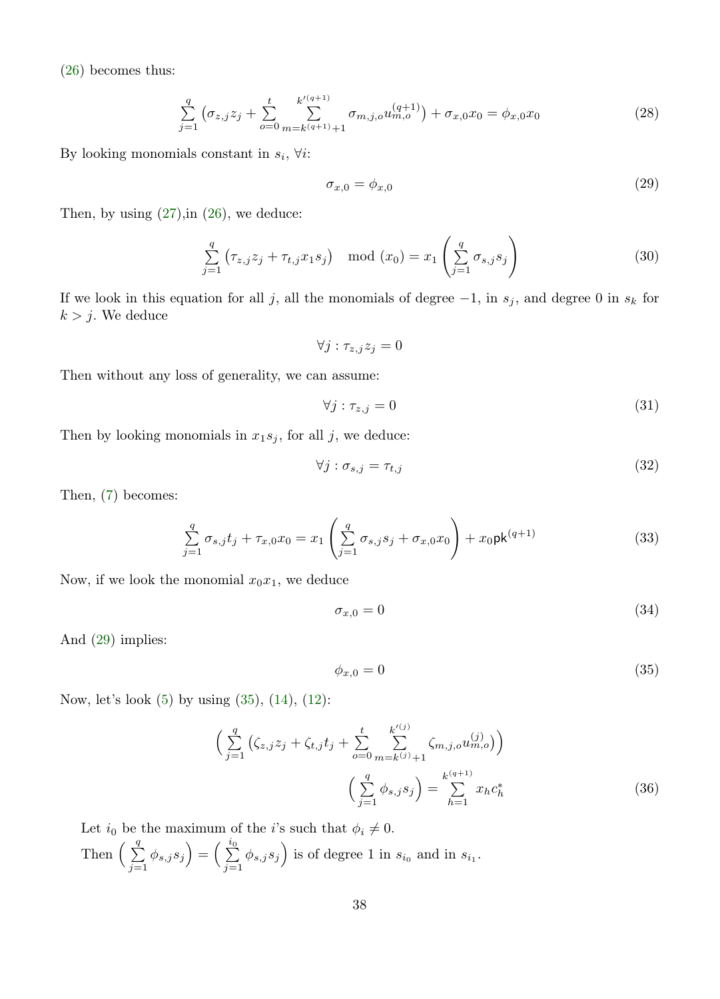[\(26\)](#page-36-0) becomes thus:

$$
\sum_{j=1}^{q} \left( \sigma_{z,j} z_j + \sum_{o=0}^{t} \sum_{m=k^{(q+1)}+1}^{k^{(q+1)}} \sigma_{m,j,o} u_{m,o}^{(q+1)} \right) + \sigma_{x,0} x_0 = \phi_{x,0} x_0 \tag{28}
$$

By looking monomials constant in  $s_i$ ,  $\forall i$ :

<span id="page-37-0"></span>
$$
\sigma_{x,0} = \phi_{x,0} \tag{29}
$$

Then, by using  $(27)$ , in  $(26)$ , we deduce:

$$
\sum_{j=1}^{q} \left( \tau_{z,j} z_j + \tau_{t,j} x_1 s_j \right) \mod (x_0) = x_1 \left( \sum_{j=1}^{q} \sigma_{s,j} s_j \right)
$$
 (30)

If we look in this equation for all j, all the monomials of degree  $-1$ , in  $s_j$ , and degree 0 in  $s_k$  for  $k > j$ . We deduce

 $\forall j : \tau_{z,j} z_j = 0$ 

Then without any loss of generality, we can assume:

$$
\forall j: \tau_{z,j} = 0 \tag{31}
$$

Then by looking monomials in  $x_1s_j$ , for all j, we deduce:

$$
\forall j : \sigma_{s,j} = \tau_{t,j} \tag{32}
$$

Then, [\(7\)](#page-33-2) becomes:

$$
\sum_{j=1}^{q} \sigma_{s,j} t_j + \tau_{x,0} x_0 = x_1 \left( \sum_{j=1}^{q} \sigma_{s,j} s_j + \sigma_{x,0} x_0 \right) + x_0 \mathsf{pk}^{(q+1)} \tag{33}
$$

Now, if we look the monomial  $x_0x_1$ , we deduce

$$
\sigma_{x,0} = 0 \tag{34}
$$

And [\(29\)](#page-37-0) implies:

<span id="page-37-2"></span><span id="page-37-1"></span>
$$
\phi_{x,0} = 0 \tag{35}
$$

Now, let's look [\(5\)](#page-33-0) by using [\(35\)](#page-37-1), [\(14\)](#page-35-2), [\(12\)](#page-34-3):

$$
\left(\sum_{j=1}^{q} \left(\zeta_{z,j} z_j + \zeta_{t,j} t_j + \sum_{o=0}^{t} \sum_{m=k^{(j)}+1}^{k^{(j)}} \zeta_{m,j,o} u_{m,o}^{(j)}\right)\right)
$$

$$
\left(\sum_{j=1}^{q} \phi_{s,j} s_j\right) = \sum_{h=1}^{k^{(q+1)}} x_h c_h^*
$$
(36)

Let  $i_0$  be the maximum of the *i*'s such that  $\phi_i \neq 0$ .

Then  $\left(\begin{array}{c}q\\ \sum\end{array}\right)$  $\sum_{j=1}^{q} \phi_{s,j} s_j = \left( \sum_{j=1}^{i_0} \right)$  $\sum_{j=1}^{i_0} \phi_{s,j} s_j$  is of degree 1 in  $s_{i_0}$  and in  $s_{i_1}$ .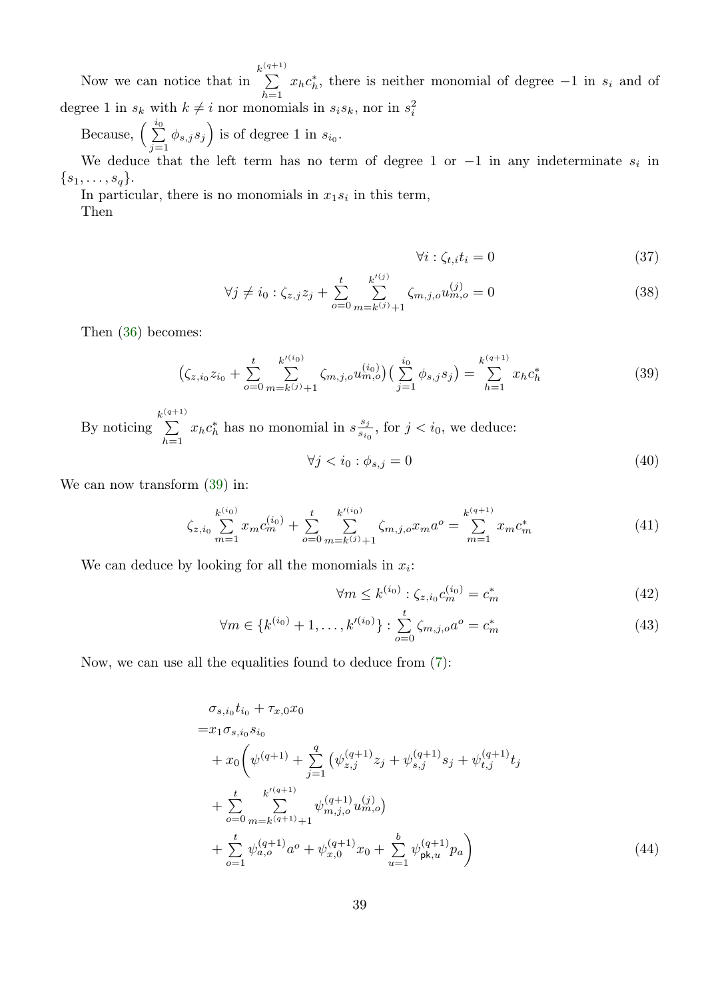Now we can notice that in  $\sum_{k=1}^{k^{(q+1)}}$  $\sum_{h=1} x_h c_h^*$ , there is neither monomial of degree  $-1$  in  $s_i$  and of degree 1 in  $s_k$  with  $k \neq i$  nor monomials in  $s_i s_k$ , nor in  $s_i^2$ 

Because,  $\left(\begin{array}{c} i_0 \\ \sum \end{array}\right)$  $\sum_{j=1}^{i_0} \phi_{s,j} s_j$  is of degree 1 in  $s_{i_0}$ .

We deduce that the left term has no term of degree 1 or  $-1$  in any indeterminate  $s_i$  in  $\{s_1,\ldots,s_q\}.$ 

In particular, there is no monomials in  $x_1 s_i$  in this term, Then

<span id="page-38-0"></span>
$$
\forall i: \zeta_{t,i} t_i = 0 \tag{37}
$$

$$
\forall j \neq i_0 : \zeta_{z,j} z_j + \sum_{o=0}^t \sum_{m=k^{(j)}+1}^{k^{(j)}} \zeta_{m,j,o} u_{m,o}^{(j)} = 0 \tag{38}
$$

Then [\(36\)](#page-37-2) becomes:

$$
\left(\zeta_{z,i_0}z_{i_0} + \sum_{o=0}^t \sum_{m=k^{(j)}+1}^{k^{(i_0)}} \zeta_{m,j,o} u_{m,o}^{(i_0)}\right) \left(\sum_{j=1}^{i_0} \phi_{s,j} s_j\right) = \sum_{h=1}^{k^{(q+1)}} x_h c_h^*
$$
\n(39)

By noticing  $\sum_{k=1}^{k^{(q+1)}}$  $\sum_{h=1} x_h c_h^*$  has no monomial in  $s \frac{s_j}{s_{i_0}}$  $\frac{s_j}{s_{i_0}}$ , for  $j < i_0$ , we deduce:

$$
\forall j < i_0 : \phi_{s,j} = 0 \tag{40}
$$

We can now transform [\(39\)](#page-38-0) in:

$$
\zeta_{z,i_0} \sum_{m=1}^{k^{(i_0)}} x_m c_m^{(i_0)} + \sum_{o=0}^t \sum_{m=k^{(j)}+1}^{k'^{(i_0)}} \zeta_{m,j,o} x_m a^o = \sum_{m=1}^{k^{(q+1)}} x_m c_m^*
$$
\n(41)

We can deduce by looking for all the monomials in  $x_i$ :

$$
\forall m \le k^{(i_0)} : \zeta_{z,i_0} c_m^{(i_0)} = c_m^* \tag{42}
$$

$$
\forall m \in \{k^{(i_0)} + 1, \dots, k'^{(i_0)}\} : \sum_{o=0}^{t} \zeta_{m,j,o} a^o = c_m^*
$$
\n(43)

Now, we can use all the equalities found to deduce from [\(7\)](#page-33-2):

$$
\sigma_{s,i_0} t_{i_0} + \tau_{x,0} x_0
$$
\n
$$
= x_1 \sigma_{s,i_0} s_{i_0}
$$
\n
$$
+ x_0 \left( \psi^{(q+1)} + \sum_{j=1}^q \left( \psi_{z,j}^{(q+1)} z_j + \psi_{s,j}^{(q+1)} s_j + \psi_{t,j}^{(q+1)} t_j \right) \right.
$$
\n
$$
+ \sum_{o=0}^t \sum_{m=k}^{k'(q+1)} \psi_{m,j,o}^{(q+1)} u_{m,o}^{(j)}
$$
\n
$$
+ \sum_{o=1}^t \psi_{a,o}^{(q+1)} a^o + \psi_{x,0}^{(q+1)} x_0 + \sum_{u=1}^b \psi_{\text{pk},u}^{(q+1)} p_a \right)
$$
\n(44)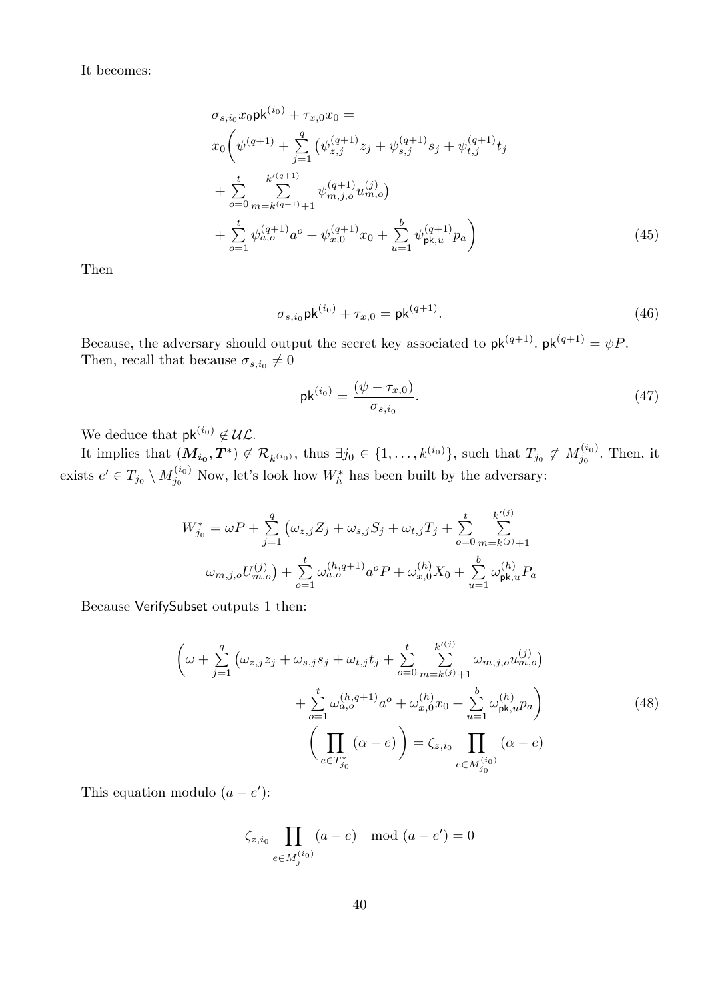### It becomes:

$$
\sigma_{s,i_0} x_0 \mathsf{pk}^{(i_0)} + \tau_{x,0} x_0 =
$$
\n
$$
x_0 \left( \psi^{(q+1)} + \sum_{j=1}^q \left( \psi_{z,j}^{(q+1)} z_j + \psi_{s,j}^{(q+1)} s_j + \psi_{t,j}^{(q+1)} t_j \right) \right.
$$
\n
$$
+ \sum_{o=0}^t \sum_{m=k^{(q+1)}+1}^{k'^{(q+1)}} \psi_{m,j,o}^{(q+1)} u_{m,o}^{\prime} \right)
$$
\n
$$
+ \sum_{o=1}^t \psi_{a,o}^{(q+1)} a^o + \psi_{x,0}^{(q+1)} x_0 + \sum_{u=1}^b \psi_{\mathsf{pk},u}^{(q+1)} p_a \right) \tag{45}
$$

Then

$$
\sigma_{s,i_0} \mathsf{pk}^{(i_0)} + \tau_{x,0} = \mathsf{pk}^{(q+1)}.
$$
\n(46)

Because, the adversary should output the secret key associated to  $\mathsf{pk}^{(q+1)}$ .  $\mathsf{pk}^{(q+1)} = \psi P$ . Then, recall that because  $\sigma_{s,i_0}\neq 0$ 

$$
pk^{(i_0)} = \frac{(\psi - \tau_{x,0})}{\sigma_{s,i_0}}.
$$
\n(47)

We deduce that  $\mathsf{pk}^{(i_0)} \notin \mathcal{UL}.$ 

It implies that  $(M_{i_0}, T^*) \notin \mathcal{R}_{k^{(i_0)}},$  thus  $\exists j_0 \in \{1, \ldots, k^{(i_0)}\}$ , such that  $T_{j_0} \not\subset M_{j_0}^{(i_0)}$ . Then, it exists  $e' \in T_{j_0} \setminus M_{j_0}^{(i_0)}$  Now, let's look how  $W_h^*$  has been built by the adversary:

$$
W_{j_0}^* = \omega P + \sum_{j=1}^q \left( \omega_{z,j} Z_j + \omega_{s,j} S_j + \omega_{t,j} T_j + \sum_{o=0}^t \sum_{m=k^{(j)}+1}^{k^{(j)}} \omega_{m,j,o} U_{m,o}^{(j)} \right) + \sum_{o=1}^t \omega_{a,o}^{(h,q+1)} a^o P + \omega_{x,0}^{(h)} X_0 + \sum_{u=1}^b \omega_{\text{pk},u}^{(h)} P_a
$$

Because VerifySubset outputs 1 then:

$$
\left(\omega + \sum_{j=1}^{q} \left(\omega_{z,j} z_j + \omega_{s,j} s_j + \omega_{t,j} t_j + \sum_{o=0}^{t} \sum_{m=k^{(j)}+1}^{k^{(j)}} \omega_{m,j,o} u_{m,o}^{(j)}\right) + \sum_{o=1}^{t} \omega_{a,o}^{(h,q+1)} a^o + \omega_{x,0}^{(h)} x_0 + \sum_{u=1}^{b} \omega_{\text{pk},u}^{(h)} p_a\right) \qquad (48)
$$
\n
$$
\left(\prod_{e \in T_{j_0}^*} (\alpha - e)\right) = \zeta_{z,i_0} \prod_{e \in M_{j_0}^{(i_0)}}
$$

This equation modulo  $(a - e')$ :

$$
\zeta_{z,i_0} \prod_{e \in M_j^{(i_0)}} (a - e) \mod (a - e') = 0
$$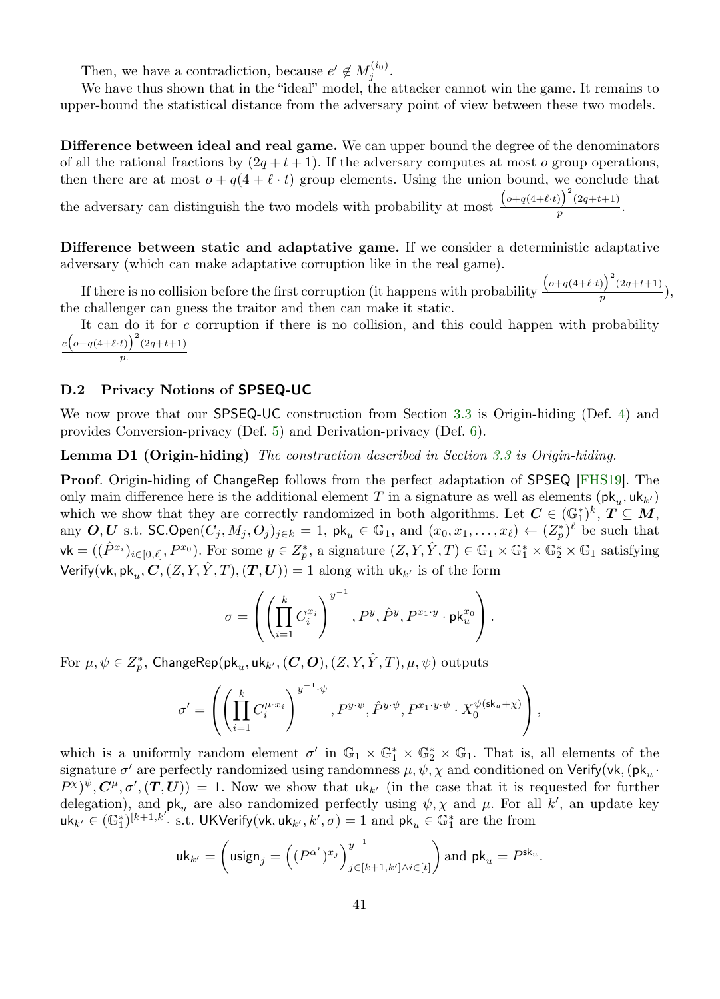Then, we have a contradiction, because  $e' \notin M_j^{(i_0)}$ .

We have thus shown that in the "ideal" model, the attacker cannot win the game. It remains to upper-bound the statistical distance from the adversary point of view between these two models.

Difference between ideal and real game. We can upper bound the degree of the denominators of all the rational fractions by  $(2q + t + 1)$ . If the adversary computes at most o group operations, then there are at most  $o + q(4 + \ell \cdot t)$  group elements. Using the union bound, we conclude that

the adversary can distinguish the two models with probability at most  $\frac{(o+q(4+\ell\cdot t))^{2}(2q+t+1)}{n}$  $\frac{p}{p}$ .

Difference between static and adaptative game. If we consider a deterministic adaptative adversary (which can make adaptative corruption like in the real game).

If there is no collision before the first corruption (it happens with probability  $\frac{\left(o+q(4+\ell\cdot t)\right)^2(2q+t+1)}{n}$  $\frac{p}{p}$   $\frac{p}{p}$ the challenger can guess the traitor and then can make it static.

It can do it for  $c$  corruption if there is no collision, and this could happen with probability  $c\big(\sigma+q(4+\ell\cdot t)\big)^2(2q+t+1)$ p.

### <span id="page-40-0"></span>D.2 Privacy Notions of SPSEQ-UC

We now prove that our SPSEQ-UC construction from Section [3.3](#page-11-1) is Origin-hiding (Def. [4\)](#page-10-1) and provides Conversion-privacy (Def. [5\)](#page-10-2) and Derivation-privacy (Def. [6\)](#page-11-0).

Lemma D1 (Origin-hiding) The construction described in Section [3.3](#page-11-1) is Origin-hiding.

Proof. Origin-hiding of ChangeRep follows from the perfect adaptation of SPSEQ [\[FHS19\]](#page-25-1). The only main difference here is the additional element T in a signature as well as elements  $(\mathsf{pk}_u, \mathsf{uk}_{k'})$ which we show that they are correctly randomized in both algorithms. Let  $C \in (\mathbb{G}_1^*)^k$ ,  $T \subseteq M$ , any  $O, U$  s.t. SC.Open $(C_j, M_j, O_j)_{j \in k} = 1$ , pk<sub>u</sub>  $\in \mathbb{G}_1$ , and  $(x_0, x_1, \ldots, x_\ell) \leftarrow (Z_p^*)^\ell$  be such that  $\mathsf{vk} = ((\hat{P}^{x_i})_{i \in [0,\ell]}, P^{x_0}).$  For some  $y \in Z_p^*$ , a signature  $(Z, Y, \hat{Y}, T) \in \mathbb{G}_1 \times \mathbb{G}_1^* \times \mathbb{G}_2^* \times \mathbb{G}_1$  satisfying Verify(vk, pk $_u$ ,  $\boldsymbol{C}$ ,  $(Z, Y, \hat{Y}, T)$ ,  $(\boldsymbol{T}, \boldsymbol{U})) = 1$  along with  $\mathsf{u} \mathsf{k}_{k'}$  is of the form

$$
\sigma = \left( \left( \prod_{i=1}^k C_i^{x_i} \right)^{y^{-1}}, P^y, \hat{P}^y, P^{x_1 \cdot y} \cdot \mathsf{pk}_u^{x_0} \right).
$$

For  $\mu,\psi\in Z_p^*$ ,  $\mathsf{ChangeRep}(\mathsf{pk}_u,\mathsf{uk}_{k'},(\boldsymbol{C},\boldsymbol{O}),(Z,Y,\hat{Y},T),\mu,\psi)$  outputs

$$
\sigma' = \left( \left( \prod_{i=1}^k C_i^{\mu \cdot x_i} \right)^{y^{-1} \cdot \psi}, P^{y \cdot \psi}, \hat{P}^{y \cdot \psi}, P^{x_1 \cdot y \cdot \psi} \cdot X_0^{\psi(\mathsf{sk}_u + \chi)} \right),
$$

which is a uniformly random element  $\sigma'$  in  $\mathbb{G}_1 \times \mathbb{G}_1^* \times \mathbb{G}_2^* \times \mathbb{G}_1$ . That is, all elements of the signature  $\sigma'$  are perfectly randomized using randomness  $\mu, \psi, \chi$  and conditioned on Verify(vk, (pk<sub>u</sub>·  $P^{\chi})^{\psi}, C^{\mu}, \sigma', (T, U)) = 1$ . Now we show that  $uk_{k'}$  (in the case that it is requested for further delegation), and  $\mathsf{pk}_u$  are also randomized perfectly using  $\psi$ ,  $\chi$  and  $\mu$ . For all k', an update key  $\mathsf{uk}_{k'} \in (\mathbb{G}_1^*)^{[k+1,k']}$  s.t. UKVerify(vk, uk $_{k'}, k', \sigma) = 1$  and  $\mathsf{pk}_u \in \mathbb{G}_1^*$  are the from

$$
\mathsf{uk}_{k'} = \left( \mathsf{usingn}_j = \left( (P^{\alpha^i})^{x_j} \right)_{j \in [k+1, k'] \wedge i \in [t]}^{y^{-1}} \right) \text{and } \mathsf{pk}_u = P^{\mathsf{sk}_u}.
$$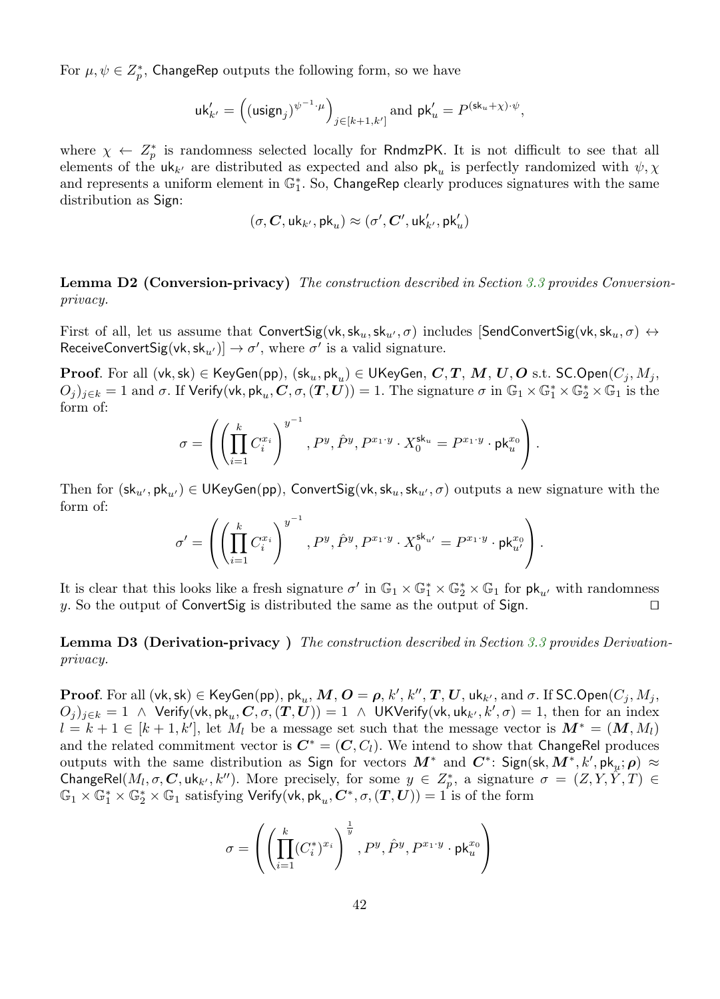For  $\mu, \psi \in Z_p^*$ , ChangeRep outputs the following form, so we have

$$
\mathsf{u}\mathsf{k}'_{k'} = \left( (\mathsf{usingn}_j)^{\psi^{-1}\cdot \mu} \right)_{j \in [k+1,k']} \text{ and } \mathsf{p}\mathsf{k}'_u = P^{(\mathsf{sk}_u + \chi) \cdot \psi},
$$

where  $\chi \leftarrow Z_p^*$  is randomness selected locally for RndmzPK. It is not difficult to see that all elements of the  $uk_{k'}$  are distributed as expected and also  $pk_u$  is perfectly randomized with  $\psi$ ,  $\chi$ and represents a uniform element in  $\mathbb{G}_1^*$ . So, ChangeRep clearly produces signatures with the same distribution as Sign:

$$
(\sigma,\boldsymbol{C},\mathsf{uk}_{k'},\mathsf{pk}_{u})\approx(\sigma',\boldsymbol{C}',\mathsf{uk}_{k'}',\mathsf{pk}_{u}')
$$

**Lemma D2 (Conversion-privacy)** The construction described in Section [3.3](#page-11-1) provides Conversionprivacy.

First of all, let us assume that ConvertSig(vk,  $sk_u, sk_u, \sigma$ ) includes [SendConvertSig(vk,  $sk_u, \sigma$ )  $\leftrightarrow$ ReceiveConvertSig(vk, sk<sub>u'</sub>)]  $\rightarrow \sigma'$ , where  $\sigma'$  is a valid signature.

 ${\bf Proof.}$  For all  $({\sf vk}, {\sf sk})\in{\sf KeyGen}({\sf pp}),\,({\sf sk}_u, {\sf pk}_u)\in {\sf UK}$ eyGen,  $\bm{C}, \bm{T}, \,\bm{M}, \,\bm{U}, \bm{O} \,\, {\rm s.t.} \,\, {\sf SC.Open}(C_j, M_j, \bm{O})$  $(O_j)_{j\in k}=1$  and  $\sigma$ . If Verify(vk, pk<sub>u</sub>, C,  $\sigma,(T,U))=1$ . The signature  $\sigma$  in  $\mathbb{G}_1\times\mathbb{G}_1^*\times\mathbb{G}_2^*\times\mathbb{G}_1$  is the form of:

$$
\sigma=\left(\left(\prod_{i=1}^k C_i^{x_i}\right)^{y^{-1}},P^y,\hat{P}^y,P^{x_1\cdot y}\cdot X_0^{\mathrm{sk}_u}=P^{x_1\cdot y}\cdot\mathrm{pk}_u^{x_0}\right).
$$

Then for  $(\mathsf{sk}_{u'}, \mathsf{pk}_{u'}) \in \mathsf{UKeyGen}(\mathsf{pp})$ , ConvertSig(vk,  $\mathsf{sk}_{u}, \mathsf{sk}_{u'}, \sigma$ ) outputs a new signature with the form of:

$$
\sigma' = \left( \left( \prod_{i=1}^k C_i^{x_i} \right)^{y^{-1}}, P^y, \hat{P}^y, P^{x_1 \cdot y} \cdot X_0^{\mathsf{sk}_{u'}} = P^{x_1 \cdot y} \cdot \mathsf{pk}_{u'}^{x_0} \right).
$$

It is clear that this looks like a fresh signature  $\sigma'$  in  $\mathbb{G}_1 \times \mathbb{G}_1^* \times \mathbb{G}_2^* \times \mathbb{G}_1$  for  $\mathsf{pk}_{u'}$  with randomness y. So the output of ConvertSig is distributed the same as the output of Sign.  $\Box$ 

**Lemma D3 (Derivation-privacy)** The construction described in Section [3.3](#page-11-1) provides Derivationprivacy.

 $\bf{Proof.}$  For all  $(\mathsf{vk},\mathsf{sk}) \in \sf{KeyGen}(pp),$   $\mathsf{pk}_u, \bm{M}, \bm{O} = \bm{\rho},$   $k',$   $k'', \bm{T}, \bm{U},$   $\mathsf{uk}_{k'},$  and  $\sigma.$  If  $\sf{SC.Open}(C_j, M_j,$  $(O_j)_{j\in k} = 1$  ∧ Verify(vk, pk<sub>u</sub>, C,  $\sigma,(T,U)) = 1$  ∧ UKVerify(vk, uk<sub>k'</sub>, k',  $\sigma) = 1$ , then for an index  $l = k + 1 \in [k + 1, k']$ , let  $M_l$  be a message set such that the message vector is  $M^* = (M, M_l)$ and the related commitment vector is  $C^* = (C, C_l)$ . We intend to show that ChangeRel produces outputs with the same distribution as Sign for vectors  $M^*$  and  $C^*$ : Sign(sk,  $M^*, k', \textsf{pk}_{\mu}; \rho$ )  $\approx$ ChangeRel $(M_l, \sigma, C, \text{uk}_{k'}, k'')$ . More precisely, for some  $y \in Z_p^*$ , a signature  $\sigma = (Z, Y, \hat{Y}, T) \in$  $\mathbb{G}_1\times\mathbb{G}_1^*\times\mathbb{G}_2^*\times\mathbb{G}_1$  satisfying  $\mathsf{Verify}(\mathsf{vk},\mathsf{pk}_u,\mathbf{C}^*,\sigma,(\bm{T},\bm{U}))=1$  is of the form

$$
\sigma = \left( \left( \prod_{i=1}^k (C_i^*)^{x_i} \right)^{\frac{1}{y}}, P^y, \hat{P}^y, P^{x_1 \cdot y} \cdot \mathrm{pk}_u^{x_0} \right)
$$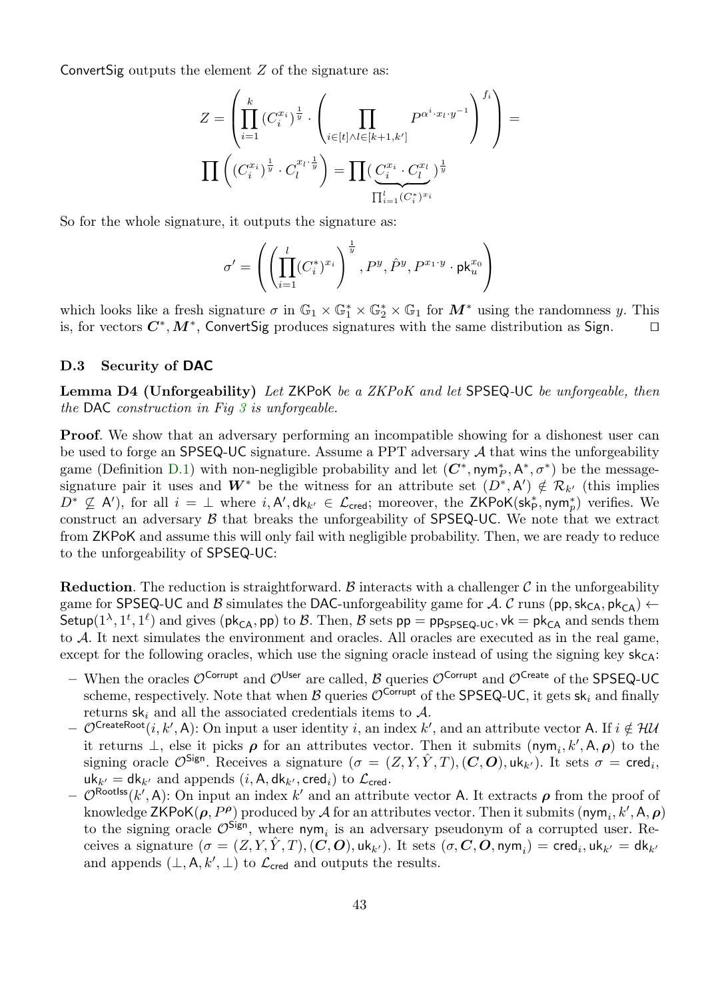ConvertSig outputs the element  $Z$  of the signature as:

$$
Z = \left( \prod_{i=1}^{k} (C_i^{x_i})^{\frac{1}{y}} \cdot \left( \prod_{i \in [t] \land l \in [k+1, k']} P^{\alpha^i \cdot x_l \cdot y^{-1}} \right)^{f_i} \right) =
$$

$$
\prod \left( (C_i^{x_i})^{\frac{1}{y}} \cdot C_l^{x_l \cdot \frac{1}{y}} \right) = \prod \left( \underbrace{C_i^{x_i} \cdot C_l^{x_l}}_{\prod_{i=1}^l (C_i^*)^{x_i}} \right)^{\frac{1}{y}}
$$

So for the whole signature, it outputs the signature as:

$$
\sigma' = \left( \left( \prod_{i=1}^l (C_i^*)^{x_i} \right)^{\frac{1}{y}}, P^y, \hat{P}^y, P^{x_1 \cdot y} \cdot \mathsf{pk}_u^{x_0} \right)
$$

which looks like a fresh signature  $\sigma$  in  $\mathbb{G}_1 \times \mathbb{G}_1^* \times \mathbb{G}_2^* \times \mathbb{G}_1$  for  $M^*$  using the randomness y. This is, for vectors  $C^*, M^*$ , ConvertSig produces signatures with the same distribution as Sign. □

### <span id="page-42-0"></span>D.3 Security of DAC

Lemma D4 (Unforgeability) Let ZKPoK be a ZKPoK and let SPSEQ-UC be unforgeable, then the DAC construction in Fig  $3$  is unforgeable.

**Proof.** We show that an adversary performing an incompatible showing for a dishonest user can be used to forge an  $SPSEQ-UC$  signature. Assume a PPT adversary  $A$  that wins the unforgeability game (Definition [D.1\)](#page-31-0) with non-negligible probability and let  $(C^*, \text{nym}_P^*, A^*, \sigma^*)$  be the messagesignature pair it uses and  $W^*$  be the witness for an attribute set  $(D^*, A') \notin \mathcal{R}_{k'}$  (this implies  $D^* \nsubseteq A'$ ), for all  $i = \perp$  where  $i, A', dk_{k'} \in \mathcal{L}_{\text{cred}}$ ; moreover, the ZKPoK(sk $_{\mathsf{P}}^*$ , nym $_{p}^*$ ) verifies. We construct an adversary  $\beta$  that breaks the unforgeability of SPSEQ-UC. We note that we extract from ZKPoK and assume this will only fail with negligible probability. Then, we are ready to reduce to the unforgeability of SPSEQ-UC:

**Reduction.** The reduction is straightforward. B interacts with a challenger C in the unforgeability game for SPSEQ-UC and B simulates the DAC-unforgeability game for A. C runs (pp, sk<sub>CA</sub>, pk<sub>CA</sub>)  $\leftarrow$ Setup( $1^{\lambda}, 1^t, 1^{\ell}$ ) and gives ( $\mathsf{pk}_{\mathsf{CA}}, \mathsf{pp}$ ) to  $\mathcal B$ . Then,  $\mathcal B$  sets  $\mathsf{pp} = \mathsf{pp}_{\mathsf{SPSEQ-UC}}, \mathsf{vk} = \mathsf{pk}_{\mathsf{CA}}$  and sends them to A. It next simulates the environment and oracles. All oracles are executed as in the real game, except for the following oracles, which use the signing oracle instead of using the signing key  $sk_{CA}$ :

- When the oracles  $\mathcal{O}^{\text{Corrupt}}$  and  $\mathcal{O}^{\text{User}}$  are called, B queries  $\mathcal{O}^{\text{Corrupt}}$  and  $\mathcal{O}^{\text{Create}}$  of the SPSEQ-UC scheme, respectively. Note that when B queries  $\mathcal{O}^{\text{Corrupt}}$  of the SPSEQ-UC, it gets sk<sub>i</sub> and finally returns  $sk_i$  and all the associated credentials items to  $A$ .
- $-\mathcal{O}^{\mathsf{CreateRoot}}(i, k', \mathsf{A})$ : On input a user identity i, an index k', and an attribute vector A. If  $i \notin \mathcal{H}$ it returns  $\perp$ , else it picks  $\rho$  for an attributes vector. Then it submits  $(\mathsf{nym}_i, k', \mathsf{A}, \rho)$  to the signing oracle  $\mathcal{O}^{\mathsf{Sign}}$ . Receives a signature  $(\sigma = (Z, Y, \hat{Y}, T), (\mathbf{C}, \mathbf{O}), \mathsf{uk}_{k'})$ . It sets  $\sigma = \mathsf{cred}_i$ ,  $uk_{k'} = dk_{k'}$  and appends  $(i, A, dk_{k'}, cred_i)$  to  $\mathcal{L}_{\text{cred}}$ .
- $-\mathcal{O}^{\text{Rootiss}}(k',\mathsf{A})$ : On input an index  $k'$  and an attribute vector A. It extracts  $\rho$  from the proof of knowledge ZKPoK $(\rho, P^{\rho})$  produced by  $\mathcal A$  for an attributes vector. Then it submits  $(\textsf{nym}_i, k', \textsf{A}, \rho)$ to the signing oracle  $\mathcal{O}^{\mathsf{Sign}}$ , where nym<sub>i</sub> is an adversary pseudonym of a corrupted user. Receives a signature  $(\sigma=(Z,Y,\hat{Y},T), (\vec{C},\bm{O}),$  uk $_{k'}).$  It sets  $(\sigma, \bm{C}, \bm{O},$  nym $_i) = \textsf{cred}_i,$  uk $_{k'} = \textsf{dk}_{k'}$ and appends  $(\perp, \mathsf{A}, k', \perp)$  to  $\mathcal{L}_{\text{cred}}$  and outputs the results.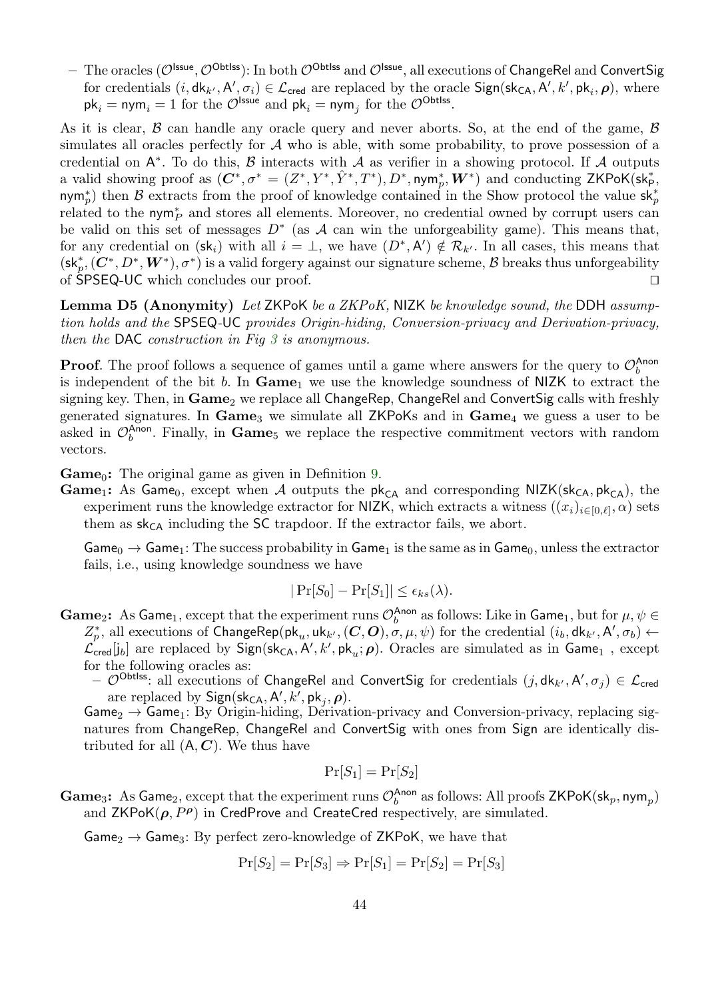$-$  The oracles ( $\mathcal{O}^{\sf ltsue},\mathcal{O}^{\sf Obtlss}$ ): In both  $\mathcal{O}^{\sf Obtlss}$  and  $\mathcal{O}^{\sf lssue},$  all executions of ChangeRel and ConvertSig for credentials  $(i,dk_{k'}, A', \sigma_i) \in \mathcal{L}_{\text{cred}}$  are replaced by the oracle  $\text{Sign}(\text{sk}_{CA}, A', k', \text{pk}_i, \rho)$ , where  $\mathsf{pk}_i = \mathsf{nym}_i = 1 \text{ for the } \mathcal{O}^\mathsf{Issue} \text{ and } \mathsf{pk}_i = \mathsf{nym}_j \text{ for the } \mathcal{O}^\mathsf{Obtlss}.$ 

As it is clear,  $\beta$  can handle any oracle query and never aborts. So, at the end of the game,  $\beta$ simulates all oracles perfectly for  $A$  who is able, with some probability, to prove possession of a credential on  $A^*$ . To do this,  $\beta$  interacts with  $\mathcal A$  as verifier in a showing protocol. If  $\mathcal A$  outputs a valid showing proof as  $(\bm{C}^*,\sigma^*=(Z^*,Y^*,\hat{Y}^*,T^*),D^*,\mathsf{nym}^*_p,\bm{W}^*)$  and conducting ZKPoK(sk $^*_\mathsf{P},$ nym<sup>∗</sup>) then B extracts from the proof of knowledge contained in the Show protocol the value sk<sup>\*</sup><sub>p</sub> related to the nym<sup>∗</sup><sub>p</sub> and stores all elements. Moreover, no credential owned by corrupt users can be valid on this set of messages  $D^*$  (as A can win the unforgeability game). This means that, for any credential on  $(\mathsf{sk}_i)$  with all  $i = \perp$ , we have  $(D^*, A') \notin \mathcal{R}_{k'}$ . In all cases, this means that  $(\mathsf{sk}_p^*,(\mathbf{C}^*,D^*,\mathbf{W}^*),\sigma^*)$  is a valid forgery against our signature scheme,  $\mathcal B$  breaks thus unforgeability of  $SPSEQ-UC$  which concludes our proof.  $\Box$ 

**Lemma D5 (Anonymity)** Let ZKPoK be a ZKPoK, NIZK be knowledge sound, the DDH assumption holds and the SPSEQ-UC provides Origin-hiding, Conversion-privacy and Derivation-privacy, then the DAC construction in Fig [3](#page-21-0) is anonymous.

**Proof.** The proof follows a sequence of games until a game where answers for the query to  $\mathcal{O}_b^{\text{Anon}}$ is independent of the bit b. In  $Game_1$  we use the knowledge soundness of NIZK to extract the signing key. Then, in  $Game_2$  we replace all  $ChangeRep$ ,  $ChangeRel$  and  $ConvertSig$  calls with freshly generated signatures. In  $Game_3$  we simulate all ZKPoKs and in  $Game_4$  we guess a user to be asked in  $\mathcal{O}_b^{\text{Anon}}$ . Finally, in **Game**<sub>5</sub> we replace the respective commitment vectors with random vectors.

**Game**<sub>0</sub>: The original game as given in Definition [9.](#page-19-0)

**Game**<sub>1</sub>: As Game<sub>0</sub>, except when A outputs the  $pk_{CA}$  and corresponding NIZK( $sk_{CA}$ ,  $pk_{CA}$ ), the experiment runs the knowledge extractor for NIZK, which extracts a witness  $((x_i)_{i\in[0,\ell]},\alpha)$  sets them as  $sk_{CA}$  including the SC trapdoor. If the extractor fails, we abort.

 $Game_0 \rightarrow Game_1$ : The success probability in  $Game_1$  is the same as in  $Game_0$ , unless the extractor fails, i.e., using knowledge soundness we have

$$
|\Pr[S_0] - \Pr[S_1]| \le \epsilon_{ks}(\lambda).
$$

- **Game**<sub>2</sub>: As Game<sub>1</sub>, except that the experiment runs  $\mathcal{O}_b^{\text{Anon}}$  as follows: Like in Game<sub>1</sub>, but for  $\mu, \psi \in$  $Z_p^*$ , all executions of  $\mathsf{ChangeRep}(\mathsf{pk}_u, \mathsf{uk}_{k'}, (C, O), \sigma, \mu, \psi)$  for the credential  $(i_b, \mathsf{dk}_{k'}, \mathsf{A'}, \sigma_b) \leftarrow$  $\mathcal{L}_{\sf cred}^{'}[j_b]$  are replaced by  $\sf Sign(\sf sk_{CA}, A',k',pk_u;\rho).$  Oracles are simulated as in  $\sf Game_1$  , except for the following oracles as:
	- $\mathcal{O}^{\text{Obtiss}}$ : all executions of ChangeRel and ConvertSig for credentials  $(j,dk_{k'}, A', \sigma_j) \in \mathcal{L}_{\text{cred}}$ are replaced by  $Sign(\mathsf{sk}_{\mathsf{CA}}, \mathsf{A}', k', \mathsf{pk}_j, \boldsymbol{\rho}).$

 $Game_2 \rightarrow Game_1$ : By Origin-hiding, Derivation-privacy and Conversion-privacy, replacing signatures from ChangeRep, ChangeRel and ConvertSig with ones from Sign are identically distributed for all  $(A, C)$ . We thus have

$$
\Pr[S_1] = \Pr[S_2]
$$

**Game**<sub>3</sub>: As Game<sub>2</sub>, except that the experiment runs  $\mathcal{O}_b^{\text{Anon}}$  as follows: All proofs ZKPoK(sk<sub>p</sub>, nym<sub>p</sub>) and  $ZKPoK(\rho, P^{\rho})$  in CredProve and CreateCred respectively, are simulated.

 $Game_2 \rightarrow Game_3$ : By perfect zero-knowledge of ZKPoK, we have that

$$
Pr[S_2] = Pr[S_3] \Rightarrow Pr[S_1] = Pr[S_2] = Pr[S_3]
$$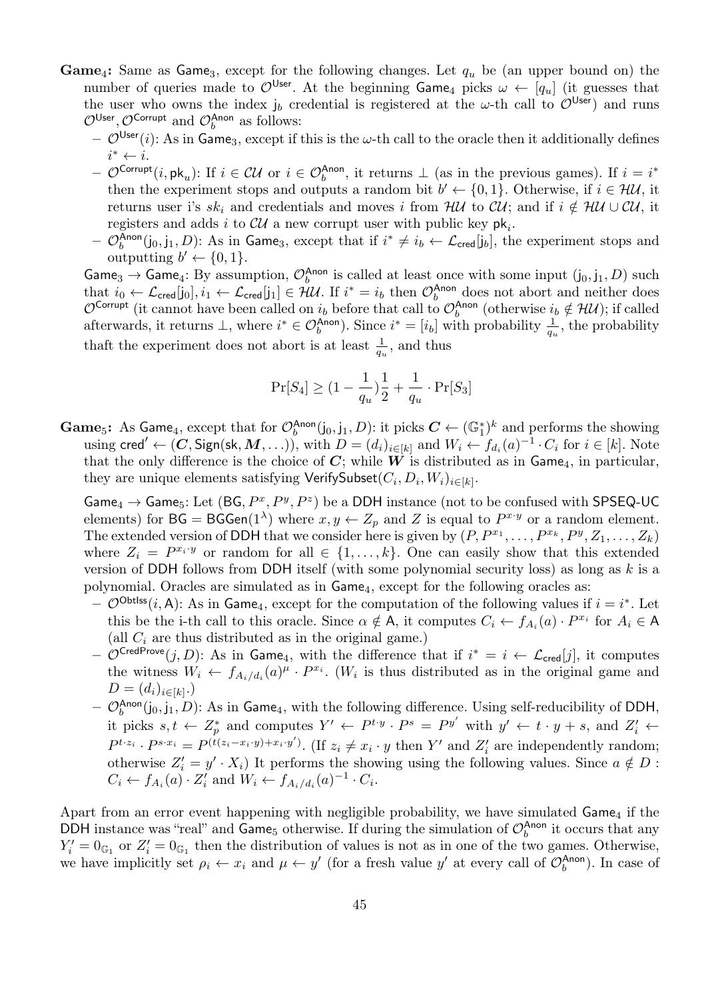- **Game**<sub>4</sub>: Same as Game<sub>3</sub>, except for the following changes. Let  $q_u$  be (an upper bound on) the number of queries made to  $\mathcal{O}^{\mathsf{User}}$ . At the beginning Game<sub>4</sub> picks  $\omega \leftarrow [q_u]$  (it guesses that the user who owns the index  $j_b$  credential is registered at the  $\omega$ -th call to  $\mathcal{O}^{User}$ ) and runs  $\mathcal{O}^{\mathsf{User}}, \mathcal{O}^{\mathsf{Corrupt}}$  and  $\mathcal{O}_b^{\mathsf{Anon}}$  as follows:
	- $\mathcal{O}^{\text{User}}(i)$ : As in Game<sub>3</sub>, except if this is the  $\omega$ -th call to the oracle then it additionally defines  $i^* \leftarrow i$ .
	- $\mathcal{O}^{\text{Corrupt}}(i, \mathsf{pk}_u)$ : If  $i \in \mathcal{CU}$  or  $i \in \mathcal{O}_b^{\text{Anon}}$ , it returns  $\perp$  (as in the previous games). If  $i = i^*$ then the experiment stops and outputs a random bit  $b' \leftarrow \{0, 1\}$ . Otherwise, if  $i \in \mathcal{HU}$ , it returns user i's sk<sub>i</sub> and credentials and moves i from HU to CU; and if  $i \notin HU \cup Cl$ , it registers and adds i to  $\mathcal{CU}$  a new corrupt user with public key  $\mathsf{pk}_i$ .
	- $\mathcal{O}_b^{\text{Anon}}(j_0, j_1, D)$ : As in Game<sub>3</sub>, except that if  $i^* \neq i_b \leftarrow \mathcal{L}_{\text{cred}}[j_b]$ , the experiment stops and outputting  $b' \leftarrow \{0, 1\}.$

Game<sub>3</sub>  $\rightarrow$  Game<sub>4</sub>: By assumption,  $\mathcal{O}_b^{\text{Anon}}$  is called at least once with some input  $(j_0, j_1, D)$  such that  $i_0 \leftarrow \mathcal{L}_{\text{cred}}[j_0], i_1 \leftarrow \mathcal{L}_{\text{cred}}[j_1] \in \mathcal{HU}$ . If  $i^* = i_b$  then  $\mathcal{O}_b^{\text{Anon}}$  does not abort and neither does  $\mathcal{O}^{\mathsf{Corrupt}}$  (it cannot have been called on  $i_b$  before that call to  $\mathcal{O}_b^{\mathsf{Anon}}$  (otherwise  $i_b \notin \mathcal{HU}$ ); if called afterwards, it returns  $\perp$ , where  $i^* \in \mathcal{O}_b^{\text{Anon}}$ ). Since  $i^* = [i_b]$  with probability  $\frac{1}{q_u}$ , the probability thaft the experiment does not abort is at least  $\frac{1}{q_u}$ , and thus

$$
\Pr[S_4] \geq (1-\frac{1}{q_u})\frac{1}{2} + \frac{1}{q_u} \cdot \Pr[S_3]
$$

**Game**<sub>5</sub>: As Game<sub>4</sub>, except that for  $\mathcal{O}_b^{\text{Anon}}(j_0, j_1, D)$ : it picks  $C \leftarrow (\mathbb{G}_1^*)^k$  and performs the showing using cred'  $\leftarrow (\mathbf{C}, \mathsf{Sign}(\mathsf{sk}, \mathbf{M}, \ldots)),$  with  $D = (d_i)_{i \in [k]}$  and  $W_i \leftarrow f_{d_i}(a)^{-1} \cdot C_i$  for  $i \in [k]$ . Note that the only difference is the choice of  $C$ ; while  $W$  is distributed as in Game<sub>4</sub>, in particular, they are unique elements satisfying VerifySubset $(C_i, D_i, W_i)_{i \in [k]}.$ 

Game<sub>4</sub>  $\rightarrow$  Game<sub>5</sub>: Let (BG,  $P^x, P^y, P^z$ ) be a DDH instance (not to be confused with SPSEQ-UC elements) for  $BG = BGGen(1^{\lambda})$  where  $x, y \leftarrow Z_p$  and Z is equal to  $P^{x \cdot y}$  or a random element. The extended version of DDH that we consider here is given by  $(P, P^{x_1}, \ldots, P^{x_k}, P^y, Z_1, \ldots, Z_k)$ where  $Z_i = P^{x_i \cdot y}$  or random for all  $\in \{1, \ldots, k\}$ . One can easily show that this extended version of DDH follows from DDH itself (with some polynomial security loss) as long as  $k$  is a polynomial. Oracles are simulated as in Game4, except for the following oracles as:

- $-$  O<sup>Obtlss</sup>(*i*, A): As in Game<sub>4</sub>, except for the computation of the following values if  $i = i^*$ . Let this be the i-th call to this oracle. Since  $\alpha \notin A$ , it computes  $C_i \leftarrow f_{A_i}(a) \cdot P^{x_i}$  for  $A_i \in A$ (all  $C_i$  are thus distributed as in the original game.)
- $-$  O<sup>CredProve</sup> $(j, D)$ : As in Game<sub>4</sub>, with the difference that if  $i^* = i \leftarrow \mathcal{L}_{\text{cred}}[j]$ , it computes the witness  $W_i \leftarrow f_{A_i/d_i}(a)^{\mu} \cdot P^{x_i}$ . (W<sub>i</sub> is thus distributed as in the original game and  $D = (d_i)_{i \in [k]}$ .)
- $\mathcal{O}_b^{\mathsf{Anon}}(j_0,j_1,D)$ : As in  $\mathsf{Game}_4$ , with the following difference. Using self-reducibility of DDH, it picks  $s, t \leftarrow Z_p^*$  and computes  $Y' \leftarrow P^{t \cdot y} \cdot P^s = P^{y'}$  with  $y' \leftarrow t \cdot y + s$ , and  $Z_i' \leftarrow$  $P^{t \cdot z_i} \cdot P^{s \cdot x_i} = P^{(t(z_i - x_i \cdot y) + x_i \cdot y')}$ . (If  $z_i \neq x_i \cdot y$  then Y' and  $Z'_i$  are independently random; otherwise  $Z_i' = y' \cdot X_i$ ) It performs the showing using the following values. Since  $a \notin D$ :  $C_i \leftarrow f_{A_i}(a) \cdot Z'_i$  and  $W_i \leftarrow f_{A_i/d_i}(a)^{-1} \cdot C_i$ .

Apart from an error event happening with negligible probability, we have simulated  $\mathsf{Game}_4$  if the DDH instance was "real" and  $\zeta$ ame<sub>5</sub> otherwise. If during the simulation of  $\mathcal{O}_b^{\text{Anon}}$  it occurs that any  $Y_i' = 0_{\mathbb{G}_1}$  or  $Z_i' = 0_{\mathbb{G}_1}$  then the distribution of values is not as in one of the two games. Otherwise, we have implicitly set  $\rho_i \leftarrow x_i$  and  $\mu \leftarrow y'$  (for a fresh value y' at every call of  $\mathcal{O}_b^{\text{Anon}}$ ). In case of